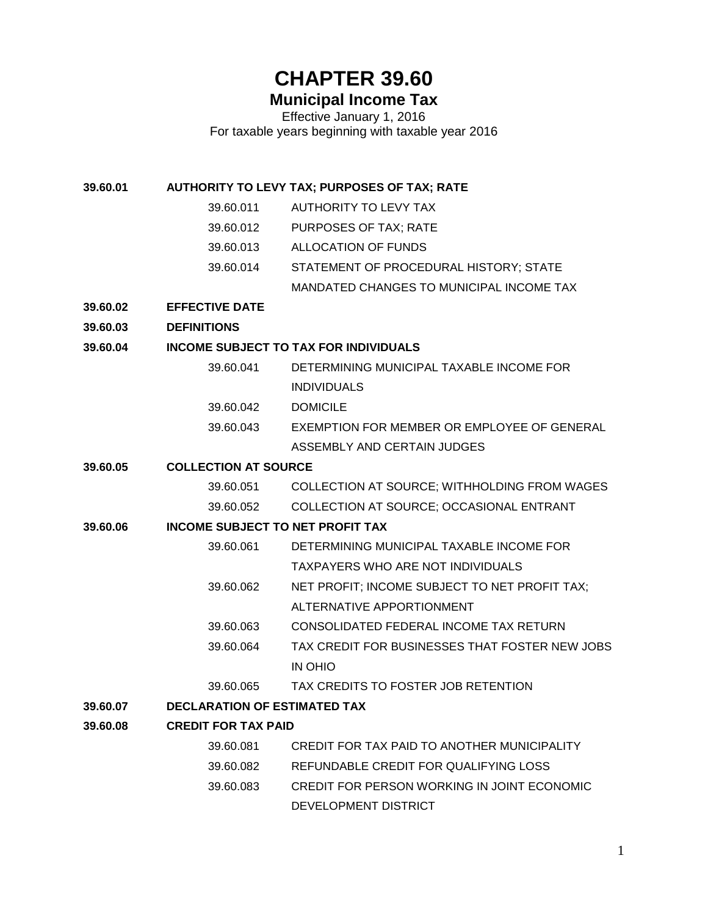# **CHAPTER 39.60**

# **Municipal Income Tax**

Effective January 1, 2016 For taxable years beginning with taxable year 2016

**39.60.01 AUTHORITY TO LEVY TAX; PURPOSES OF TAX; RATE**

- 39.60.011 AUTHORITY TO LEVY TAX
- 39.60.012 PURPOSES OF TAX; RATE
- 39.60.013 ALLOCATION OF FUNDS
- 39.60.014 STATEMENT OF PROCEDURAL HISTORY; STATE
	- MANDATED CHANGES TO MUNICIPAL INCOME TAX
- **39.60.02 EFFECTIVE DATE**
- **39.60.03 DEFINITIONS**

#### **39.60.04 INCOME SUBJECT TO TAX FOR INDIVIDUALS**

- 39.60.041 DETERMINING MUNICIPAL TAXABLE INCOME FOR INDIVIDUALS
- 39.60.042 DOMICILE
- 39.60.043 EXEMPTION FOR MEMBER OR EMPLOYEE OF GENERAL ASSEMBLY AND CERTAIN JUDGES

#### **39.60.05 COLLECTION AT SOURCE**

39.60.051 COLLECTION AT SOURCE; WITHHOLDING FROM WAGES 39.60.052 COLLECTION AT SOURCE; OCCASIONAL ENTRANT

#### **39.60.06 INCOME SUBJECT TO NET PROFIT TAX**

- 39.60.061 DETERMINING MUNICIPAL TAXABLE INCOME FOR TAXPAYERS WHO ARE NOT INDIVIDUALS
- 39.60.062 NET PROFIT; INCOME SUBJECT TO NET PROFIT TAX; ALTERNATIVE APPORTIONMENT
- 39.60.063 CONSOLIDATED FEDERAL INCOME TAX RETURN
- 39.60.064 TAX CREDIT FOR BUSINESSES THAT FOSTER NEW JOBS IN OHIO
- 39.60.065 TAX CREDITS TO FOSTER JOB RETENTION
- **39.60.07 DECLARATION OF ESTIMATED TAX**
- **39.60.08 CREDIT FOR TAX PAID**
	- 39.60.081 CREDIT FOR TAX PAID TO ANOTHER MUNICIPALITY 39.60.082 REFUNDABLE CREDIT FOR QUALIFYING LOSS 39.60.083 CREDIT FOR PERSON WORKING IN JOINT ECONOMIC DEVELOPMENT DISTRICT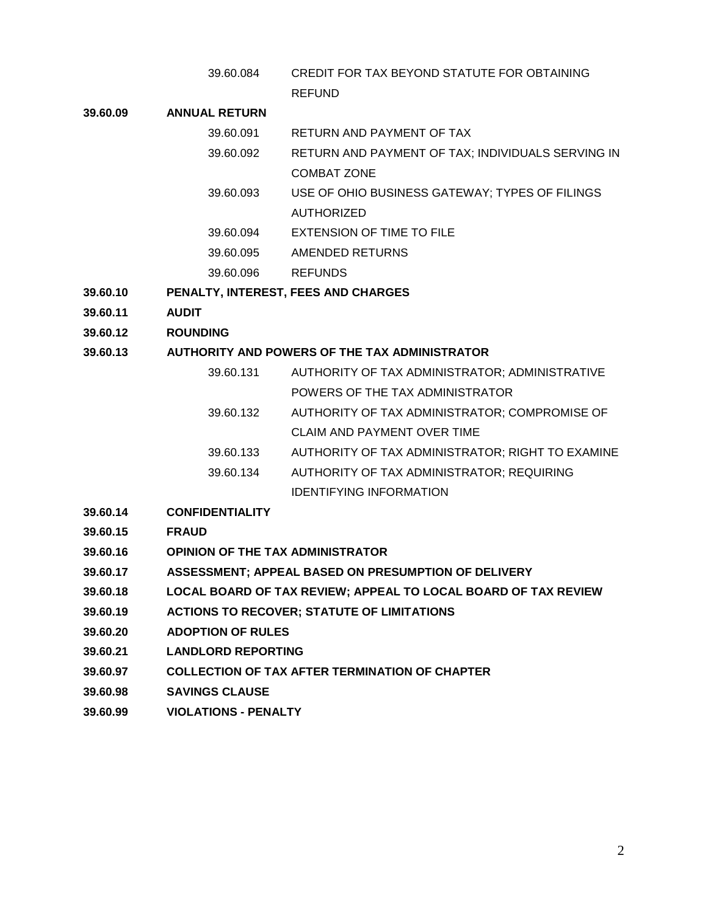39.60.084 CREDIT FOR TAX BEYOND STATUTE FOR OBTAINING REFUND

#### **39.60.09 ANNUAL RETURN**

- 39.60.091 RETURN AND PAYMENT OF TAX
	- 39.60.092 RETURN AND PAYMENT OF TAX; INDIVIDUALS SERVING IN COMBAT ZONE
	- 39.60.093 USE OF OHIO BUSINESS GATEWAY; TYPES OF FILINGS AUTHORIZED
	- 39.60.094 EXTENSION OF TIME TO FILE
	- 39.60.095 AMENDED RETURNS
	- 39.60.096 REFUNDS
- **39.60.10 PENALTY, INTEREST, FEES AND CHARGES**
- **39.60.11 AUDIT**
- **39.60.12 ROUNDING**

#### **39.60.13 AUTHORITY AND POWERS OF THE TAX ADMINISTRATOR**

- 39.60.131 AUTHORITY OF TAX ADMINISTRATOR; ADMINISTRATIVE POWERS OF THE TAX ADMINISTRATOR 39.60.132 AUTHORITY OF TAX ADMINISTRATOR; COMPROMISE OF CLAIM AND PAYMENT OVER TIME 39.60.133 AUTHORITY OF TAX ADMINISTRATOR; RIGHT TO EXAMINE
- 39.60.134 AUTHORITY OF TAX ADMINISTRATOR; REQUIRING IDENTIFYING INFORMATION
- **39.60.14 CONFIDENTIALITY**
- **39.60.15 FRAUD**
- **39.60.16 OPINION OF THE TAX ADMINISTRATOR**
- **39.60.17 ASSESSMENT; APPEAL BASED ON PRESUMPTION OF DELIVERY**
- **39.60.18 LOCAL BOARD OF TAX REVIEW; APPEAL TO LOCAL BOARD OF TAX REVIEW**
- **39.60.19 ACTIONS TO RECOVER; STATUTE OF LIMITATIONS**
- **39.60.20 ADOPTION OF RULES**
- **39.60.21 LANDLORD REPORTING**
- **39.60.97 COLLECTION OF TAX AFTER TERMINATION OF CHAPTER**
- **39.60.98 SAVINGS CLAUSE**
- **39.60.99 VIOLATIONS - PENALTY**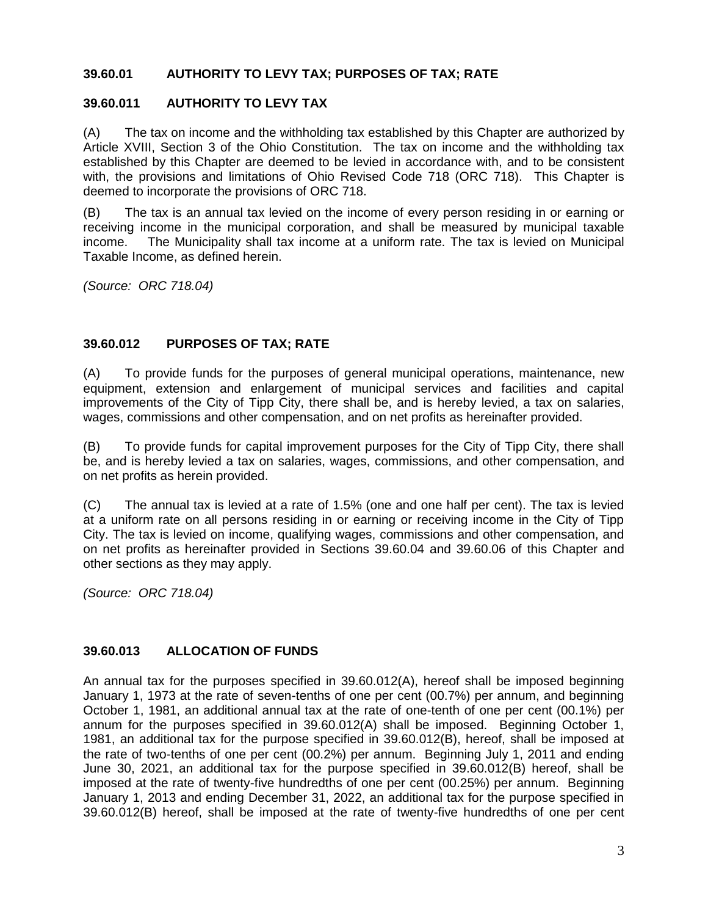### **39.60.01 AUTHORITY TO LEVY TAX; PURPOSES OF TAX; RATE**

# **39.60.011 AUTHORITY TO LEVY TAX**

(A) The tax on income and the withholding tax established by this Chapter are authorized by Article XVIII, Section 3 of the Ohio Constitution. The tax on income and the withholding tax established by this Chapter are deemed to be levied in accordance with, and to be consistent with, the provisions and limitations of Ohio Revised Code 718 (ORC 718). This Chapter is deemed to incorporate the provisions of ORC 718.

(B) The tax is an annual tax levied on the income of every person residing in or earning or receiving income in the municipal corporation, and shall be measured by municipal taxable income. The Municipality shall tax income at a uniform rate. The tax is levied on Municipal Taxable Income, as defined herein.

*(Source: ORC 718.04)*

#### **39.60.012 PURPOSES OF TAX; RATE**

(A) To provide funds for the purposes of general municipal operations, maintenance, new equipment, extension and enlargement of municipal services and facilities and capital improvements of the City of Tipp City, there shall be, and is hereby levied, a tax on salaries, wages, commissions and other compensation, and on net profits as hereinafter provided.

(B) To provide funds for capital improvement purposes for the City of Tipp City, there shall be, and is hereby levied a tax on salaries, wages, commissions, and other compensation, and on net profits as herein provided.

(C) The annual tax is levied at a rate of 1.5% (one and one half per cent). The tax is levied at a uniform rate on all persons residing in or earning or receiving income in the City of Tipp City. The tax is levied on income, qualifying wages, commissions and other compensation, and on net profits as hereinafter provided in Sections 39.60.04 and 39.60.06 of this Chapter and other sections as they may apply.

*(Source: ORC 718.04)*

#### **39.60.013 ALLOCATION OF FUNDS**

An annual tax for the purposes specified in 39.60.012(A), hereof shall be imposed beginning January 1, 1973 at the rate of seven-tenths of one per cent (00.7%) per annum, and beginning October 1, 1981, an additional annual tax at the rate of one-tenth of one per cent (00.1%) per annum for the purposes specified in 39.60.012(A) shall be imposed. Beginning October 1, 1981, an additional tax for the purpose specified in 39.60.012(B), hereof, shall be imposed at the rate of two-tenths of one per cent (00.2%) per annum. Beginning July 1, 2011 and ending June 30, 2021, an additional tax for the purpose specified in 39.60.012(B) hereof, shall be imposed at the rate of twenty-five hundredths of one per cent (00.25%) per annum. Beginning January 1, 2013 and ending December 31, 2022, an additional tax for the purpose specified in 39.60.012(B) hereof, shall be imposed at the rate of twenty-five hundredths of one per cent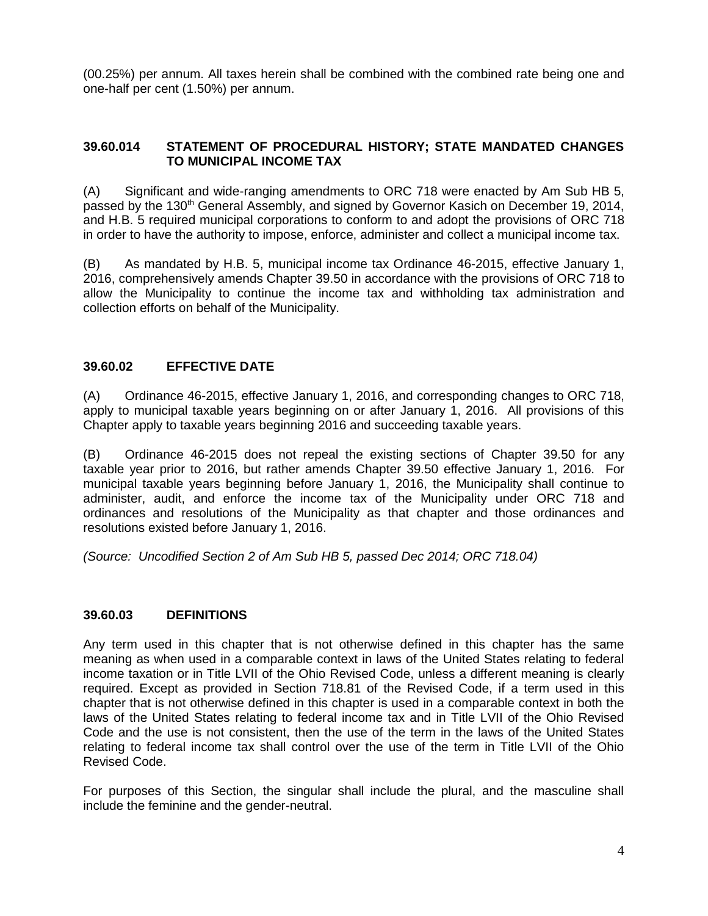(00.25%) per annum. All taxes herein shall be combined with the combined rate being one and one-half per cent (1.50%) per annum.

#### **39.60.014 STATEMENT OF PROCEDURAL HISTORY; STATE MANDATED CHANGES TO MUNICIPAL INCOME TAX**

(A) Significant and wide-ranging amendments to ORC 718 were enacted by Am Sub HB 5, passed by the 130<sup>th</sup> General Assembly, and signed by Governor Kasich on December 19, 2014, and H.B. 5 required municipal corporations to conform to and adopt the provisions of ORC 718 in order to have the authority to impose, enforce, administer and collect a municipal income tax.

(B) As mandated by H.B. 5, municipal income tax Ordinance 46-2015, effective January 1, 2016, comprehensively amends Chapter 39.50 in accordance with the provisions of ORC 718 to allow the Municipality to continue the income tax and withholding tax administration and collection efforts on behalf of the Municipality.

# **39.60.02 EFFECTIVE DATE**

(A) Ordinance 46-2015, effective January 1, 2016, and corresponding changes to ORC 718, apply to municipal taxable years beginning on or after January 1, 2016. All provisions of this Chapter apply to taxable years beginning 2016 and succeeding taxable years.

(B) Ordinance 46-2015 does not repeal the existing sections of Chapter 39.50 for any taxable year prior to 2016, but rather amends Chapter 39.50 effective January 1, 2016. For municipal taxable years beginning before January 1, 2016, the Municipality shall continue to administer, audit, and enforce the income tax of the Municipality under ORC 718 and ordinances and resolutions of the Municipality as that chapter and those ordinances and resolutions existed before January 1, 2016.

*(Source: Uncodified Section 2 of Am Sub HB 5, passed Dec 2014; ORC 718.04)*

#### **39.60.03 DEFINITIONS**

Any term used in this chapter that is not otherwise defined in this chapter has the same meaning as when used in a comparable context in laws of the United States relating to federal income taxation or in Title LVII of the Ohio Revised Code, unless a different meaning is clearly required. Except as provided in Section 718.81 of the Revised Code, if a term used in this chapter that is not otherwise defined in this chapter is used in a comparable context in both the laws of the United States relating to federal income tax and in Title LVII of the Ohio Revised Code and the use is not consistent, then the use of the term in the laws of the United States relating to federal income tax shall control over the use of the term in Title LVII of the Ohio Revised Code.

For purposes of this Section, the singular shall include the plural, and the masculine shall include the feminine and the gender-neutral.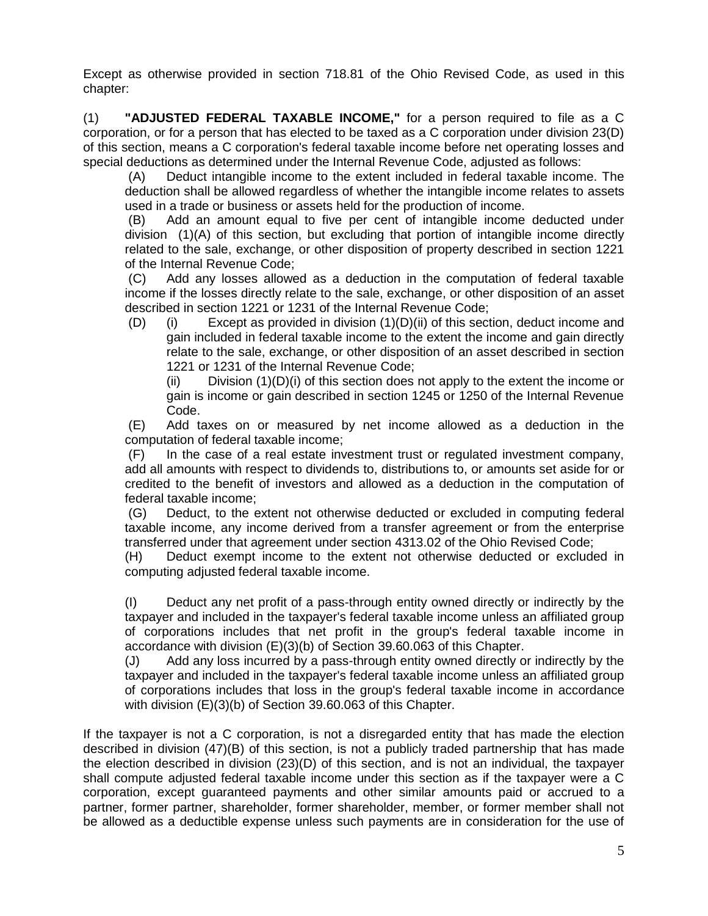Except as otherwise provided in section 718.81 of the Ohio Revised Code, as used in this chapter:

(1) **"ADJUSTED FEDERAL TAXABLE INCOME,"** for a person required to file as a C corporation, or for a person that has elected to be taxed as a C corporation under division 23(D) of this section, means a C corporation's federal taxable income before net operating losses and special deductions as determined under the Internal Revenue Code, adjusted as follows:

(A) Deduct intangible income to the extent included in federal taxable income. The deduction shall be allowed regardless of whether the intangible income relates to assets used in a trade or business or assets held for the production of income.

(B) Add an amount equal to five per cent of intangible income deducted under division (1)(A) of this section, but excluding that portion of intangible income directly related to the sale, exchange, or other disposition of property described in section 1221 of the Internal Revenue Code;

(C) Add any losses allowed as a deduction in the computation of federal taxable income if the losses directly relate to the sale, exchange, or other disposition of an asset described in section 1221 or 1231 of the Internal Revenue Code;

(D) (i) Except as provided in division (1)(D)(ii) of this section, deduct income and gain included in federal taxable income to the extent the income and gain directly relate to the sale, exchange, or other disposition of an asset described in section 1221 or 1231 of the Internal Revenue Code;

(ii) Division  $(1)(D)(i)$  of this section does not apply to the extent the income or gain is income or gain described in section 1245 or 1250 of the Internal Revenue Code.

(E) Add taxes on or measured by net income allowed as a deduction in the computation of federal taxable income;

(F) In the case of a real estate investment trust or regulated investment company, add all amounts with respect to dividends to, distributions to, or amounts set aside for or credited to the benefit of investors and allowed as a deduction in the computation of federal taxable income;

(G) Deduct, to the extent not otherwise deducted or excluded in computing federal taxable income, any income derived from a transfer agreement or from the enterprise transferred under that agreement under section [4313.02](http://codes.ohio.gov/orc/4313.02) of the Ohio Revised Code;

(H) Deduct exempt income to the extent not otherwise deducted or excluded in computing adjusted federal taxable income.

(I) Deduct any net profit of a pass-through entity owned directly or indirectly by the taxpayer and included in the taxpayer's federal taxable income unless an affiliated group of corporations includes that net profit in the group's federal taxable income in accordance with division (E)(3)(b) of Section 39.60.063 of this Chapter.

(J) Add any loss incurred by a pass-through entity owned directly or indirectly by the taxpayer and included in the taxpayer's federal taxable income unless an affiliated group of corporations includes that loss in the group's federal taxable income in accordance with division (E)(3)(b) of Section 39.60.063 of this Chapter.

If the taxpayer is not a C corporation, is not a disregarded entity that has made the election described in division (47)(B) of this section, is not a publicly traded partnership that has made the election described in division (23)(D) of this section, and is not an individual, the taxpayer shall compute adjusted federal taxable income under this section as if the taxpayer were a C corporation, except guaranteed payments and other similar amounts paid or accrued to a partner, former partner, shareholder, former shareholder, member, or former member shall not be allowed as a deductible expense unless such payments are in consideration for the use of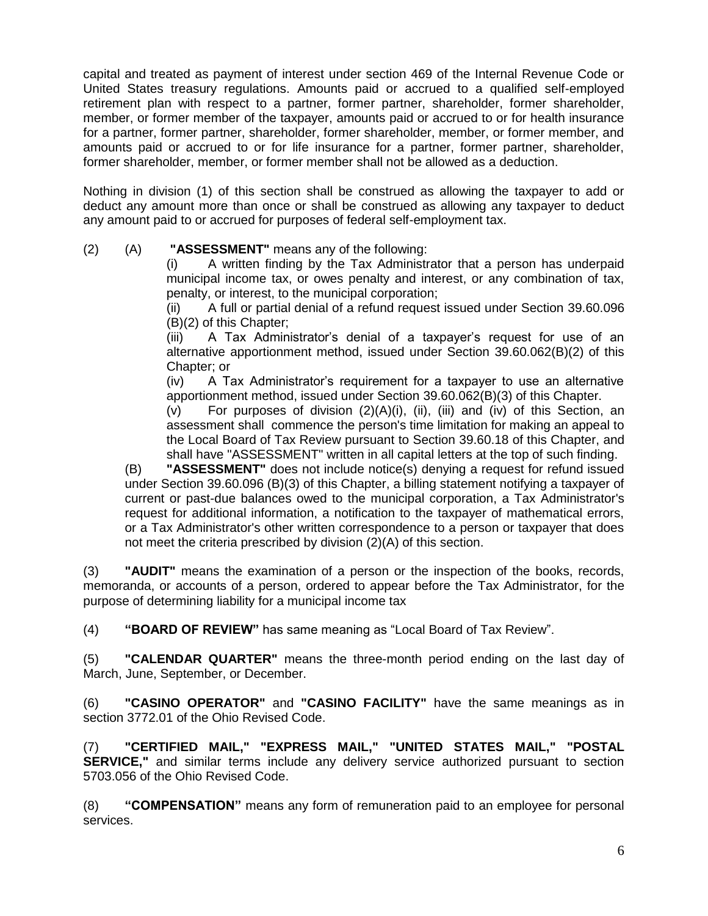capital and treated as payment of interest under section 469 of the Internal Revenue Code or United States treasury regulations. Amounts paid or accrued to a qualified self-employed retirement plan with respect to a partner, former partner, shareholder, former shareholder, member, or former member of the taxpayer, amounts paid or accrued to or for health insurance for a partner, former partner, shareholder, former shareholder, member, or former member, and amounts paid or accrued to or for life insurance for a partner, former partner, shareholder, former shareholder, member, or former member shall not be allowed as a deduction.

Nothing in division (1) of this section shall be construed as allowing the taxpayer to add or deduct any amount more than once or shall be construed as allowing any taxpayer to deduct any amount paid to or accrued for purposes of federal self-employment tax.

(2) (A) **"ASSESSMENT"** means any of the following:

A written finding by the Tax Administrator that a person has underpaid municipal income tax, or owes penalty and interest, or any combination of tax, penalty, or interest, to the municipal corporation;

(ii) A full or partial denial of a refund request issued under Section 39.60.096 (B)(2) of this Chapter;

(iii) A Tax Administrator's denial of a taxpayer's request for use of an alternative apportionment method, issued under Section 39.60.062(B)(2) of this Chapter; or

(iv) A Tax Administrator's requirement for a taxpayer to use an alternative apportionment method, issued under Section 39.60.062(B)(3) of this Chapter.

(v) For purposes of division (2)(A)(i), (ii), (iii) and (iv) of this Section, an assessment shall commence the person's time limitation for making an appeal to the Local Board of Tax Review pursuant to Section 39.60.18 of this Chapter, and shall have "ASSESSMENT" written in all capital letters at the top of such finding.

(B) **"ASSESSMENT"** does not include notice(s) denying a request for refund issued under Section 39.60.096 (B)(3) of this Chapter, a billing statement notifying a taxpayer of current or past-due balances owed to the municipal corporation, a Tax Administrator's request for additional information, a notification to the taxpayer of mathematical errors, or a Tax Administrator's other written correspondence to a person or taxpayer that does not meet the criteria prescribed by division (2)(A) of this section.

(3) **"AUDIT"** means the examination of a person or the inspection of the books, records, memoranda, or accounts of a person, ordered to appear before the Tax Administrator, for the purpose of determining liability for a municipal income tax

(4) **"BOARD OF REVIEW"** has same meaning as "Local Board of Tax Review".

(5) **"CALENDAR QUARTER"** means the three-month period ending on the last day of March, June, September, or December.

(6) **"CASINO OPERATOR"** and **"CASINO FACILITY"** have the same meanings as in section [3772.01](http://codes.ohio.gov/orc/3772.01) of the Ohio Revised Code.

(7) **"CERTIFIED MAIL," "EXPRESS MAIL," "UNITED STATES MAIL," "POSTAL SERVICE,"** and similar terms include any delivery service authorized pursuant to section [5703.056](http://codes.ohio.gov/orc/5703.056) of the Ohio Revised Code.

(8) **"COMPENSATION"** means any form of remuneration paid to an employee for personal services.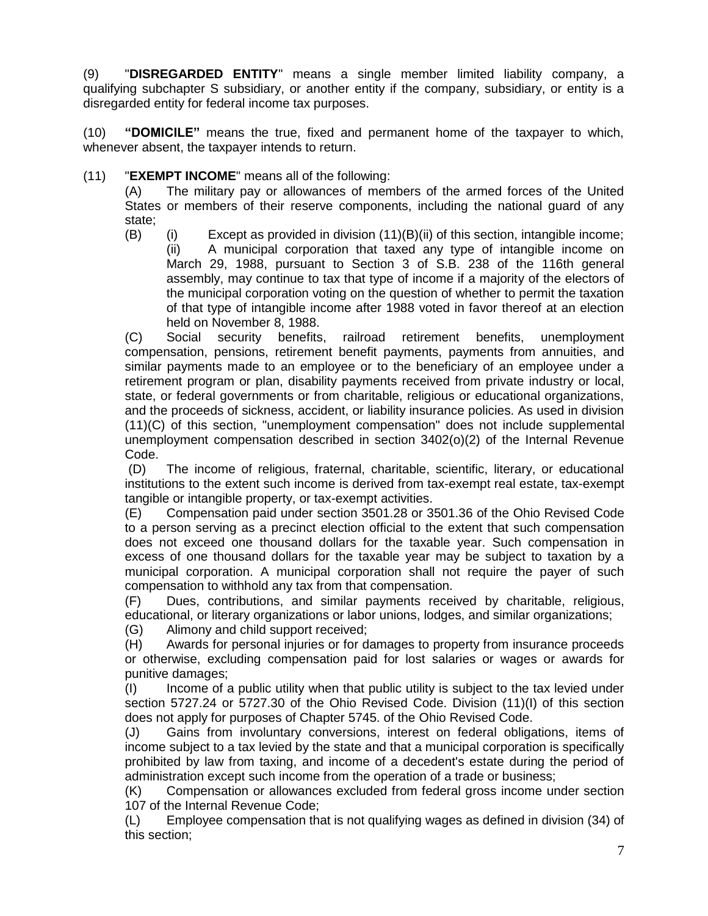(9) "**DISREGARDED ENTITY**" means a single member limited liability company, a qualifying subchapter S subsidiary, or another entity if the company, subsidiary, or entity is a disregarded entity for federal income tax purposes.

(10) **"DOMICILE"** means the true, fixed and permanent home of the taxpayer to which, whenever absent, the taxpayer intends to return.

(11) "**EXEMPT INCOME**" means all of the following:

(A) The military pay or allowances of members of the armed forces of the United States or members of their reserve components, including the national guard of any state;

(B) (i) Except as provided in division (11)(B)(ii) of this section, intangible income; (ii) A municipal corporation that taxed any type of intangible income on March 29, 1988, pursuant to Section 3 of S.B. 238 of the 116th general assembly, may continue to tax that type of income if a majority of the electors of the municipal corporation voting on the question of whether to permit the taxation of that type of intangible income after 1988 voted in favor thereof at an election held on November 8, 1988.

(C) Social security benefits, railroad retirement benefits, unemployment compensation, pensions, retirement benefit payments, payments from annuities, and similar payments made to an employee or to the beneficiary of an employee under a retirement program or plan, disability payments received from private industry or local, state, or federal governments or from charitable, religious or educational organizations, and the proceeds of sickness, accident, or liability insurance policies. As used in division (11)(C) of this section, "unemployment compensation" does not include supplemental unemployment compensation described in section 3402(o)(2) of the Internal Revenue Code.

(D) The income of religious, fraternal, charitable, scientific, literary, or educational institutions to the extent such income is derived from tax-exempt real estate, tax-exempt tangible or intangible property, or tax-exempt activities.

(E) Compensation paid under section [3501.28](http://codes.ohio.gov/orc/3501.28) or [3501.36](http://codes.ohio.gov/orc/3501.36) of the Ohio Revised Code to a person serving as a precinct election official to the extent that such compensation does not exceed one thousand dollars for the taxable year. Such compensation in excess of one thousand dollars for the taxable year may be subject to taxation by a municipal corporation. A municipal corporation shall not require the payer of such compensation to withhold any tax from that compensation.

(F) Dues, contributions, and similar payments received by charitable, religious, educational, or literary organizations or labor unions, lodges, and similar organizations;

(G) Alimony and child support received;

(H) Awards for personal injuries or for damages to property from insurance proceeds or otherwise, excluding compensation paid for lost salaries or wages or awards for punitive damages;

(I) Income of a public utility when that public utility is subject to the tax levied under section [5727.24](http://codes.ohio.gov/orc/5727.24) or [5727.30](http://codes.ohio.gov/orc/5727.30) of the Ohio Revised Code. Division (11)(I) of this section does not apply for purposes of Chapter 5745. of the Ohio Revised Code.

(J) Gains from involuntary conversions, interest on federal obligations, items of income subject to a tax levied by the state and that a municipal corporation is specifically prohibited by law from taxing, and income of a decedent's estate during the period of administration except such income from the operation of a trade or business;

(K) Compensation or allowances excluded from federal gross income under section 107 of the Internal Revenue Code;

(L) Employee compensation that is not qualifying wages as defined in division (34) of this section;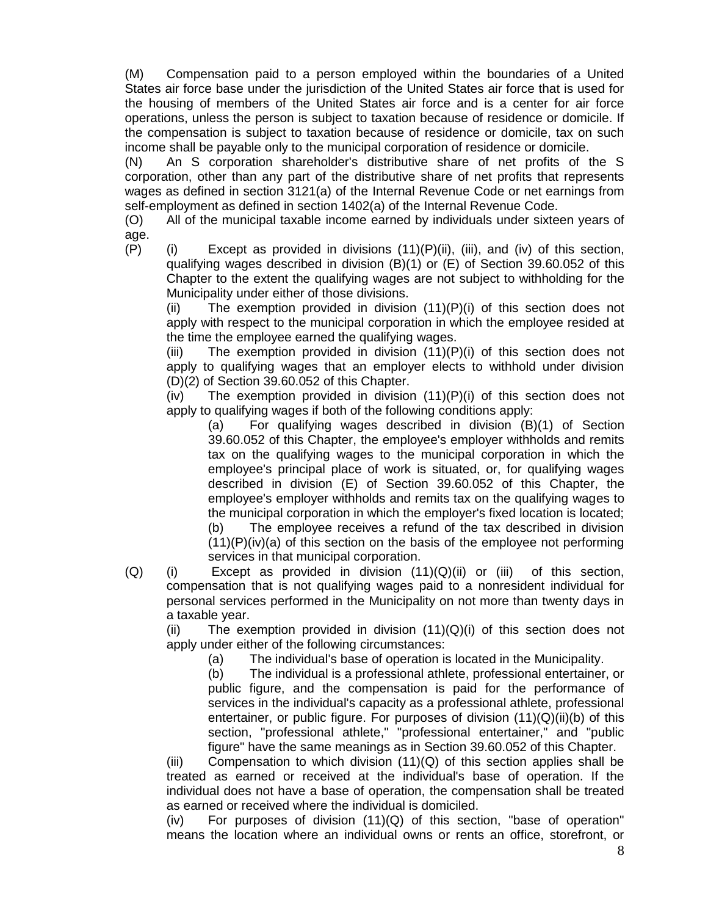(M) Compensation paid to a person employed within the boundaries of a United States air force base under the jurisdiction of the United States air force that is used for the housing of members of the United States air force and is a center for air force operations, unless the person is subject to taxation because of residence or domicile. If the compensation is subject to taxation because of residence or domicile, tax on such income shall be payable only to the municipal corporation of residence or domicile.

(N) An S corporation shareholder's distributive share of net profits of the S corporation, other than any part of the distributive share of net profits that represents wages as defined in section 3121(a) of the Internal Revenue Code or net earnings from self-employment as defined in section 1402(a) of the Internal Revenue Code.

(O) All of the municipal taxable income earned by individuals under sixteen years of age.

 $(P)$  (i) Except as provided in divisions  $(11)(P)(ii)$ , (iii), and (iv) of this section, qualifying wages described in division (B)(1) or (E) of Section 39.60.052 of this Chapter to the extent the qualifying wages are not subject to withholding for the Municipality under either of those divisions.

(ii) The exemption provided in division  $(11)(P)(i)$  of this section does not apply with respect to the municipal corporation in which the employee resided at the time the employee earned the qualifying wages.

(iii) The exemption provided in division  $(11)(P)(i)$  of this section does not apply to qualifying wages that an employer elects to withhold under division (D)(2) of Section 39.60.052 of this Chapter.

 $(iv)$  The exemption provided in division  $(11)(P)(i)$  of this section does not apply to qualifying wages if both of the following conditions apply:

(a) For qualifying wages described in division (B)(1) of Section 39.60.052 of this Chapter, the employee's employer withholds and remits tax on the qualifying wages to the municipal corporation in which the employee's principal place of work is situated, or, for qualifying wages described in division (E) of Section 39.60.052 of this Chapter, the employee's employer withholds and remits tax on the qualifying wages to the municipal corporation in which the employer's fixed location is located;

(b) The employee receives a refund of the tax described in division  $(11)(P)(iv)(a)$  of this section on the basis of the employee not performing services in that municipal corporation.

(Q) (i) Except as provided in division (11)(Q)(ii) or (iii) of this section, compensation that is not qualifying wages paid to a nonresident individual for personal services performed in the Municipality on not more than twenty days in a taxable year.

(ii) The exemption provided in division  $(11)(Q)(i)$  of this section does not apply under either of the following circumstances:

(a) The individual's base of operation is located in the Municipality.

(b) The individual is a professional athlete, professional entertainer, or public figure, and the compensation is paid for the performance of services in the individual's capacity as a professional athlete, professional entertainer, or public figure. For purposes of division  $(11)(Q)(ii)(b)$  of this section, "professional athlete," "professional entertainer," and "public figure" have the same meanings as in Section 39.60.052 of this Chapter.

(iii) Compensation to which division  $(11)(Q)$  of this section applies shall be treated as earned or received at the individual's base of operation. If the individual does not have a base of operation, the compensation shall be treated as earned or received where the individual is domiciled.

 $(iv)$  For purposes of division  $(11)(Q)$  of this section, "base of operation" means the location where an individual owns or rents an office, storefront, or

8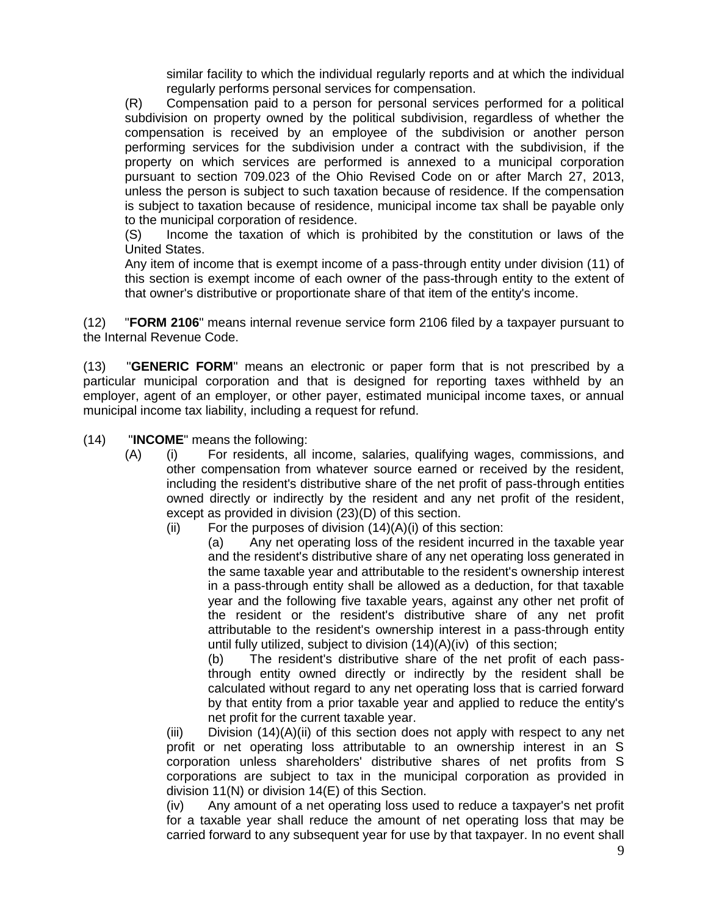similar facility to which the individual regularly reports and at which the individual regularly performs personal services for compensation.

(R) Compensation paid to a person for personal services performed for a political subdivision on property owned by the political subdivision, regardless of whether the compensation is received by an employee of the subdivision or another person performing services for the subdivision under a contract with the subdivision, if the property on which services are performed is annexed to a municipal corporation pursuant to section [709.023](http://codes.ohio.gov/orc/709.023) of the Ohio Revised Code on or after March 27, 2013, unless the person is subject to such taxation because of residence. If the compensation is subject to taxation because of residence, municipal income tax shall be payable only to the municipal corporation of residence.

(S) Income the taxation of which is prohibited by the constitution or laws of the United States.

Any item of income that is exempt income of a pass-through entity under division (11) of this section is exempt income of each owner of the pass-through entity to the extent of that owner's distributive or proportionate share of that item of the entity's income.

(12) "**FORM 2106**" means internal revenue service form 2106 filed by a taxpayer pursuant to the Internal Revenue Code.

(13) "**GENERIC FORM**" means an electronic or paper form that is not prescribed by a particular municipal corporation and that is designed for reporting taxes withheld by an employer, agent of an employer, or other payer, estimated municipal income taxes, or annual municipal income tax liability, including a request for refund.

(14) "**INCOME**" means the following:

- (A) (i) For residents, all income, salaries, qualifying wages, commissions, and other compensation from whatever source earned or received by the resident, including the resident's distributive share of the net profit of pass-through entities owned directly or indirectly by the resident and any net profit of the resident, except as provided in division (23)(D) of this section.
	- $(ii)$  For the purposes of division  $(14)(A)(i)$  of this section:

(a) Any net operating loss of the resident incurred in the taxable year and the resident's distributive share of any net operating loss generated in the same taxable year and attributable to the resident's ownership interest in a pass-through entity shall be allowed as a deduction, for that taxable year and the following five taxable years, against any other net profit of the resident or the resident's distributive share of any net profit attributable to the resident's ownership interest in a pass-through entity until fully utilized, subject to division (14)(A)(iv) of this section;

(b) The resident's distributive share of the net profit of each passthrough entity owned directly or indirectly by the resident shall be calculated without regard to any net operating loss that is carried forward by that entity from a prior taxable year and applied to reduce the entity's net profit for the current taxable year.

 $(iii)$  Division  $(14)(A)(ii)$  of this section does not apply with respect to any net profit or net operating loss attributable to an ownership interest in an S corporation unless shareholders' distributive shares of net profits from S corporations are subject to tax in the municipal corporation as provided in division 11(N) or division 14(E) of this Section.

(iv) Any amount of a net operating loss used to reduce a taxpayer's net profit for a taxable year shall reduce the amount of net operating loss that may be carried forward to any subsequent year for use by that taxpayer. In no event shall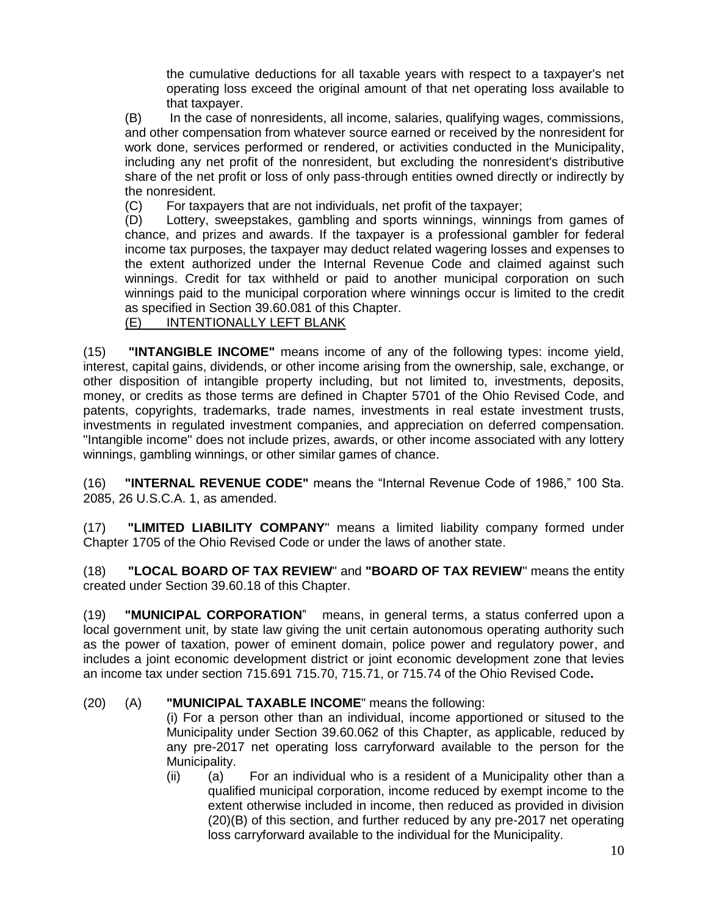the cumulative deductions for all taxable years with respect to a taxpayer's net operating loss exceed the original amount of that net operating loss available to that taxpayer.

(B) In the case of nonresidents, all income, salaries, qualifying wages, commissions, and other compensation from whatever source earned or received by the nonresident for work done, services performed or rendered, or activities conducted in the Municipality, including any net profit of the nonresident, but excluding the nonresident's distributive share of the net profit or loss of only pass-through entities owned directly or indirectly by the nonresident.

(C) For taxpayers that are not individuals, net profit of the taxpayer;

(D) Lottery, sweepstakes, gambling and sports winnings, winnings from games of chance, and prizes and awards. If the taxpayer is a professional gambler for federal income tax purposes, the taxpayer may deduct related wagering losses and expenses to the extent authorized under the Internal Revenue Code and claimed against such winnings. Credit for tax withheld or paid to another municipal corporation on such winnings paid to the municipal corporation where winnings occur is limited to the credit as specified in Section 39.60.081 of this Chapter.

#### (E) INTENTIONALLY LEFT BLANK

(15) **"INTANGIBLE INCOME"** means income of any of the following types: income yield, interest, capital gains, dividends, or other income arising from the ownership, sale, exchange, or other disposition of intangible property including, but not limited to, investments, deposits, money, or credits as those terms are defined in Chapter 5701 of the Ohio Revised Code, and patents, copyrights, trademarks, trade names, investments in real estate investment trusts, investments in regulated investment companies, and appreciation on deferred compensation. "Intangible income" does not include prizes, awards, or other income associated with any lottery winnings, gambling winnings, or other similar games of chance.

(16) **"INTERNAL REVENUE CODE"** means the "Internal Revenue Code of 1986," 100 Sta. 2085, 26 U.S.C.A. 1, as amended.

(17) **"LIMITED LIABILITY COMPANY**" means a limited liability company formed under Chapter 1705 of the Ohio Revised Code or under the laws of another state.

(18) **"LOCAL BOARD OF TAX REVIEW**" and **"BOARD OF TAX REVIEW**" means the entity created under Section 39.60.18 of this Chapter.

(19) **"MUNICIPAL CORPORATION**" means, in general terms, a status conferred upon a local government unit, by state law giving the unit certain autonomous operating authority such as the power of taxation, power of eminent domain, police power and regulatory power, and includes a joint economic development district or joint economic development zone that levies an income tax under section 715.691 715.70, 715.71, or 715.74 of the Ohio Revised Code**.**

#### (20) (A) **"MUNICIPAL TAXABLE INCOME**" means the following:

(i) For a person other than an individual, income apportioned or sitused to the Municipality under Section 39.60.062 of this Chapter, as applicable, reduced by any pre-2017 net operating loss carryforward available to the person for the Municipality.

(ii) (a) For an individual who is a resident of a Municipality other than a qualified municipal corporation, income reduced by exempt income to the extent otherwise included in income, then reduced as provided in division (20)(B) of this section, and further reduced by any pre-2017 net operating loss carryforward available to the individual for the Municipality.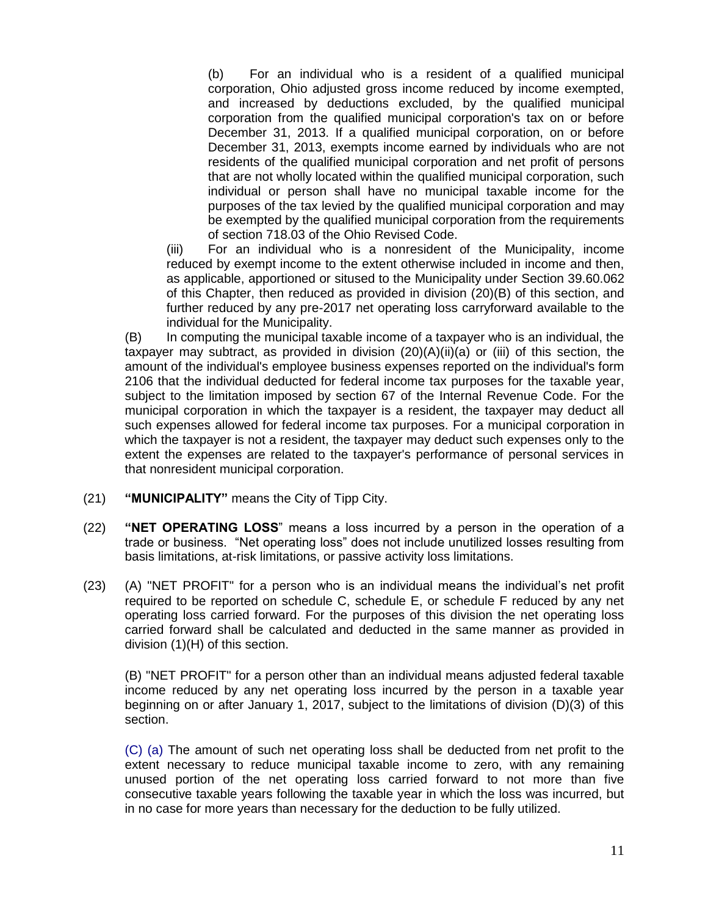(b) For an individual who is a resident of a qualified municipal corporation, Ohio adjusted gross income reduced by income exempted, and increased by deductions excluded, by the qualified municipal corporation from the qualified municipal corporation's tax on or before December 31, 2013. If a qualified municipal corporation, on or before December 31, 2013, exempts income earned by individuals who are not residents of the qualified municipal corporation and net profit of persons that are not wholly located within the qualified municipal corporation, such individual or person shall have no municipal taxable income for the purposes of the tax levied by the qualified municipal corporation and may be exempted by the qualified municipal corporation from the requirements of section [718.03](http://codes.ohio.gov/orc/718.03) of the Ohio Revised Code.

(iii) For an individual who is a nonresident of the Municipality, income reduced by exempt income to the extent otherwise included in income and then, as applicable, apportioned or sitused to the Municipality under Section 39.60.062 of this Chapter, then reduced as provided in division (20)(B) of this section, and further reduced by any pre-2017 net operating loss carryforward available to the individual for the Municipality.

(B) In computing the municipal taxable income of a taxpayer who is an individual, the taxpayer may subtract, as provided in division  $(20)(A)(ii)(a)$  or (iii) of this section, the amount of the individual's employee business expenses reported on the individual's form 2106 that the individual deducted for federal income tax purposes for the taxable year, subject to the limitation imposed by section 67 of the Internal Revenue Code. For the municipal corporation in which the taxpayer is a resident, the taxpayer may deduct all such expenses allowed for federal income tax purposes. For a municipal corporation in which the taxpayer is not a resident, the taxpayer may deduct such expenses only to the extent the expenses are related to the taxpayer's performance of personal services in that nonresident municipal corporation.

- (21) **"MUNICIPALITY"** means the City of Tipp City.
- (22) **"NET OPERATING LOSS**" means a loss incurred by a person in the operation of a trade or business. "Net operating loss" does not include unutilized losses resulting from basis limitations, at-risk limitations, or passive activity loss limitations.
- (23) (A) "NET PROFIT" for a person who is an individual means the individual's net profit required to be reported on schedule C, schedule E, or schedule F reduced by any net operating loss carried forward. For the purposes of this division the net operating loss carried forward shall be calculated and deducted in the same manner as provided in division (1)(H) of this section.

(B) "NET PROFIT" for a person other than an individual means adjusted federal taxable income reduced by any net operating loss incurred by the person in a taxable year beginning on or after January 1, 2017, subject to the limitations of division (D)(3) of this section.

(C) (a) The amount of such net operating loss shall be deducted from net profit to the extent necessary to reduce municipal taxable income to zero, with any remaining unused portion of the net operating loss carried forward to not more than five consecutive taxable years following the taxable year in which the loss was incurred, but in no case for more years than necessary for the deduction to be fully utilized.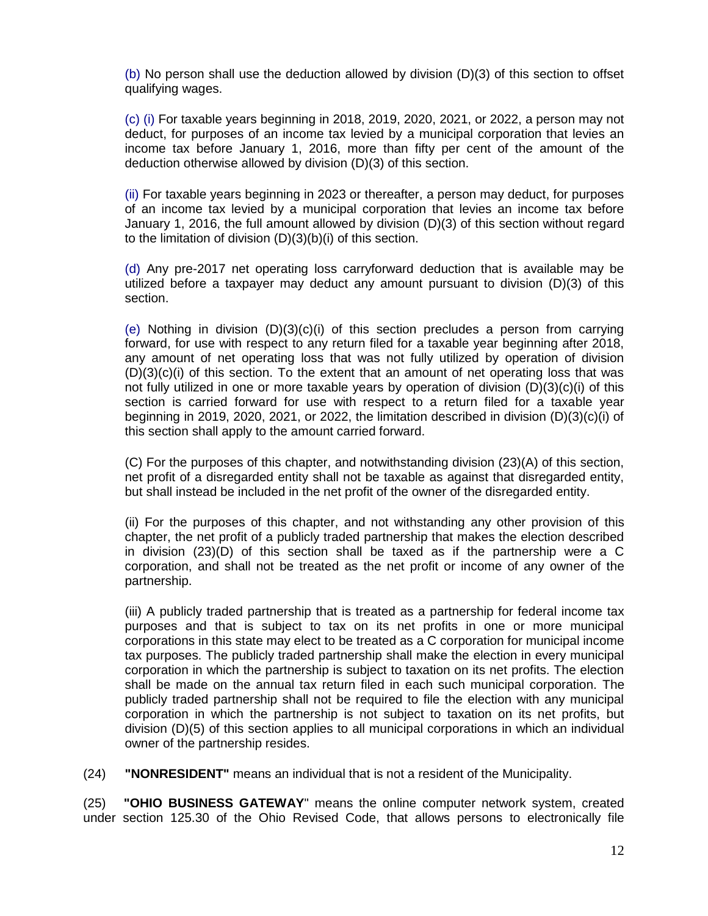(b) No person shall use the deduction allowed by division (D)(3) of this section to offset qualifying wages.

(c) (i) For taxable years beginning in 2018, 2019, 2020, 2021, or 2022, a person may not deduct, for purposes of an income tax levied by a municipal corporation that levies an income tax before January 1, 2016, more than fifty per cent of the amount of the deduction otherwise allowed by division (D)(3) of this section.

(ii) For taxable years beginning in 2023 or thereafter, a person may deduct, for purposes of an income tax levied by a municipal corporation that levies an income tax before January 1, 2016, the full amount allowed by division (D)(3) of this section without regard to the limitation of division (D)(3)(b)(i) of this section.

(d) Any pre-2017 net operating loss carryforward deduction that is available may be utilized before a taxpayer may deduct any amount pursuant to division (D)(3) of this section.

(e) Nothing in division  $(D)(3)(c)(i)$  of this section precludes a person from carrying forward, for use with respect to any return filed for a taxable year beginning after 2018, any amount of net operating loss that was not fully utilized by operation of division  $(D)(3)(c)(i)$  of this section. To the extent that an amount of net operating loss that was not fully utilized in one or more taxable years by operation of division  $(D)(3)(c)(i)$  of this section is carried forward for use with respect to a return filed for a taxable year beginning in 2019, 2020, 2021, or 2022, the limitation described in division (D)(3)(c)(i) of this section shall apply to the amount carried forward.

(C) For the purposes of this chapter, and notwithstanding division (23)(A) of this section, net profit of a disregarded entity shall not be taxable as against that disregarded entity, but shall instead be included in the net profit of the owner of the disregarded entity.

(ii) For the purposes of this chapter, and not withstanding any other provision of this chapter, the net profit of a publicly traded partnership that makes the election described in division (23)(D) of this section shall be taxed as if the partnership were a C corporation, and shall not be treated as the net profit or income of any owner of the partnership.

(iii) A publicly traded partnership that is treated as a partnership for federal income tax purposes and that is subject to tax on its net profits in one or more municipal corporations in this state may elect to be treated as a C corporation for municipal income tax purposes. The publicly traded partnership shall make the election in every municipal corporation in which the partnership is subject to taxation on its net profits. The election shall be made on the annual tax return filed in each such municipal corporation. The publicly traded partnership shall not be required to file the election with any municipal corporation in which the partnership is not subject to taxation on its net profits, but division (D)(5) of this section applies to all municipal corporations in which an individual owner of the partnership resides.

(24) **"NONRESIDENT"** means an individual that is not a resident of the Municipality.

(25) **"OHIO BUSINESS GATEWAY**" means the online computer network system, created under section [125.30](http://codes.ohio.gov/orc/125.30) of the Ohio Revised Code, that allows persons to electronically file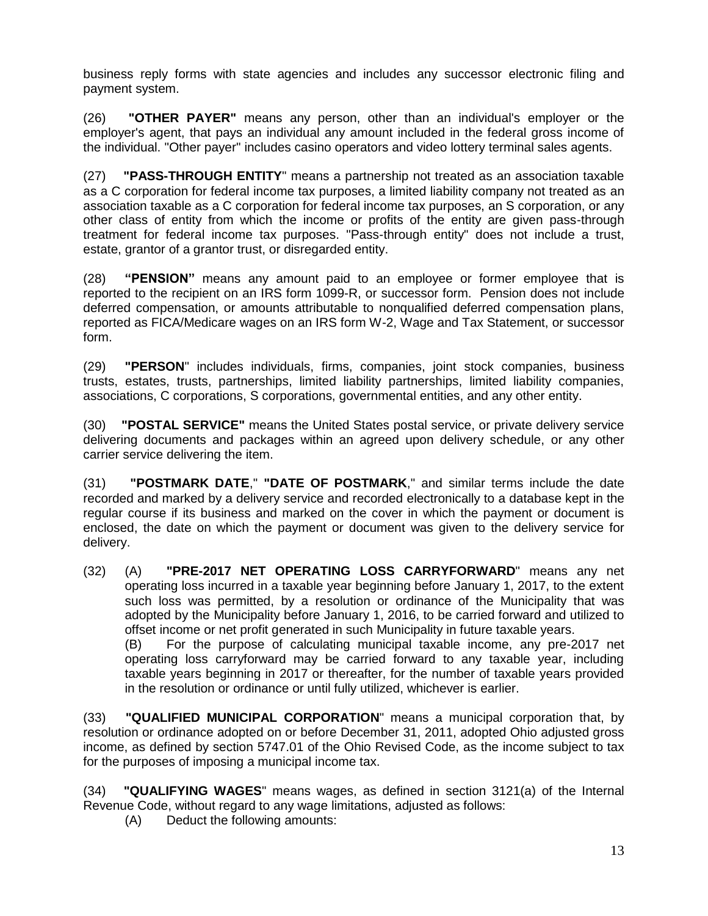business reply forms with state agencies and includes any successor electronic filing and payment system.

(26) **"OTHER PAYER"** means any person, other than an individual's employer or the employer's agent, that pays an individual any amount included in the federal gross income of the individual. "Other payer" includes casino operators and video lottery terminal sales agents.

(27) **"PASS-THROUGH ENTITY**" means a partnership not treated as an association taxable as a C corporation for federal income tax purposes, a limited liability company not treated as an association taxable as a C corporation for federal income tax purposes, an S corporation, or any other class of entity from which the income or profits of the entity are given pass-through treatment for federal income tax purposes. "Pass-through entity" does not include a trust, estate, grantor of a grantor trust, or disregarded entity.

(28) **"PENSION"** means any amount paid to an employee or former employee that is reported to the recipient on an IRS form 1099-R, or successor form. Pension does not include deferred compensation, or amounts attributable to nonqualified deferred compensation plans, reported as FICA/Medicare wages on an IRS form W-2, Wage and Tax Statement, or successor form.

(29) **"PERSON**" includes individuals, firms, companies, joint stock companies, business trusts, estates, trusts, partnerships, limited liability partnerships, limited liability companies, associations, C corporations, S corporations, governmental entities, and any other entity.

(30) **"POSTAL SERVICE"** means the United States postal service, or private delivery service delivering documents and packages within an agreed upon delivery schedule, or any other carrier service delivering the item.

(31) **"POSTMARK DATE**," **"DATE OF POSTMARK**," and similar terms include the date recorded and marked by a delivery service and recorded electronically to a database kept in the regular course if its business and marked on the cover in which the payment or document is enclosed, the date on which the payment or document was given to the delivery service for delivery.

(32) (A) **"PRE-2017 NET OPERATING LOSS CARRYFORWARD**" means any net operating loss incurred in a taxable year beginning before January 1, 2017, to the extent such loss was permitted, by a resolution or ordinance of the Municipality that was adopted by the Municipality before January 1, 2016, to be carried forward and utilized to offset income or net profit generated in such Municipality in future taxable years.

(B) For the purpose of calculating municipal taxable income, any pre-2017 net operating loss carryforward may be carried forward to any taxable year, including taxable years beginning in 2017 or thereafter, for the number of taxable years provided in the resolution or ordinance or until fully utilized, whichever is earlier.

(33) **"QUALIFIED MUNICIPAL CORPORATION**" means a municipal corporation that, by resolution or ordinance adopted on or before December 31, 2011, adopted Ohio adjusted gross income, as defined by section [5747.01](http://codes.ohio.gov/orc/5747.01) of the Ohio Revised Code, as the income subject to tax for the purposes of imposing a municipal income tax.

(34) **"QUALIFYING WAGES**" means wages, as defined in section 3121(a) of the Internal Revenue Code, without regard to any wage limitations, adjusted as follows:

(A) Deduct the following amounts: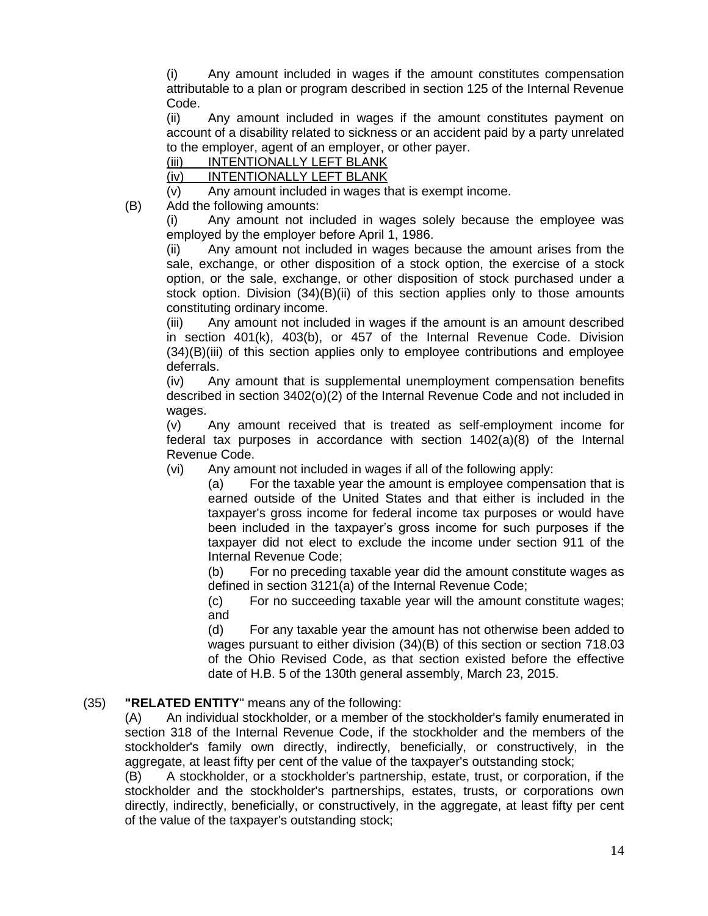(i) Any amount included in wages if the amount constitutes compensation attributable to a plan or program described in section 125 of the Internal Revenue Code.

(ii) Any amount included in wages if the amount constitutes payment on account of a disability related to sickness or an accident paid by a party unrelated to the employer, agent of an employer, or other payer.

(iii) INTENTIONALLY LEFT BLANK

(iv) INTENTIONALLY LEFT BLANK

(v) Any amount included in wages that is exempt income.

(B) Add the following amounts:

(i) Any amount not included in wages solely because the employee was employed by the employer before April 1, 1986.

(ii) Any amount not included in wages because the amount arises from the sale, exchange, or other disposition of a stock option, the exercise of a stock option, or the sale, exchange, or other disposition of stock purchased under a stock option. Division (34)(B)(ii) of this section applies only to those amounts constituting ordinary income.

(iii) Any amount not included in wages if the amount is an amount described in section 401(k), 403(b), or 457 of the Internal Revenue Code. Division (34)(B)(iii) of this section applies only to employee contributions and employee deferrals.

(iv) Any amount that is supplemental unemployment compensation benefits described in section 3402(o)(2) of the Internal Revenue Code and not included in wages.

(v) Any amount received that is treated as self-employment income for federal tax purposes in accordance with section 1402(a)(8) of the Internal Revenue Code.

(vi) Any amount not included in wages if all of the following apply:

(a) For the taxable year the amount is employee compensation that is earned outside of the United States and that either is included in the taxpayer's gross income for federal income tax purposes or would have been included in the taxpayer's gross income for such purposes if the taxpayer did not elect to exclude the income under section 911 of the Internal Revenue Code;

(b) For no preceding taxable year did the amount constitute wages as defined in section 3121(a) of the Internal Revenue Code;

(c) For no succeeding taxable year will the amount constitute wages; and

(d) For any taxable year the amount has not otherwise been added to wages pursuant to either division (34)(B) of this section or section [718.03](http://codes.ohio.gov/orc/718.03) of the Ohio Revised Code, as that section existed before the effective date of H.B. 5 of the 130th general assembly, March 23, 2015.

# (35) **"RELATED ENTITY**" means any of the following:

(A) An individual stockholder, or a member of the stockholder's family enumerated in section 318 of the Internal Revenue Code, if the stockholder and the members of the stockholder's family own directly, indirectly, beneficially, or constructively, in the aggregate, at least fifty per cent of the value of the taxpayer's outstanding stock;

(B) A stockholder, or a stockholder's partnership, estate, trust, or corporation, if the stockholder and the stockholder's partnerships, estates, trusts, or corporations own directly, indirectly, beneficially, or constructively, in the aggregate, at least fifty per cent of the value of the taxpayer's outstanding stock;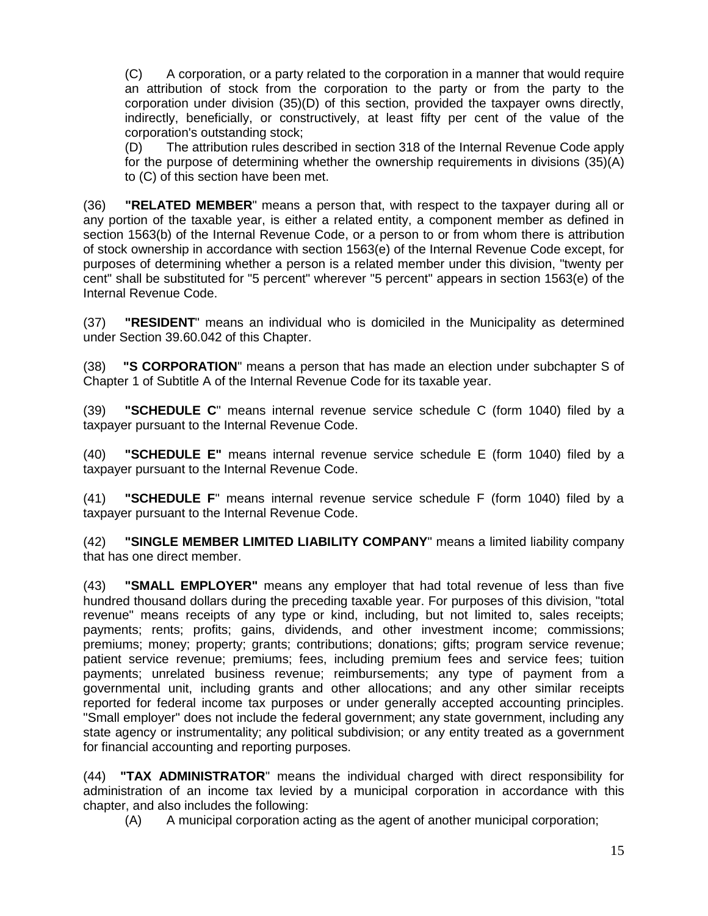(C) A corporation, or a party related to the corporation in a manner that would require an attribution of stock from the corporation to the party or from the party to the corporation under division (35)(D) of this section, provided the taxpayer owns directly, indirectly, beneficially, or constructively, at least fifty per cent of the value of the corporation's outstanding stock;

(D) The attribution rules described in section 318 of the Internal Revenue Code apply for the purpose of determining whether the ownership requirements in divisions (35)(A) to (C) of this section have been met.

(36) **"RELATED MEMBER**" means a person that, with respect to the taxpayer during all or any portion of the taxable year, is either a related entity, a component member as defined in section 1563(b) of the Internal Revenue Code, or a person to or from whom there is attribution of stock ownership in accordance with section 1563(e) of the Internal Revenue Code except, for purposes of determining whether a person is a related member under this division, "twenty per cent" shall be substituted for "5 percent" wherever "5 percent" appears in section 1563(e) of the Internal Revenue Code.

(37) **"RESIDENT**" means an individual who is domiciled in the Municipality as determined under Section 39.60.042 of this Chapter.

(38) **"S CORPORATION**" means a person that has made an election under subchapter S of Chapter 1 of Subtitle A of the Internal Revenue Code for its taxable year.

(39) **"SCHEDULE C**" means internal revenue service schedule C (form 1040) filed by a taxpayer pursuant to the Internal Revenue Code.

(40) **"SCHEDULE E"** means internal revenue service schedule E (form 1040) filed by a taxpayer pursuant to the Internal Revenue Code.

(41) **"SCHEDULE F**" means internal revenue service schedule F (form 1040) filed by a taxpayer pursuant to the Internal Revenue Code.

(42) **"SINGLE MEMBER LIMITED LIABILITY COMPANY**" means a limited liability company that has one direct member.

(43) **"SMALL EMPLOYER"** means any employer that had total revenue of less than five hundred thousand dollars during the preceding taxable year. For purposes of this division, "total revenue" means receipts of any type or kind, including, but not limited to, sales receipts; payments; rents; profits; gains, dividends, and other investment income; commissions; premiums; money; property; grants; contributions; donations; gifts; program service revenue; patient service revenue; premiums; fees, including premium fees and service fees; tuition payments; unrelated business revenue; reimbursements; any type of payment from a governmental unit, including grants and other allocations; and any other similar receipts reported for federal income tax purposes or under generally accepted accounting principles. "Small employer" does not include the federal government; any state government, including any state agency or instrumentality; any political subdivision; or any entity treated as a government for financial accounting and reporting purposes.

(44) **"TAX ADMINISTRATOR**" means the individual charged with direct responsibility for administration of an income tax levied by a municipal corporation in accordance with this chapter, and also includes the following:

(A) A municipal corporation acting as the agent of another municipal corporation;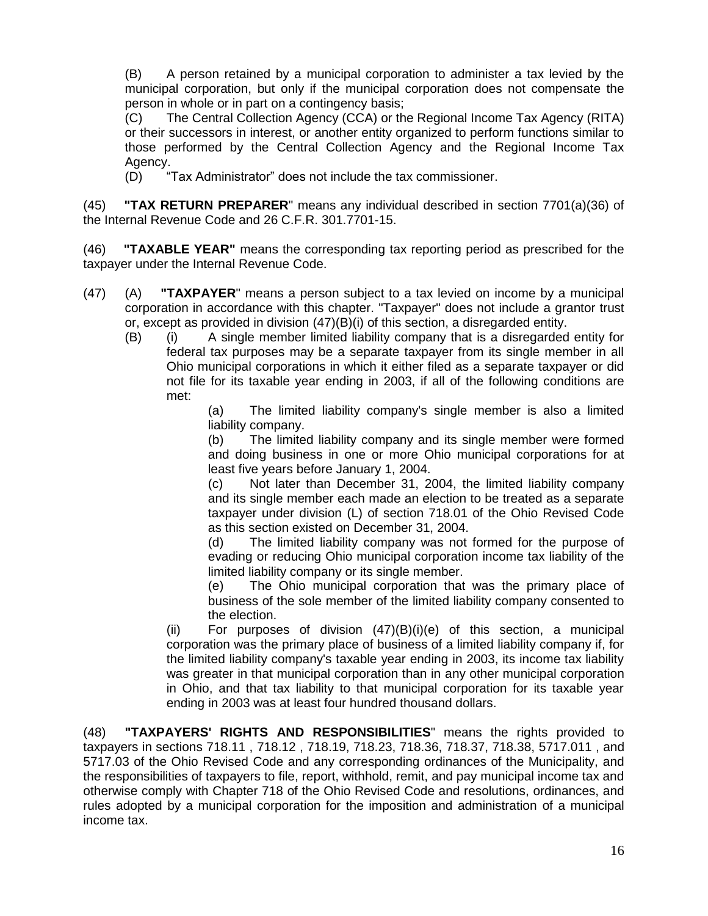(B) A person retained by a municipal corporation to administer a tax levied by the municipal corporation, but only if the municipal corporation does not compensate the person in whole or in part on a contingency basis;

(C) The Central Collection Agency (CCA) or the Regional Income Tax Agency (RITA) or their successors in interest, or another entity organized to perform functions similar to those performed by the Central Collection Agency and the Regional Income Tax Agency.

(D) "Tax Administrator" does not include the tax commissioner.

(45) **"TAX RETURN PREPARER**" means any individual described in section 7701(a)(36) of the Internal Revenue Code and 26 C.F.R. 301.7701-15.

(46) **"TAXABLE YEAR"** means the corresponding tax reporting period as prescribed for the taxpayer under the Internal Revenue Code.

- (47) (A) **"TAXPAYER**" means a person subject to a tax levied on income by a municipal corporation in accordance with this chapter. "Taxpayer" does not include a grantor trust or, except as provided in division (47)(B)(i) of this section, a disregarded entity.
	- (B) (i) A single member limited liability company that is a disregarded entity for federal tax purposes may be a separate taxpayer from its single member in all Ohio municipal corporations in which it either filed as a separate taxpayer or did not file for its taxable year ending in 2003, if all of the following conditions are met:

(a) The limited liability company's single member is also a limited liability company.

(b) The limited liability company and its single member were formed and doing business in one or more Ohio municipal corporations for at least five years before January 1, 2004.

(c) Not later than December 31, 2004, the limited liability company and its single member each made an election to be treated as a separate taxpayer under division (L) of section 718.01 of the Ohio Revised Code as this section existed on December 31, 2004.

(d) The limited liability company was not formed for the purpose of evading or reducing Ohio municipal corporation income tax liability of the limited liability company or its single member.

(e) The Ohio municipal corporation that was the primary place of business of the sole member of the limited liability company consented to the election.

(ii) For purposes of division  $(47)(B)(i)(e)$  of this section, a municipal corporation was the primary place of business of a limited liability company if, for the limited liability company's taxable year ending in 2003, its income tax liability was greater in that municipal corporation than in any other municipal corporation in Ohio, and that tax liability to that municipal corporation for its taxable year ending in 2003 was at least four hundred thousand dollars.

(48) **"TAXPAYERS' RIGHTS AND RESPONSIBILITIES**" means the rights provided to taxpayers in sections [718.11](http://codes.ohio.gov/orc/718.11) , [718.12](http://codes.ohio.gov/orc/718.12) , 718.19, 718.23, 718.36, 718.37, 718.38, [5717.011](http://codes.ohio.gov/orc/5717.011) , and [5717.03](http://codes.ohio.gov/orc/5717.03) of the Ohio Revised Code and any corresponding ordinances of the Municipality, and the responsibilities of taxpayers to file, report, withhold, remit, and pay municipal income tax and otherwise comply with Chapter 718 of the Ohio Revised Code and resolutions, ordinances, and rules adopted by a municipal corporation for the imposition and administration of a municipal income tax.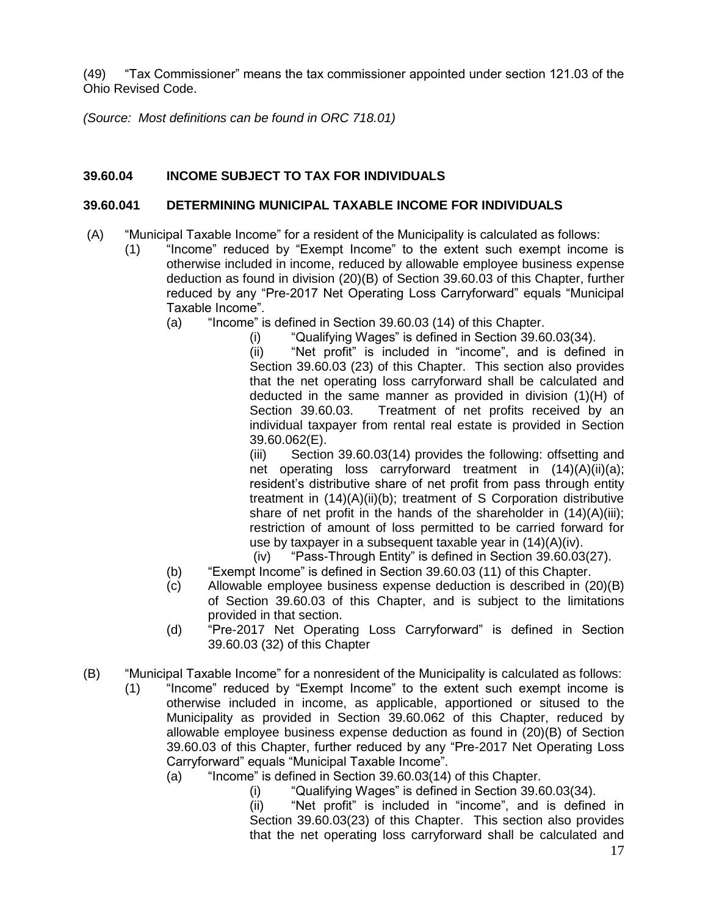(49) "Tax Commissioner" means the tax commissioner appointed under section 121.03 of the Ohio Revised Code.

*(Source: Most definitions can be found in ORC 718.01)*

# **39.60.04 INCOME SUBJECT TO TAX FOR INDIVIDUALS**

# **39.60.041 DETERMINING MUNICIPAL TAXABLE INCOME FOR INDIVIDUALS**

- (A) "Municipal Taxable Income" for a resident of the Municipality is calculated as follows:
	- (1) "Income" reduced by "Exempt Income" to the extent such exempt income is otherwise included in income, reduced by allowable employee business expense deduction as found in division (20)(B) of Section 39.60.03 of this Chapter, further reduced by any "Pre-2017 Net Operating Loss Carryforward" equals "Municipal Taxable Income".
		- (a) "Income" is defined in Section 39.60.03 (14) of this Chapter.
			- (i) "Qualifying Wages" is defined in Section 39.60.03(34).

(ii) "Net profit" is included in "income", and is defined in Section 39.60.03 (23) of this Chapter. This section also provides that the net operating loss carryforward shall be calculated and deducted in the same manner as provided in division (1)(H) of Section 39.60.03. Treatment of net profits received by an individual taxpayer from rental real estate is provided in Section 39.60.062(E).

(iii) Section 39.60.03(14) provides the following: offsetting and net operating loss carryforward treatment in (14)(A)(ii)(a); resident's distributive share of net profit from pass through entity treatment in (14)(A)(ii)(b); treatment of S Corporation distributive share of net profit in the hands of the shareholder in  $(14)(A)(iii)$ ; restriction of amount of loss permitted to be carried forward for use by taxpayer in a subsequent taxable year in (14)(A)(iv).

- (iv) "Pass-Through Entity" is defined in Section 39.60.03(27).
- (b) "Exempt Income" is defined in Section 39.60.03 (11) of this Chapter.
- (c) Allowable employee business expense deduction is described in (20)(B) of Section 39.60.03 of this Chapter, and is subject to the limitations provided in that section.
- (d) "Pre-2017 Net Operating Loss Carryforward" is defined in Section 39.60.03 (32) of this Chapter
- (B) "Municipal Taxable Income" for a nonresident of the Municipality is calculated as follows:
	- (1) "Income" reduced by "Exempt Income" to the extent such exempt income is otherwise included in income, as applicable, apportioned or sitused to the Municipality as provided in Section 39.60.062 of this Chapter, reduced by allowable employee business expense deduction as found in (20)(B) of Section 39.60.03 of this Chapter, further reduced by any "Pre-2017 Net Operating Loss Carryforward" equals "Municipal Taxable Income".
		- (a) "Income" is defined in Section 39.60.03(14) of this Chapter.
			- (i) "Qualifying Wages" is defined in Section 39.60.03(34).

(ii) "Net profit" is included in "income", and is defined in Section 39.60.03(23) of this Chapter. This section also provides that the net operating loss carryforward shall be calculated and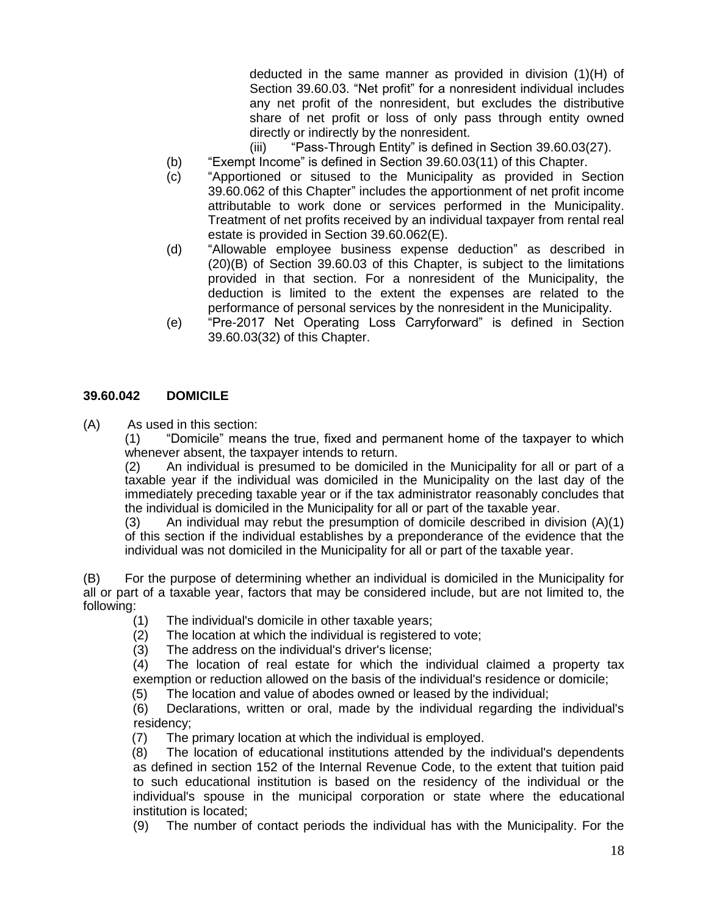deducted in the same manner as provided in division (1)(H) of Section 39.60.03. "Net profit" for a nonresident individual includes any net profit of the nonresident, but excludes the distributive share of net profit or loss of only pass through entity owned directly or indirectly by the nonresident.

- (iii) "Pass-Through Entity" is defined in Section 39.60.03(27).
- (b) "Exempt Income" is defined in Section 39.60.03(11) of this Chapter.
- (c) "Apportioned or sitused to the Municipality as provided in Section 39.60.062 of this Chapter" includes the apportionment of net profit income attributable to work done or services performed in the Municipality. Treatment of net profits received by an individual taxpayer from rental real estate is provided in Section 39.60.062(E).
- (d) "Allowable employee business expense deduction" as described in (20)(B) of Section 39.60.03 of this Chapter, is subject to the limitations provided in that section. For a nonresident of the Municipality, the deduction is limited to the extent the expenses are related to the performance of personal services by the nonresident in the Municipality.
- (e) "Pre-2017 Net Operating Loss Carryforward" is defined in Section 39.60.03(32) of this Chapter.

#### **39.60.042 DOMICILE**

(A) As used in this section:

(1) "Domicile" means the true, fixed and permanent home of the taxpayer to which whenever absent, the taxpayer intends to return.

(2) An individual is presumed to be domiciled in the Municipality for all or part of a taxable year if the individual was domiciled in the Municipality on the last day of the immediately preceding taxable year or if the tax administrator reasonably concludes that the individual is domiciled in the Municipality for all or part of the taxable year.

(3) An individual may rebut the presumption of domicile described in division (A)(1) of this section if the individual establishes by a preponderance of the evidence that the individual was not domiciled in the Municipality for all or part of the taxable year.

(B) For the purpose of determining whether an individual is domiciled in the Municipality for all or part of a taxable year, factors that may be considered include, but are not limited to, the following:

- (1) The individual's domicile in other taxable years;
- (2) The location at which the individual is registered to vote;
- (3) The address on the individual's driver's license;

(4) The location of real estate for which the individual claimed a property tax exemption or reduction allowed on the basis of the individual's residence or domicile;

(5) The location and value of abodes owned or leased by the individual;

 (6) Declarations, written or oral, made by the individual regarding the individual's residency;

(7) The primary location at which the individual is employed.

 (8) The location of educational institutions attended by the individual's dependents as defined in section 152 of the Internal Revenue Code, to the extent that tuition paid to such educational institution is based on the residency of the individual or the individual's spouse in the municipal corporation or state where the educational institution is located;

(9) The number of contact periods the individual has with the Municipality. For the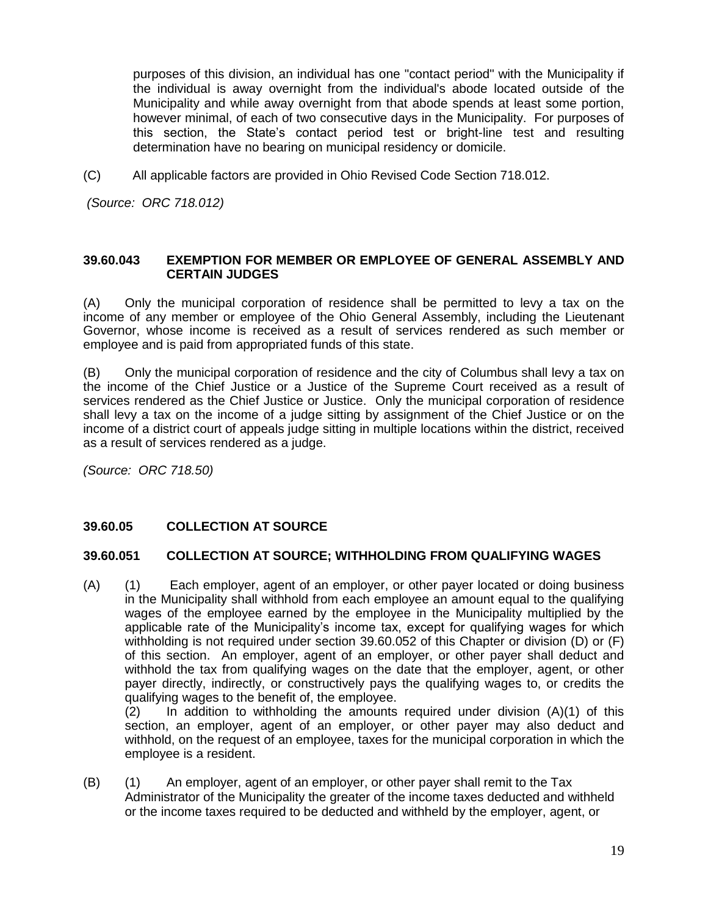purposes of this division, an individual has one "contact period" with the Municipality if the individual is away overnight from the individual's abode located outside of the Municipality and while away overnight from that abode spends at least some portion, however minimal, of each of two consecutive days in the Municipality. For purposes of this section, the State's contact period test or bright-line test and resulting determination have no bearing on municipal residency or domicile.

(C) All applicable factors are provided in Ohio Revised Code Section 718.012.

*(Source: ORC 718.012)*

#### **39.60.043 EXEMPTION FOR MEMBER OR EMPLOYEE OF GENERAL ASSEMBLY AND CERTAIN JUDGES**

(A) Only the municipal corporation of residence shall be permitted to levy a tax on the income of any member or employee of the Ohio General Assembly, including the Lieutenant Governor, whose income is received as a result of services rendered as such member or employee and is paid from appropriated funds of this state.

(B) Only the municipal corporation of residence and the city of Columbus shall levy a tax on the income of the Chief Justice or a Justice of the Supreme Court received as a result of services rendered as the Chief Justice or Justice. Only the municipal corporation of residence shall levy a tax on the income of a judge sitting by assignment of the Chief Justice or on the income of a district court of appeals judge sitting in multiple locations within the district, received as a result of services rendered as a judge.

*(Source: ORC 718.50)*

#### **39.60.05 COLLECTION AT SOURCE**

#### **39.60.051 COLLECTION AT SOURCE; WITHHOLDING FROM QUALIFYING WAGES**

(A) (1) Each employer, agent of an employer, or other payer located or doing business in the Municipality shall withhold from each employee an amount equal to the qualifying wages of the employee earned by the employee in the Municipality multiplied by the applicable rate of the Municipality's income tax, except for qualifying wages for which withholding is not required under section 39.60.052 of this Chapter or division (D) or (F) of this section. An employer, agent of an employer, or other payer shall deduct and withhold the tax from qualifying wages on the date that the employer, agent, or other payer directly, indirectly, or constructively pays the qualifying wages to, or credits the qualifying wages to the benefit of, the employee.

 $(2)$  In addition to withholding the amounts required under division  $(A)(1)$  of this section, an employer, agent of an employer, or other payer may also deduct and withhold, on the request of an employee, taxes for the municipal corporation in which the employee is a resident.

(B) (1) An employer, agent of an employer, or other payer shall remit to the Tax Administrator of the Municipality the greater of the income taxes deducted and withheld or the income taxes required to be deducted and withheld by the employer, agent, or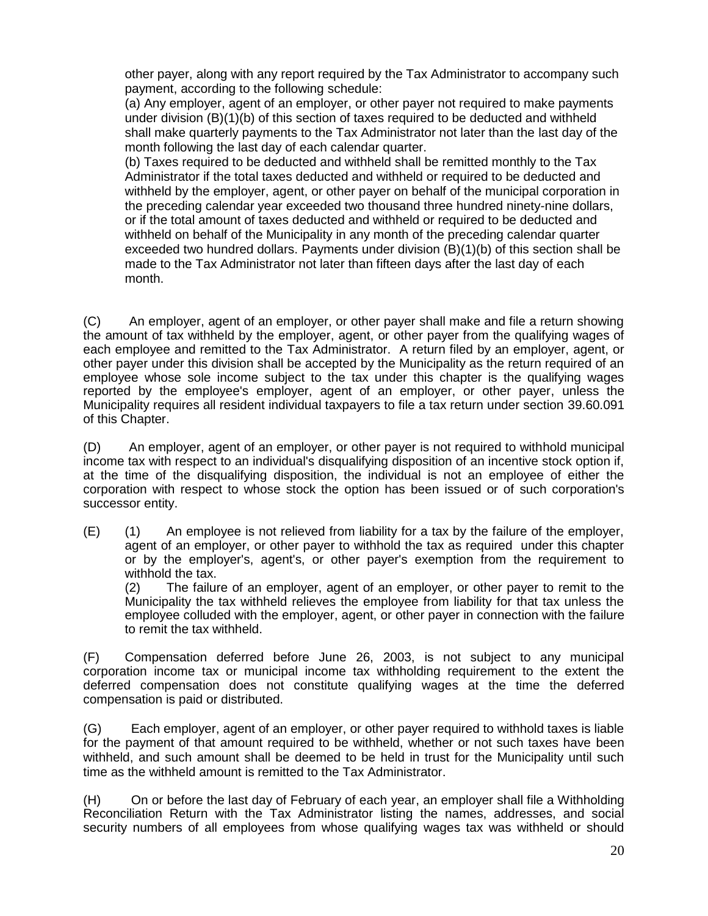other payer, along with any report required by the Tax Administrator to accompany such payment, according to the following schedule:

(a) Any employer, agent of an employer, or other payer not required to make payments under division (B)(1)(b) of this section of taxes required to be deducted and withheld shall make quarterly payments to the Tax Administrator not later than the last day of the month following the last day of each calendar quarter.

(b) Taxes required to be deducted and withheld shall be remitted monthly to the Tax Administrator if the total taxes deducted and withheld or required to be deducted and withheld by the employer, agent, or other payer on behalf of the municipal corporation in the preceding calendar year exceeded two thousand three hundred ninety-nine dollars, or if the total amount of taxes deducted and withheld or required to be deducted and withheld on behalf of the Municipality in any month of the preceding calendar quarter exceeded two hundred dollars. Payments under division (B)(1)(b) of this section shall be made to the Tax Administrator not later than fifteen days after the last day of each month.

(C) An employer, agent of an employer, or other payer shall make and file a return showing the amount of tax withheld by the employer, agent, or other payer from the qualifying wages of each employee and remitted to the Tax Administrator. A return filed by an employer, agent, or other payer under this division shall be accepted by the Municipality as the return required of an employee whose sole income subject to the tax under this chapter is the qualifying wages reported by the employee's employer, agent of an employer, or other payer, unless the Municipality requires all resident individual taxpayers to file a tax return under section 39.60.091 of this Chapter.

(D) An employer, agent of an employer, or other payer is not required to withhold municipal income tax with respect to an individual's disqualifying disposition of an incentive stock option if, at the time of the disqualifying disposition, the individual is not an employee of either the corporation with respect to whose stock the option has been issued or of such corporation's successor entity.

(E) (1) An employee is not relieved from liability for a tax by the failure of the employer, agent of an employer, or other payer to withhold the tax as required under this chapter or by the employer's, agent's, or other payer's exemption from the requirement to withhold the tax.

(2) The failure of an employer, agent of an employer, or other payer to remit to the Municipality the tax withheld relieves the employee from liability for that tax unless the employee colluded with the employer, agent, or other payer in connection with the failure to remit the tax withheld.

(F) Compensation deferred before June 26, 2003, is not subject to any municipal corporation income tax or municipal income tax withholding requirement to the extent the deferred compensation does not constitute qualifying wages at the time the deferred compensation is paid or distributed.

(G) Each employer, agent of an employer, or other payer required to withhold taxes is liable for the payment of that amount required to be withheld, whether or not such taxes have been withheld, and such amount shall be deemed to be held in trust for the Municipality until such time as the withheld amount is remitted to the Tax Administrator.

(H) On or before the last day of February of each year, an employer shall file a Withholding Reconciliation Return with the Tax Administrator listing the names, addresses, and social security numbers of all employees from whose qualifying wages tax was withheld or should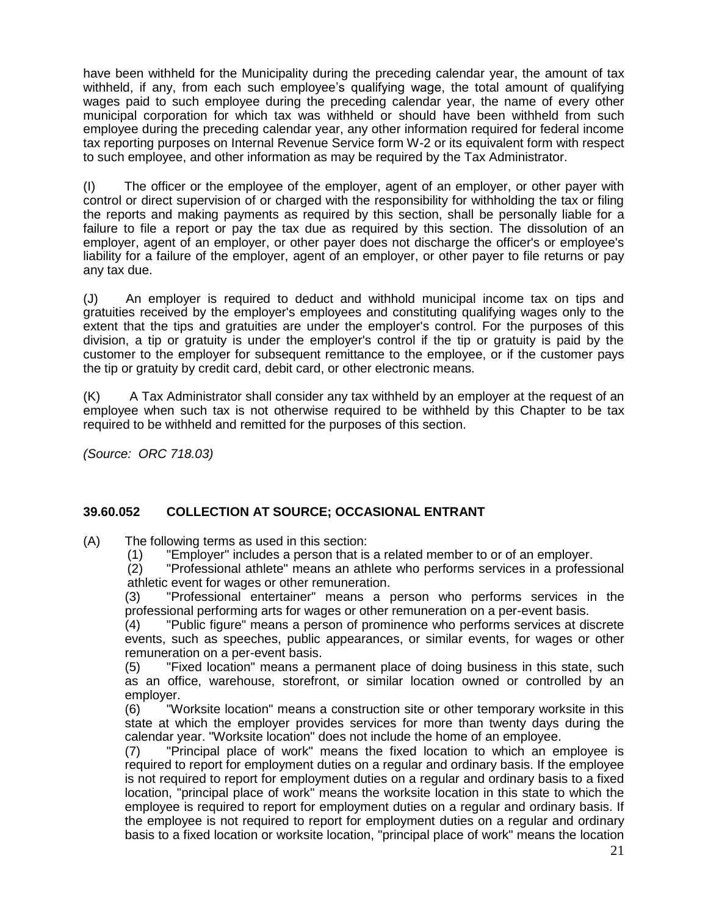have been withheld for the Municipality during the preceding calendar year, the amount of tax withheld, if any, from each such employee's qualifying wage, the total amount of qualifying wages paid to such employee during the preceding calendar year, the name of every other municipal corporation for which tax was withheld or should have been withheld from such employee during the preceding calendar year, any other information required for federal income tax reporting purposes on Internal Revenue Service form W-2 or its equivalent form with respect to such employee, and other information as may be required by the Tax Administrator.

(I) The officer or the employee of the employer, agent of an employer, or other payer with control or direct supervision of or charged with the responsibility for withholding the tax or filing the reports and making payments as required by this section, shall be personally liable for a failure to file a report or pay the tax due as required by this section. The dissolution of an employer, agent of an employer, or other payer does not discharge the officer's or employee's liability for a failure of the employer, agent of an employer, or other payer to file returns or pay any tax due.

(J) An employer is required to deduct and withhold municipal income tax on tips and gratuities received by the employer's employees and constituting qualifying wages only to the extent that the tips and gratuities are under the employer's control. For the purposes of this division, a tip or gratuity is under the employer's control if the tip or gratuity is paid by the customer to the employer for subsequent remittance to the employee, or if the customer pays the tip or gratuity by credit card, debit card, or other electronic means.

(K) A Tax Administrator shall consider any tax withheld by an employer at the request of an employee when such tax is not otherwise required to be withheld by this Chapter to be tax required to be withheld and remitted for the purposes of this section.

*(Source: ORC 718.03)*

# **39.60.052 COLLECTION AT SOURCE; OCCASIONAL ENTRANT**

(A) The following terms as used in this section:

(1) "Employer" includes a person that is a related member to or of an employer.

(2) "Professional athlete" means an athlete who performs services in a professional athletic event for wages or other remuneration.

(3) "Professional entertainer" means a person who performs services in the professional performing arts for wages or other remuneration on a per-event basis.<br>(4) Teublic figure" means a person of prominence who performs services at dis

"Public figure" means a person of prominence who performs services at discrete events, such as speeches, public appearances, or similar events, for wages or other remuneration on a per-event basis.

(5) "Fixed location" means a permanent place of doing business in this state, such as an office, warehouse, storefront, or similar location owned or controlled by an employer.

(6) "Worksite location" means a construction site or other temporary worksite in this state at which the employer provides services for more than twenty days during the calendar year. "Worksite location" does not include the home of an employee.

(7) "Principal place of work" means the fixed location to which an employee is required to report for employment duties on a regular and ordinary basis. If the employee is not required to report for employment duties on a regular and ordinary basis to a fixed location, "principal place of work" means the worksite location in this state to which the employee is required to report for employment duties on a regular and ordinary basis. If the employee is not required to report for employment duties on a regular and ordinary basis to a fixed location or worksite location, "principal place of work" means the location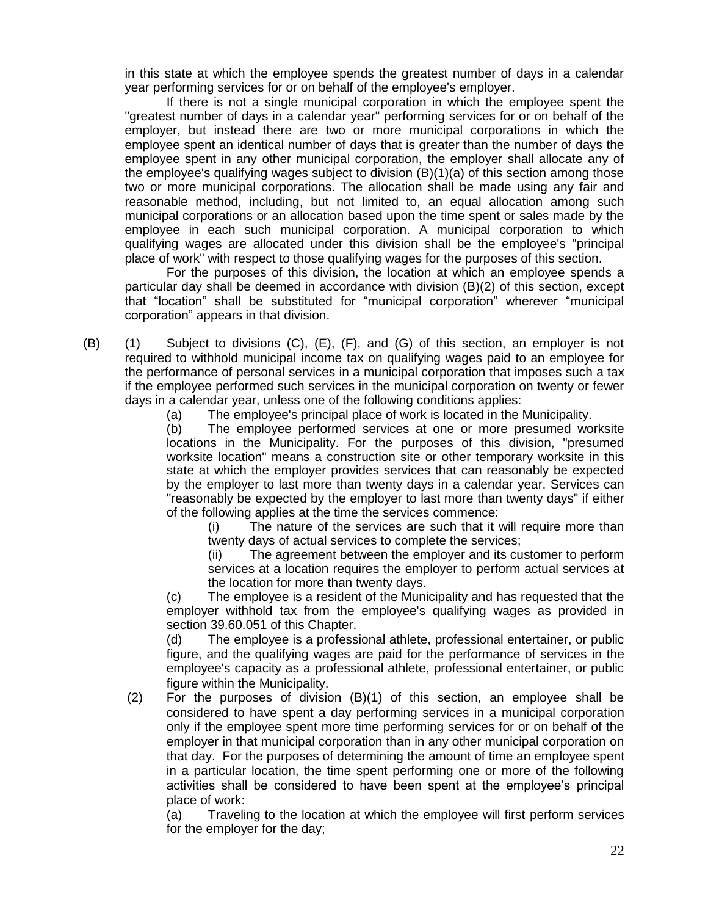in this state at which the employee spends the greatest number of days in a calendar year performing services for or on behalf of the employee's employer.

If there is not a single municipal corporation in which the employee spent the "greatest number of days in a calendar year" performing services for or on behalf of the employer, but instead there are two or more municipal corporations in which the employee spent an identical number of days that is greater than the number of days the employee spent in any other municipal corporation, the employer shall allocate any of the employee's qualifying wages subject to division (B)(1)(a) of this section among those two or more municipal corporations. The allocation shall be made using any fair and reasonable method, including, but not limited to, an equal allocation among such municipal corporations or an allocation based upon the time spent or sales made by the employee in each such municipal corporation. A municipal corporation to which qualifying wages are allocated under this division shall be the employee's "principal place of work" with respect to those qualifying wages for the purposes of this section.

For the purposes of this division, the location at which an employee spends a particular day shall be deemed in accordance with division (B)(2) of this section, except that "location" shall be substituted for "municipal corporation" wherever "municipal corporation" appears in that division.

(B) (1) Subject to divisions (C), (E), (F), and (G) of this section, an employer is not required to withhold municipal income tax on qualifying wages paid to an employee for the performance of personal services in a municipal corporation that imposes such a tax if the employee performed such services in the municipal corporation on twenty or fewer days in a calendar year, unless one of the following conditions applies:

(a) The employee's principal place of work is located in the Municipality.

(b) The employee performed services at one or more presumed worksite locations in the Municipality. For the purposes of this division, "presumed worksite location" means a construction site or other temporary worksite in this state at which the employer provides services that can reasonably be expected by the employer to last more than twenty days in a calendar year. Services can "reasonably be expected by the employer to last more than twenty days" if either of the following applies at the time the services commence:

(i) The nature of the services are such that it will require more than twenty days of actual services to complete the services;

(ii) The agreement between the employer and its customer to perform services at a location requires the employer to perform actual services at the location for more than twenty days.

(c) The employee is a resident of the Municipality and has requested that the employer withhold tax from the employee's qualifying wages as provided in section 39.60.051 of this Chapter.

 (d) The employee is a professional athlete, professional entertainer, or public figure, and the qualifying wages are paid for the performance of services in the employee's capacity as a professional athlete, professional entertainer, or public figure within the Municipality.

(2) For the purposes of division (B)(1) of this section, an employee shall be considered to have spent a day performing services in a municipal corporation only if the employee spent more time performing services for or on behalf of the employer in that municipal corporation than in any other municipal corporation on that day. For the purposes of determining the amount of time an employee spent in a particular location, the time spent performing one or more of the following activities shall be considered to have been spent at the employee's principal place of work:

(a) Traveling to the location at which the employee will first perform services for the employer for the day;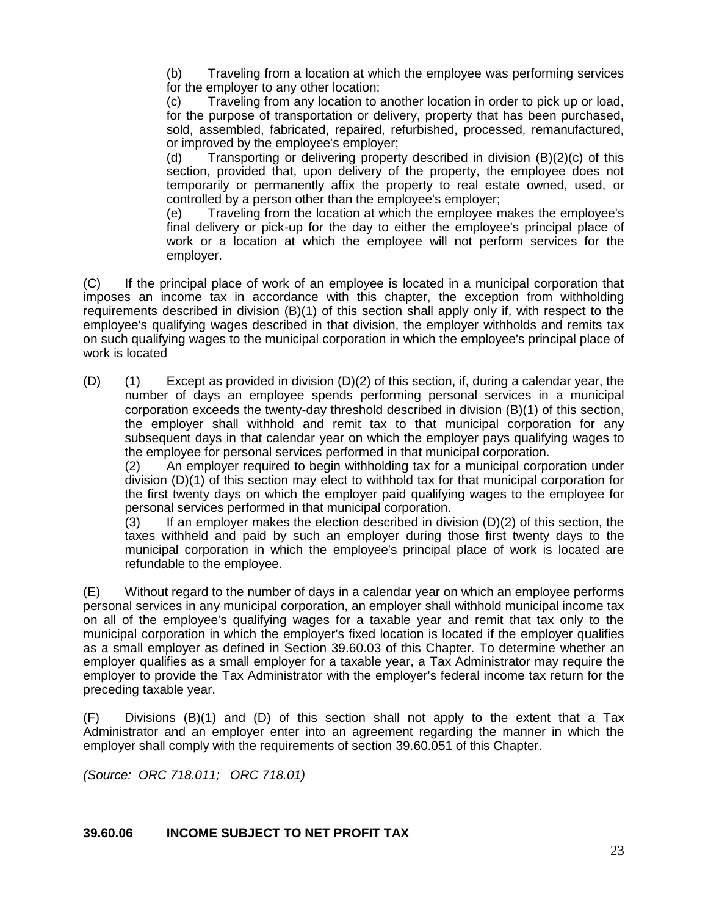(b) Traveling from a location at which the employee was performing services for the employer to any other location;

(c) Traveling from any location to another location in order to pick up or load, for the purpose of transportation or delivery, property that has been purchased, sold, assembled, fabricated, repaired, refurbished, processed, remanufactured, or improved by the employee's employer;

(d) Transporting or delivering property described in division (B)(2)(c) of this section, provided that, upon delivery of the property, the employee does not temporarily or permanently affix the property to real estate owned, used, or controlled by a person other than the employee's employer;

(e) Traveling from the location at which the employee makes the employee's final delivery or pick-up for the day to either the employee's principal place of work or a location at which the employee will not perform services for the employer.

(C) If the principal place of work of an employee is located in a municipal corporation that imposes an income tax in accordance with this chapter, the exception from withholding requirements described in division (B)(1) of this section shall apply only if, with respect to the employee's qualifying wages described in that division, the employer withholds and remits tax on such qualifying wages to the municipal corporation in which the employee's principal place of work is located

(D) (1) Except as provided in division (D)(2) of this section, if, during a calendar year, the number of days an employee spends performing personal services in a municipal corporation exceeds the twenty-day threshold described in division (B)(1) of this section, the employer shall withhold and remit tax to that municipal corporation for any subsequent days in that calendar year on which the employer pays qualifying wages to the employee for personal services performed in that municipal corporation.

(2) An employer required to begin withholding tax for a municipal corporation under division (D)(1) of this section may elect to withhold tax for that municipal corporation for the first twenty days on which the employer paid qualifying wages to the employee for personal services performed in that municipal corporation.

 $(3)$  If an employer makes the election described in division  $(D)(2)$  of this section, the taxes withheld and paid by such an employer during those first twenty days to the municipal corporation in which the employee's principal place of work is located are refundable to the employee.

(E) Without regard to the number of days in a calendar year on which an employee performs personal services in any municipal corporation, an employer shall withhold municipal income tax on all of the employee's qualifying wages for a taxable year and remit that tax only to the municipal corporation in which the employer's fixed location is located if the employer qualifies as a small employer as defined in Section 39.60.03 of this Chapter. To determine whether an employer qualifies as a small employer for a taxable year, a Tax Administrator may require the employer to provide the Tax Administrator with the employer's federal income tax return for the preceding taxable year.

(F) Divisions (B)(1) and (D) of this section shall not apply to the extent that a Tax Administrator and an employer enter into an agreement regarding the manner in which the employer shall comply with the requirements of section 39.60.051 of this Chapter.

*(Source: ORC 718.011; ORC 718.01)*

#### **39.60.06 INCOME SUBJECT TO NET PROFIT TAX**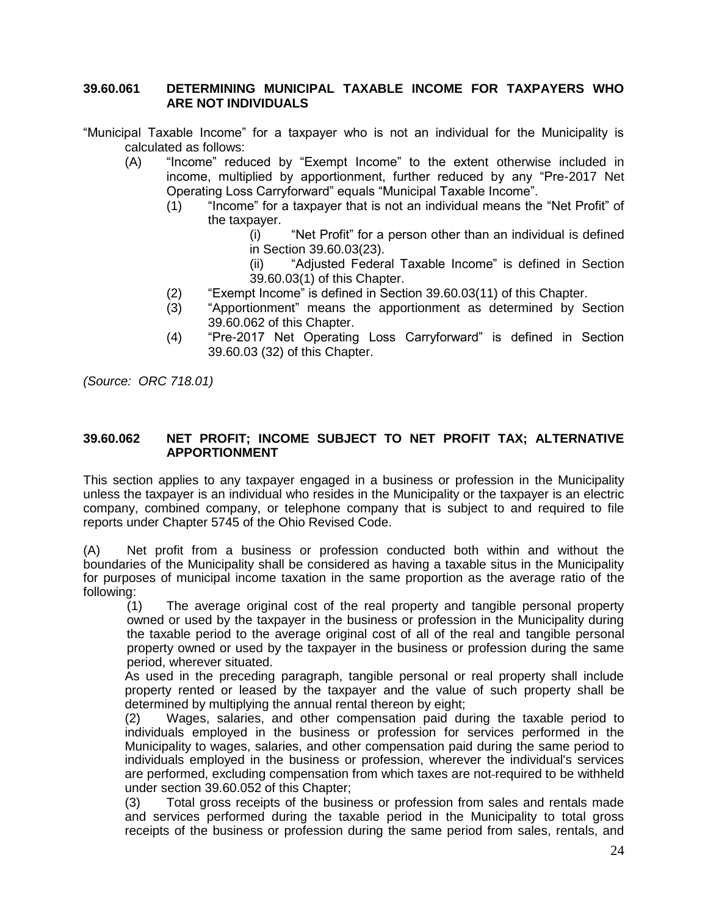#### **39.60.061 DETERMINING MUNICIPAL TAXABLE INCOME FOR TAXPAYERS WHO ARE NOT INDIVIDUALS**

- "Municipal Taxable Income" for a taxpayer who is not an individual for the Municipality is calculated as follows:
	- (A) "Income" reduced by "Exempt Income" to the extent otherwise included in income, multiplied by apportionment, further reduced by any "Pre-2017 Net Operating Loss Carryforward" equals "Municipal Taxable Income".
		- (1) "Income" for a taxpayer that is not an individual means the "Net Profit" of the taxpayer.
			- (i) "Net Profit" for a person other than an individual is defined in Section 39.60.03(23).

(ii) "Adjusted Federal Taxable Income" is defined in Section 39.60.03(1) of this Chapter.

- (2) "Exempt Income" is defined in Section 39.60.03(11) of this Chapter.
- (3) "Apportionment" means the apportionment as determined by Section 39.60.062 of this Chapter.
- (4) "Pre-2017 Net Operating Loss Carryforward" is defined in Section 39.60.03 (32) of this Chapter.

*(Source: ORC 718.01)*

#### **39.60.062 NET PROFIT; INCOME SUBJECT TO NET PROFIT TAX; ALTERNATIVE APPORTIONMENT**

This section applies to any taxpayer engaged in a business or profession in the Municipality unless the taxpayer is an individual who resides in the Municipality or the taxpayer is an electric company, combined company, or telephone company that is subject to and required to file reports under Chapter 5745 of the Ohio Revised Code.

(A) Net profit from a business or profession conducted both within and without the boundaries of the Municipality shall be considered as having a taxable situs in the Municipality for purposes of municipal income taxation in the same proportion as the average ratio of the following:

(1) The average original cost of the real property and tangible personal property owned or used by the taxpayer in the business or profession in the Municipality during the taxable period to the average original cost of all of the real and tangible personal property owned or used by the taxpayer in the business or profession during the same period, wherever situated.

As used in the preceding paragraph, tangible personal or real property shall include property rented or leased by the taxpayer and the value of such property shall be determined by multiplying the annual rental thereon by eight;

(2) Wages, salaries, and other compensation paid during the taxable period to individuals employed in the business or profession for services performed in the Municipality to wages, salaries, and other compensation paid during the same period to individuals employed in the business or profession, wherever the individual's services are performed, excluding compensation from which taxes are not-required to be withheld under section 39.60.052 of this Chapter;

(3) Total gross receipts of the business or profession from sales and rentals made and services performed during the taxable period in the Municipality to total gross receipts of the business or profession during the same period from sales, rentals, and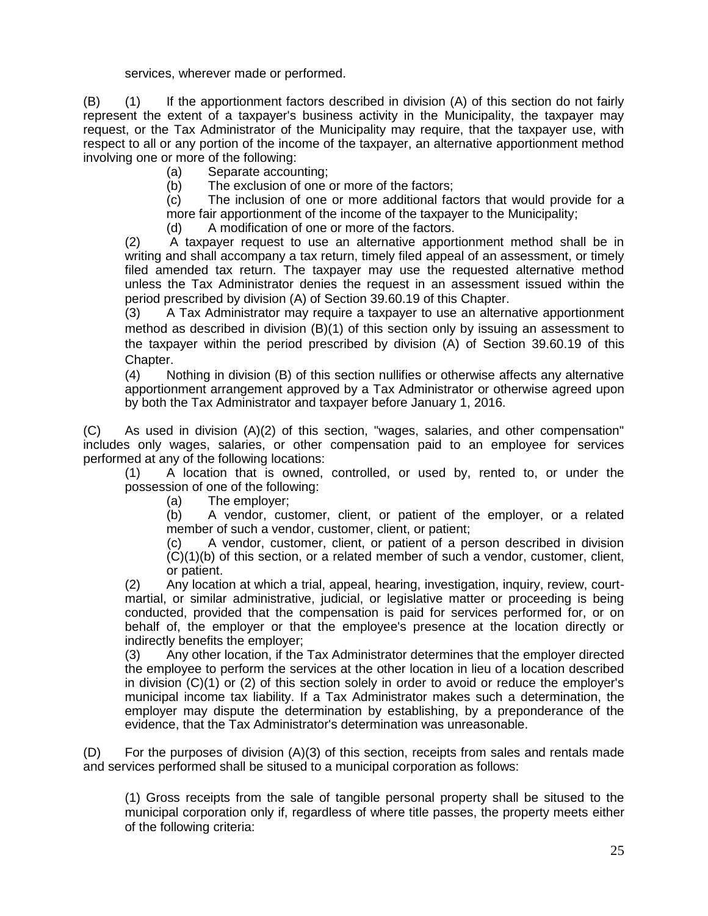services, wherever made or performed.

(B) (1) If the apportionment factors described in division (A) of this section do not fairly represent the extent of a taxpayer's business activity in the Municipality, the taxpayer may request, or the Tax Administrator of the Municipality may require, that the taxpayer use, with respect to all or any portion of the income of the taxpayer, an alternative apportionment method involving one or more of the following:

(a) Separate accounting;

(b) The exclusion of one or more of the factors;

(c) The inclusion of one or more additional factors that would provide for a more fair apportionment of the income of the taxpayer to the Municipality;

(d) A modification of one or more of the factors.

(2) A taxpayer request to use an alternative apportionment method shall be in writing and shall accompany a tax return, timely filed appeal of an assessment, or timely filed amended tax return. The taxpayer may use the requested alternative method unless the Tax Administrator denies the request in an assessment issued within the period prescribed by division (A) of Section 39.60.19 of this Chapter.

(3) A Tax Administrator may require a taxpayer to use an alternative apportionment method as described in division  $(B)(1)$  of this section only by issuing an assessment to the taxpayer within the period prescribed by division (A) of Section 39.60.19 of this Chapter.

(4) Nothing in division (B) of this section nullifies or otherwise affects any alternative apportionment arrangement approved by a Tax Administrator or otherwise agreed upon by both the Tax Administrator and taxpayer before January 1, 2016.

(C) As used in division (A)(2) of this section, "wages, salaries, and other compensation" includes only wages, salaries, or other compensation paid to an employee for services performed at any of the following locations:

(1) A location that is owned, controlled, or used by, rented to, or under the possession of one of the following:

(a) The employer;

(b) A vendor, customer, client, or patient of the employer, or a related member of such a vendor, customer, client, or patient;

(c) A vendor, customer, client, or patient of a person described in division (C)(1)(b) of this section, or a related member of such a vendor, customer, client, or patient.

(2) Any location at which a trial, appeal, hearing, investigation, inquiry, review, courtmartial, or similar administrative, judicial, or legislative matter or proceeding is being conducted, provided that the compensation is paid for services performed for, or on behalf of, the employer or that the employee's presence at the location directly or indirectly benefits the employer;

(3) Any other location, if the Tax Administrator determines that the employer directed the employee to perform the services at the other location in lieu of a location described in division (C)(1) or (2) of this section solely in order to avoid or reduce the employer's municipal income tax liability. If a Tax Administrator makes such a determination, the employer may dispute the determination by establishing, by a preponderance of the evidence, that the Tax Administrator's determination was unreasonable.

(D) For the purposes of division (A)(3) of this section, receipts from sales and rentals made and services performed shall be sitused to a municipal corporation as follows:

(1) Gross receipts from the sale of tangible personal property shall be sitused to the municipal corporation only if, regardless of where title passes, the property meets either of the following criteria: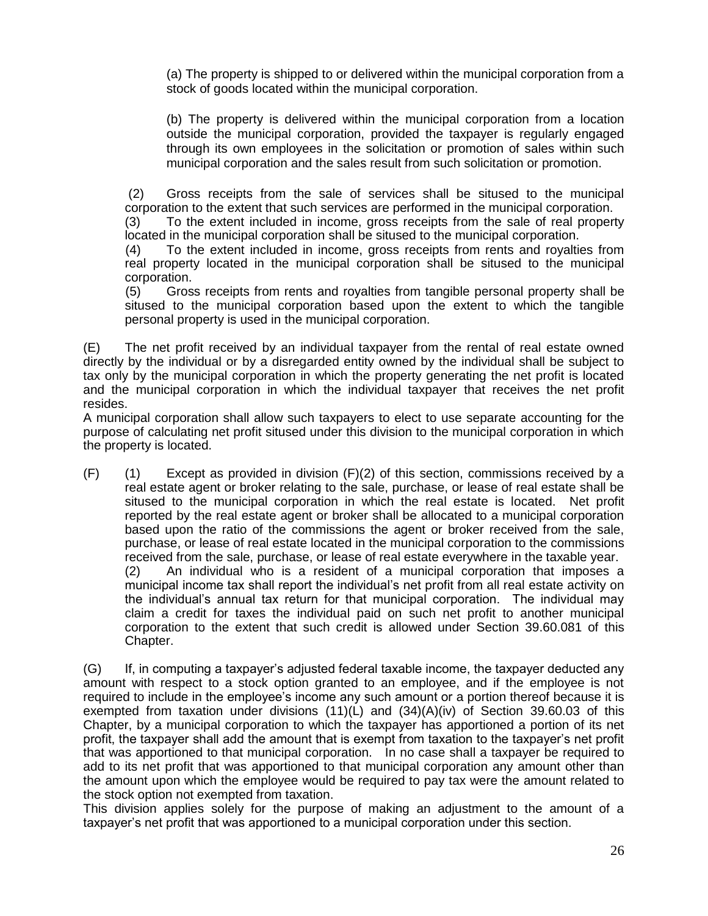(a) The property is shipped to or delivered within the municipal corporation from a stock of goods located within the municipal corporation.

(b) The property is delivered within the municipal corporation from a location outside the municipal corporation, provided the taxpayer is regularly engaged through its own employees in the solicitation or promotion of sales within such municipal corporation and the sales result from such solicitation or promotion.

(2) Gross receipts from the sale of services shall be sitused to the municipal corporation to the extent that such services are performed in the municipal corporation.

(3) To the extent included in income, gross receipts from the sale of real property located in the municipal corporation shall be sitused to the municipal corporation.

(4) To the extent included in income, gross receipts from rents and royalties from real property located in the municipal corporation shall be sitused to the municipal corporation.

(5) Gross receipts from rents and royalties from tangible personal property shall be sitused to the municipal corporation based upon the extent to which the tangible personal property is used in the municipal corporation.

(E) The net profit received by an individual taxpayer from the rental of real estate owned directly by the individual or by a disregarded entity owned by the individual shall be subject to tax only by the municipal corporation in which the property generating the net profit is located and the municipal corporation in which the individual taxpayer that receives the net profit resides.

A municipal corporation shall allow such taxpayers to elect to use separate accounting for the purpose of calculating net profit sitused under this division to the municipal corporation in which the property is located.

 $(F)$  (1) Except as provided in division  $(F)(2)$  of this section, commissions received by a real estate agent or broker relating to the sale, purchase, or lease of real estate shall be sitused to the municipal corporation in which the real estate is located. Net profit reported by the real estate agent or broker shall be allocated to a municipal corporation based upon the ratio of the commissions the agent or broker received from the sale, purchase, or lease of real estate located in the municipal corporation to the commissions received from the sale, purchase, or lease of real estate everywhere in the taxable year. (2) An individual who is a resident of a municipal corporation that imposes a municipal income tax shall report the individual's net profit from all real estate activity on the individual's annual tax return for that municipal corporation. The individual may claim a credit for taxes the individual paid on such net profit to another municipal corporation to the extent that such credit is allowed under Section 39.60.081 of this Chapter.

(G) If, in computing a taxpayer's adjusted federal taxable income, the taxpayer deducted any amount with respect to a stock option granted to an employee, and if the employee is not required to include in the employee's income any such amount or a portion thereof because it is exempted from taxation under divisions  $(11)(L)$  and  $(34)(A)(iv)$  of Section 39.60.03 of this Chapter, by a municipal corporation to which the taxpayer has apportioned a portion of its net profit, the taxpayer shall add the amount that is exempt from taxation to the taxpayer's net profit that was apportioned to that municipal corporation. In no case shall a taxpayer be required to add to its net profit that was apportioned to that municipal corporation any amount other than the amount upon which the employee would be required to pay tax were the amount related to the stock option not exempted from taxation.

This division applies solely for the purpose of making an adjustment to the amount of a taxpayer's net profit that was apportioned to a municipal corporation under this section.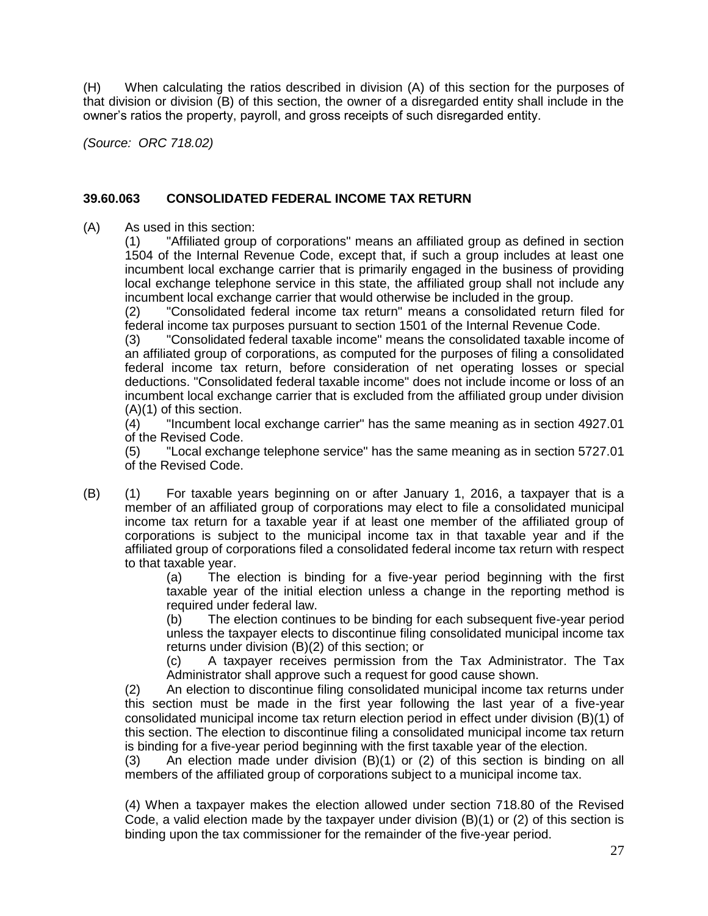(H) When calculating the ratios described in division (A) of this section for the purposes of that division or division (B) of this section, the owner of a disregarded entity shall include in the owner's ratios the property, payroll, and gross receipts of such disregarded entity.

*(Source: ORC 718.02)*

#### **39.60.063 CONSOLIDATED FEDERAL INCOME TAX RETURN**

(A) As used in this section:

(1) "Affiliated group of corporations" means an affiliated group as defined in section 1504 of the Internal Revenue Code, except that, if such a group includes at least one incumbent local exchange carrier that is primarily engaged in the business of providing local exchange telephone service in this state, the affiliated group shall not include any incumbent local exchange carrier that would otherwise be included in the group.

(2) "Consolidated federal income tax return" means a consolidated return filed for federal income tax purposes pursuant to section 1501 of the Internal Revenue Code.

(3) "Consolidated federal taxable income" means the consolidated taxable income of an affiliated group of corporations, as computed for the purposes of filing a consolidated federal income tax return, before consideration of net operating losses or special deductions. "Consolidated federal taxable income" does not include income or loss of an incumbent local exchange carrier that is excluded from the affiliated group under division (A)(1) of this section.

(4) "Incumbent local exchange carrier" has the same meaning as in section 4927.01 of the Revised Code.

(5) "Local exchange telephone service" has the same meaning as in section 5727.01 of the Revised Code.

(B) (1) For taxable years beginning on or after January 1, 2016, a taxpayer that is a member of an affiliated group of corporations may elect to file a consolidated municipal income tax return for a taxable year if at least one member of the affiliated group of corporations is subject to the municipal income tax in that taxable year and if the affiliated group of corporations filed a consolidated federal income tax return with respect to that taxable year.

> (a) The election is binding for a five-year period beginning with the first taxable year of the initial election unless a change in the reporting method is required under federal law.

> (b) The election continues to be binding for each subsequent five-year period unless the taxpayer elects to discontinue filing consolidated municipal income tax returns under division (B)(2) of this section; or

> (c) A taxpayer receives permission from the Tax Administrator. The Tax Administrator shall approve such a request for good cause shown.

(2) An election to discontinue filing consolidated municipal income tax returns under this section must be made in the first year following the last year of a five-year consolidated municipal income tax return election period in effect under division (B)(1) of this section. The election to discontinue filing a consolidated municipal income tax return is binding for a five-year period beginning with the first taxable year of the election.

(3) An election made under division (B)(1) or (2) of this section is binding on all members of the affiliated group of corporations subject to a municipal income tax.

(4) When a taxpayer makes the election allowed under section 718.80 of the Revised Code, a valid election made by the taxpayer under division (B)(1) or (2) of this section is binding upon the tax commissioner for the remainder of the five-year period.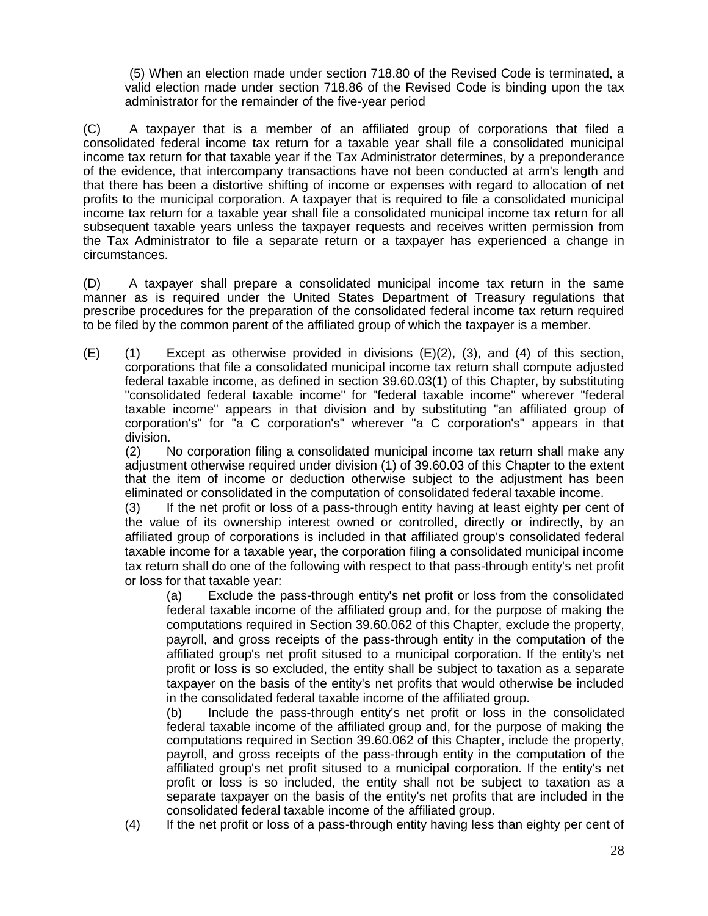(5) When an election made under section 718.80 of the Revised Code is terminated, a valid election made under section 718.86 of the Revised Code is binding upon the tax administrator for the remainder of the five-year period

(C) A taxpayer that is a member of an affiliated group of corporations that filed a consolidated federal income tax return for a taxable year shall file a consolidated municipal income tax return for that taxable year if the Tax Administrator determines, by a preponderance of the evidence, that intercompany transactions have not been conducted at arm's length and that there has been a distortive shifting of income or expenses with regard to allocation of net profits to the municipal corporation. A taxpayer that is required to file a consolidated municipal income tax return for a taxable year shall file a consolidated municipal income tax return for all subsequent taxable years unless the taxpayer requests and receives written permission from the Tax Administrator to file a separate return or a taxpayer has experienced a change in circumstances.

(D) A taxpayer shall prepare a consolidated municipal income tax return in the same manner as is required under the United States Department of Treasury regulations that prescribe procedures for the preparation of the consolidated federal income tax return required to be filed by the common parent of the affiliated group of which the taxpayer is a member.

(E) (1) Except as otherwise provided in divisions (E)(2), (3), and (4) of this section, corporations that file a consolidated municipal income tax return shall compute adjusted federal taxable income, as defined in section 39.60.03(1) of this Chapter, by substituting "consolidated federal taxable income" for "federal taxable income" wherever "federal taxable income" appears in that division and by substituting "an affiliated group of corporation's" for "a C corporation's" wherever "a C corporation's" appears in that division.

(2) No corporation filing a consolidated municipal income tax return shall make any adjustment otherwise required under division (1) of 39.60.03 of this Chapter to the extent that the item of income or deduction otherwise subject to the adjustment has been eliminated or consolidated in the computation of consolidated federal taxable income.

(3) If the net profit or loss of a pass-through entity having at least eighty per cent of the value of its ownership interest owned or controlled, directly or indirectly, by an affiliated group of corporations is included in that affiliated group's consolidated federal taxable income for a taxable year, the corporation filing a consolidated municipal income tax return shall do one of the following with respect to that pass-through entity's net profit or loss for that taxable year:

(a) Exclude the pass-through entity's net profit or loss from the consolidated federal taxable income of the affiliated group and, for the purpose of making the computations required in Section 39.60.062 of this Chapter, exclude the property, payroll, and gross receipts of the pass-through entity in the computation of the affiliated group's net profit sitused to a municipal corporation. If the entity's net profit or loss is so excluded, the entity shall be subject to taxation as a separate taxpayer on the basis of the entity's net profits that would otherwise be included in the consolidated federal taxable income of the affiliated group.

(b) Include the pass-through entity's net profit or loss in the consolidated federal taxable income of the affiliated group and, for the purpose of making the computations required in Section 39.60.062 of this Chapter, include the property, payroll, and gross receipts of the pass-through entity in the computation of the affiliated group's net profit sitused to a municipal corporation. If the entity's net profit or loss is so included, the entity shall not be subject to taxation as a separate taxpayer on the basis of the entity's net profits that are included in the consolidated federal taxable income of the affiliated group.

(4) If the net profit or loss of a pass-through entity having less than eighty per cent of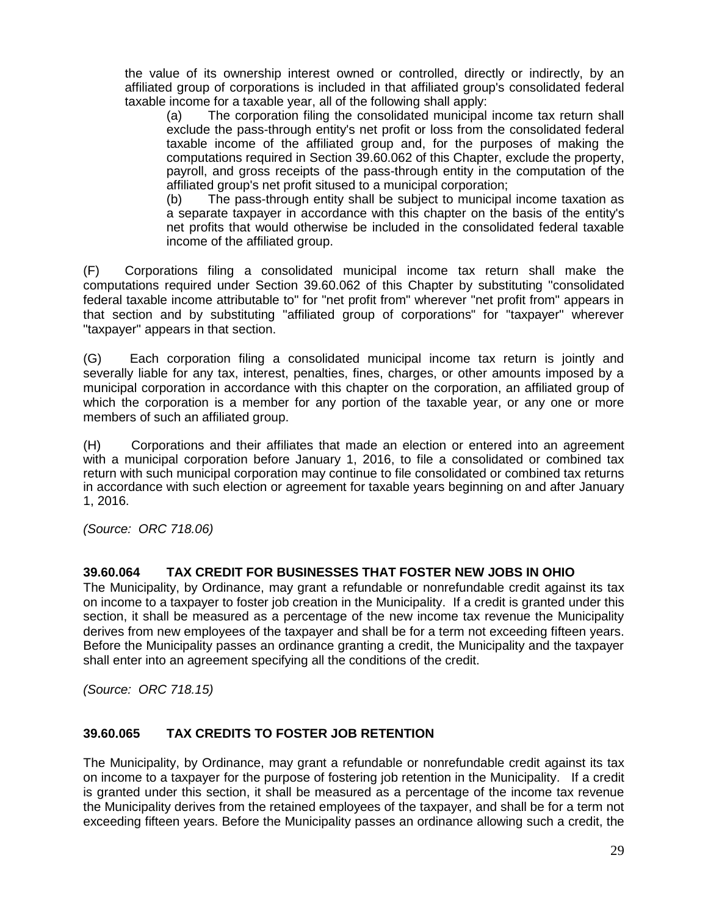the value of its ownership interest owned or controlled, directly or indirectly, by an affiliated group of corporations is included in that affiliated group's consolidated federal taxable income for a taxable year, all of the following shall apply:

(a) The corporation filing the consolidated municipal income tax return shall exclude the pass-through entity's net profit or loss from the consolidated federal taxable income of the affiliated group and, for the purposes of making the computations required in Section 39.60.062 of this Chapter, exclude the property, payroll, and gross receipts of the pass-through entity in the computation of the affiliated group's net profit sitused to a municipal corporation;

(b) The pass-through entity shall be subject to municipal income taxation as a separate taxpayer in accordance with this chapter on the basis of the entity's net profits that would otherwise be included in the consolidated federal taxable income of the affiliated group.

(F) Corporations filing a consolidated municipal income tax return shall make the computations required under Section 39.60.062 of this Chapter by substituting "consolidated federal taxable income attributable to" for "net profit from" wherever "net profit from" appears in that section and by substituting "affiliated group of corporations" for "taxpayer" wherever "taxpayer" appears in that section.

(G) Each corporation filing a consolidated municipal income tax return is jointly and severally liable for any tax, interest, penalties, fines, charges, or other amounts imposed by a municipal corporation in accordance with this chapter on the corporation, an affiliated group of which the corporation is a member for any portion of the taxable year, or any one or more members of such an affiliated group.

(H) Corporations and their affiliates that made an election or entered into an agreement with a municipal corporation before January 1, 2016, to file a consolidated or combined tax return with such municipal corporation may continue to file consolidated or combined tax returns in accordance with such election or agreement for taxable years beginning on and after January 1, 2016.

*(Source: ORC 718.06)*

### **39.60.064 TAX CREDIT FOR BUSINESSES THAT FOSTER NEW JOBS IN OHIO**

The Municipality, by Ordinance, may grant a refundable or nonrefundable credit against its tax on income to a taxpayer to foster job creation in the Municipality. If a credit is granted under this section, it shall be measured as a percentage of the new income tax revenue the Municipality derives from new employees of the taxpayer and shall be for a term not exceeding fifteen years. Before the Municipality passes an ordinance granting a credit, the Municipality and the taxpayer shall enter into an agreement specifying all the conditions of the credit.

*(Source: ORC 718.15)* 

#### **39.60.065 TAX CREDITS TO FOSTER JOB RETENTION**

The Municipality, by Ordinance, may grant a refundable or nonrefundable credit against its tax on income to a taxpayer for the purpose of fostering job retention in the Municipality. If a credit is granted under this section, it shall be measured as a percentage of the income tax revenue the Municipality derives from the retained employees of the taxpayer, and shall be for a term not exceeding fifteen years. Before the Municipality passes an ordinance allowing such a credit, the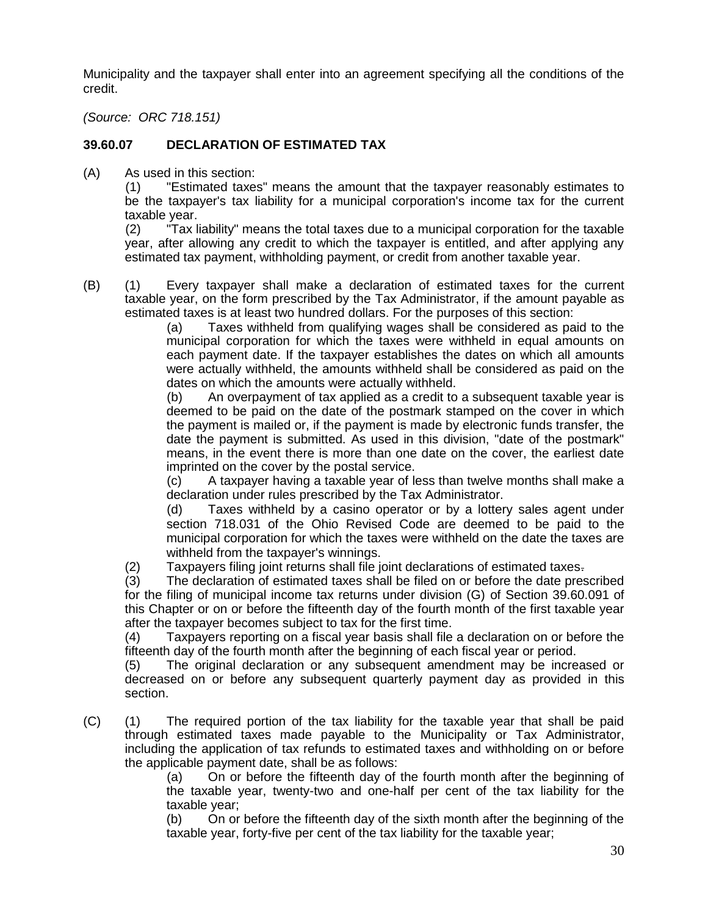Municipality and the taxpayer shall enter into an agreement specifying all the conditions of the credit.

*(Source: ORC 718.151)*

# **39.60.07 DECLARATION OF ESTIMATED TAX**

(A) As used in this section:

(1) "Estimated taxes" means the amount that the taxpayer reasonably estimates to be the taxpayer's tax liability for a municipal corporation's income tax for the current taxable year.

(2) "Tax liability" means the total taxes due to a municipal corporation for the taxable year, after allowing any credit to which the taxpayer is entitled, and after applying any estimated tax payment, withholding payment, or credit from another taxable year.

(B) (1) Every taxpayer shall make a declaration of estimated taxes for the current taxable year, on the form prescribed by the Tax Administrator, if the amount payable as estimated taxes is at least two hundred dollars. For the purposes of this section:

(a) Taxes withheld from qualifying wages shall be considered as paid to the municipal corporation for which the taxes were withheld in equal amounts on each payment date. If the taxpayer establishes the dates on which all amounts were actually withheld, the amounts withheld shall be considered as paid on the dates on which the amounts were actually withheld.

(b) An overpayment of tax applied as a credit to a subsequent taxable year is deemed to be paid on the date of the postmark stamped on the cover in which the payment is mailed or, if the payment is made by electronic funds transfer, the date the payment is submitted. As used in this division, "date of the postmark" means, in the event there is more than one date on the cover, the earliest date imprinted on the cover by the postal service.

(c) A taxpayer having a taxable year of less than twelve months shall make a declaration under rules prescribed by the Tax Administrator.

(d) Taxes withheld by a casino operator or by a lottery sales agent under section 718.031 of the Ohio Revised Code are deemed to be paid to the municipal corporation for which the taxes were withheld on the date the taxes are withheld from the taxpayer's winnings.

(2) Taxpayers filing joint returns shall file joint declarations of estimated taxes.

(3) The declaration of estimated taxes shall be filed on or before the date prescribed for the filing of municipal income tax returns under division (G) of Section 39.60.091 of this Chapter or on or before the fifteenth day of the fourth month of the first taxable year after the taxpayer becomes subject to tax for the first time.

(4) Taxpayers reporting on a fiscal year basis shall file a declaration on or before the fifteenth day of the fourth month after the beginning of each fiscal year or period.

(5) The original declaration or any subsequent amendment may be increased or decreased on or before any subsequent quarterly payment day as provided in this section.

(C) (1) The required portion of the tax liability for the taxable year that shall be paid through estimated taxes made payable to the Municipality or Tax Administrator, including the application of tax refunds to estimated taxes and withholding on or before the applicable payment date, shall be as follows:

(a) On or before the fifteenth day of the fourth month after the beginning of the taxable year, twenty-two and one-half per cent of the tax liability for the taxable year;

(b) On or before the fifteenth day of the sixth month after the beginning of the taxable year, forty-five per cent of the tax liability for the taxable year;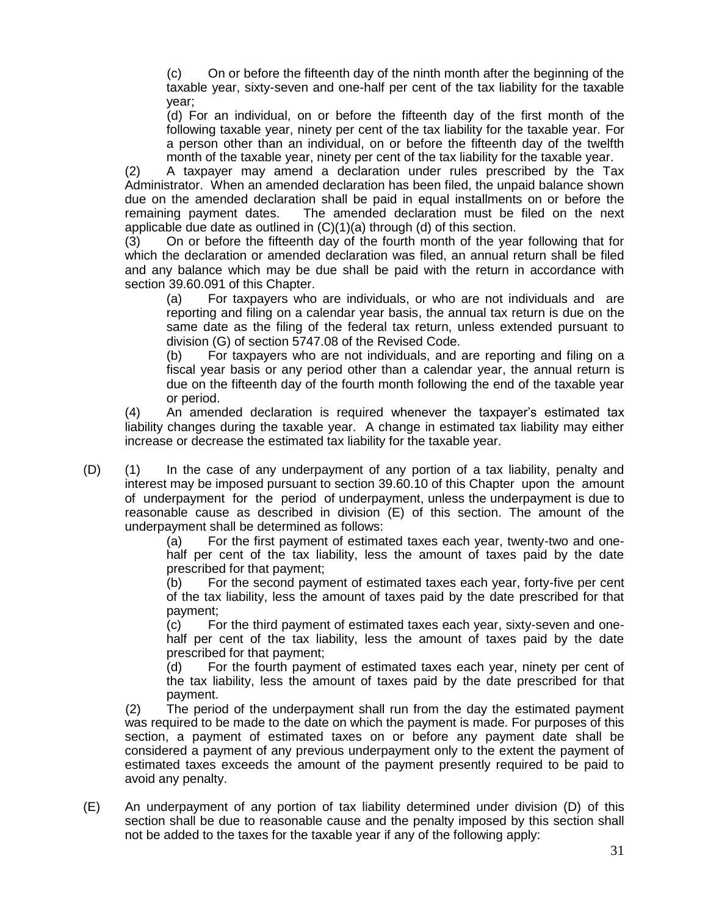(c) On or before the fifteenth day of the ninth month after the beginning of the taxable year, sixty-seven and one-half per cent of the tax liability for the taxable year;

(d) For an individual, on or before the fifteenth day of the first month of the following taxable year, ninety per cent of the tax liability for the taxable year. For a person other than an individual, on or before the fifteenth day of the twelfth month of the taxable year, ninety per cent of the tax liability for the taxable year.

(2) A taxpayer may amend a declaration under rules prescribed by the Tax Administrator. When an amended declaration has been filed, the unpaid balance shown due on the amended declaration shall be paid in equal installments on or before the remaining payment dates. The amended declaration must be filed on the next applicable due date as outlined in (C)(1)(a) through (d) of this section.

(3) On or before the fifteenth day of the fourth month of the year following that for which the declaration or amended declaration was filed, an annual return shall be filed and any balance which may be due shall be paid with the return in accordance with section 39.60.091 of this Chapter.

(a) For taxpayers who are individuals, or who are not individuals and are reporting and filing on a calendar year basis, the annual tax return is due on the same date as the filing of the federal tax return, unless extended pursuant to division (G) of section 5747.08 of the Revised Code.

(b) For taxpayers who are not individuals, and are reporting and filing on a fiscal year basis or any period other than a calendar year, the annual return is due on the fifteenth day of the fourth month following the end of the taxable year or period.

(4) An amended declaration is required whenever the taxpayer's estimated tax liability changes during the taxable year. A change in estimated tax liability may either increase or decrease the estimated tax liability for the taxable year.

(D) (1) In the case of any underpayment of any portion of a tax liability, penalty and interest may be imposed pursuant to section 39.60.10 of this Chapter upon the amount of underpayment for the period of underpayment, unless the underpayment is due to reasonable cause as described in division (E) of this section. The amount of the underpayment shall be determined as follows:

(a) For the first payment of estimated taxes each year, twenty-two and onehalf per cent of the tax liability, less the amount of taxes paid by the date prescribed for that payment;

(b) For the second payment of estimated taxes each year, forty-five per cent of the tax liability, less the amount of taxes paid by the date prescribed for that payment;

(c) For the third payment of estimated taxes each year, sixty-seven and onehalf per cent of the tax liability, less the amount of taxes paid by the date prescribed for that payment;

(d) For the fourth payment of estimated taxes each year, ninety per cent of the tax liability, less the amount of taxes paid by the date prescribed for that payment.

(2) The period of the underpayment shall run from the day the estimated payment was required to be made to the date on which the payment is made. For purposes of this section, a payment of estimated taxes on or before any payment date shall be considered a payment of any previous underpayment only to the extent the payment of estimated taxes exceeds the amount of the payment presently required to be paid to avoid any penalty.

(E) An underpayment of any portion of tax liability determined under division (D) of this section shall be due to reasonable cause and the penalty imposed by this section shall not be added to the taxes for the taxable year if any of the following apply: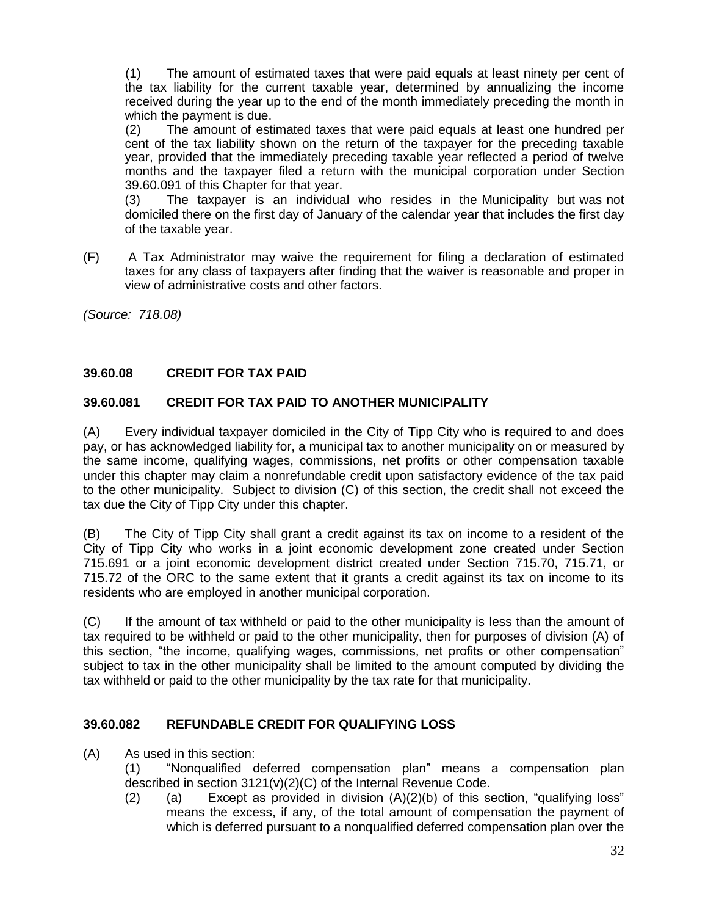(1) The amount of estimated taxes that were paid equals at least ninety per cent of the tax liability for the current taxable year, determined by annualizing the income received during the year up to the end of the month immediately preceding the month in which the payment is due.

(2) The amount of estimated taxes that were paid equals at least one hundred per cent of the tax liability shown on the return of the taxpayer for the preceding taxable year, provided that the immediately preceding taxable year reflected a period of twelve months and the taxpayer filed a return with the municipal corporation under Section 39.60.091 of this Chapter for that year.

(3) The taxpayer is an individual who resides in the Municipality but was not domiciled there on the first day of January of the calendar year that includes the first day of the taxable year.

(F) A Tax Administrator may waive the requirement for filing a declaration of estimated taxes for any class of taxpayers after finding that the waiver is reasonable and proper in view of administrative costs and other factors.

*(Source: 718.08)*

# **39.60.08 CREDIT FOR TAX PAID**

# **39.60.081 CREDIT FOR TAX PAID TO ANOTHER MUNICIPALITY**

(A) Every individual taxpayer domiciled in the City of Tipp City who is required to and does pay, or has acknowledged liability for, a municipal tax to another municipality on or measured by the same income, qualifying wages, commissions, net profits or other compensation taxable under this chapter may claim a nonrefundable credit upon satisfactory evidence of the tax paid to the other municipality. Subject to division (C) of this section, the credit shall not exceed the tax due the City of Tipp City under this chapter.

(B) The City of Tipp City shall grant a credit against its tax on income to a resident of the City of Tipp City who works in a joint economic development zone created under Section 715.691 or a joint economic development district created under Section 715.70, 715.71, or 715.72 of the ORC to the same extent that it grants a credit against its tax on income to its residents who are employed in another municipal corporation.

(C) If the amount of tax withheld or paid to the other municipality is less than the amount of tax required to be withheld or paid to the other municipality, then for purposes of division (A) of this section, "the income, qualifying wages, commissions, net profits or other compensation" subject to tax in the other municipality shall be limited to the amount computed by dividing the tax withheld or paid to the other municipality by the tax rate for that municipality.

#### **39.60.082 REFUNDABLE CREDIT FOR QUALIFYING LOSS**

(A) As used in this section:

(1) "Nonqualified deferred compensation plan" means a compensation plan described in section 3121(v)(2)(C) of the Internal Revenue Code.

(2) (a) Except as provided in division  $(A)(2)(b)$  of this section, "qualifying loss" means the excess, if any, of the total amount of compensation the payment of which is deferred pursuant to a nonqualified deferred compensation plan over the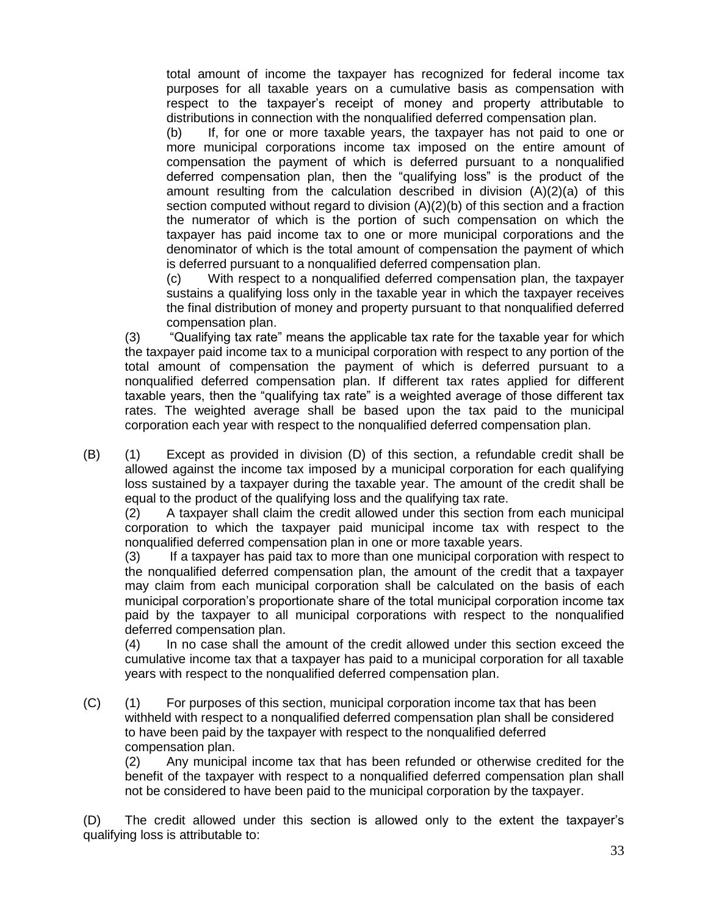total amount of income the taxpayer has recognized for federal income tax purposes for all taxable years on a cumulative basis as compensation with respect to the taxpayer's receipt of money and property attributable to distributions in connection with the nonqualified deferred compensation plan.

(b) If, for one or more taxable years, the taxpayer has not paid to one or more municipal corporations income tax imposed on the entire amount of compensation the payment of which is deferred pursuant to a nonqualified deferred compensation plan, then the "qualifying loss" is the product of the amount resulting from the calculation described in division (A)(2)(a) of this section computed without regard to division (A)(2)(b) of this section and a fraction the numerator of which is the portion of such compensation on which the taxpayer has paid income tax to one or more municipal corporations and the denominator of which is the total amount of compensation the payment of which is deferred pursuant to a nonqualified deferred compensation plan.

(c) With respect to a nonqualified deferred compensation plan, the taxpayer sustains a qualifying loss only in the taxable year in which the taxpayer receives the final distribution of money and property pursuant to that nonqualified deferred compensation plan.

(3) "Qualifying tax rate" means the applicable tax rate for the taxable year for which the taxpayer paid income tax to a municipal corporation with respect to any portion of the total amount of compensation the payment of which is deferred pursuant to a nonqualified deferred compensation plan. If different tax rates applied for different taxable years, then the "qualifying tax rate" is a weighted average of those different tax rates. The weighted average shall be based upon the tax paid to the municipal corporation each year with respect to the nonqualified deferred compensation plan.

(B) (1) Except as provided in division (D) of this section, a refundable credit shall be allowed against the income tax imposed by a municipal corporation for each qualifying loss sustained by a taxpayer during the taxable year. The amount of the credit shall be equal to the product of the qualifying loss and the qualifying tax rate.

(2) A taxpayer shall claim the credit allowed under this section from each municipal corporation to which the taxpayer paid municipal income tax with respect to the nonqualified deferred compensation plan in one or more taxable years.

(3) If a taxpayer has paid tax to more than one municipal corporation with respect to the nonqualified deferred compensation plan, the amount of the credit that a taxpayer may claim from each municipal corporation shall be calculated on the basis of each municipal corporation's proportionate share of the total municipal corporation income tax paid by the taxpayer to all municipal corporations with respect to the nonqualified deferred compensation plan.

(4) In no case shall the amount of the credit allowed under this section exceed the cumulative income tax that a taxpayer has paid to a municipal corporation for all taxable years with respect to the nonqualified deferred compensation plan.

(C) (1) For purposes of this section, municipal corporation income tax that has been withheld with respect to a nonqualified deferred compensation plan shall be considered to have been paid by the taxpayer with respect to the nonqualified deferred compensation plan.

(2) Any municipal income tax that has been refunded or otherwise credited for the benefit of the taxpayer with respect to a nonqualified deferred compensation plan shall not be considered to have been paid to the municipal corporation by the taxpayer.

(D) The credit allowed under this section is allowed only to the extent the taxpayer's qualifying loss is attributable to: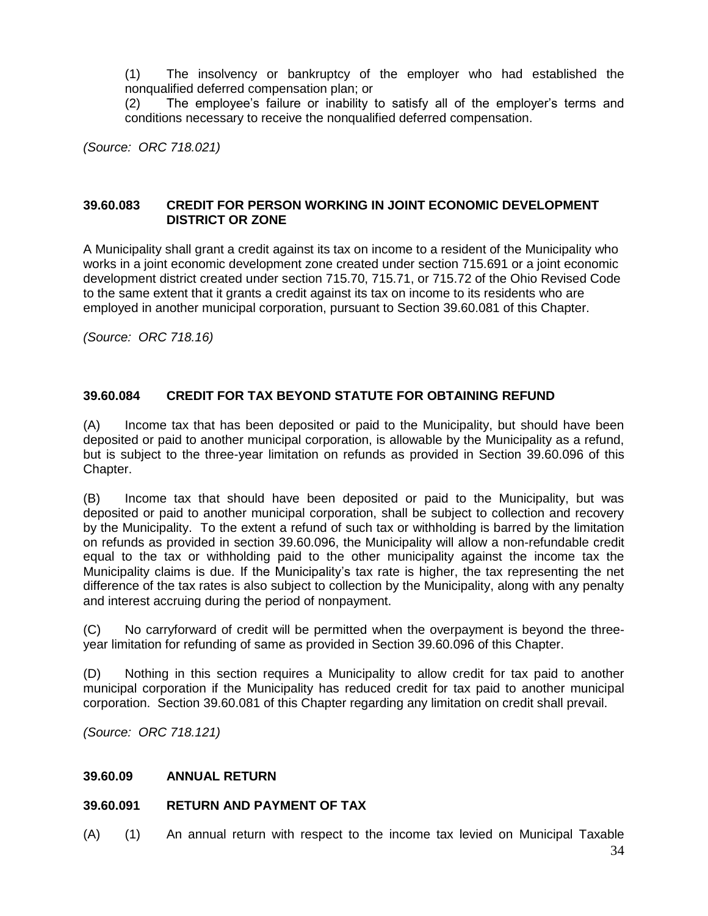(1) The insolvency or bankruptcy of the employer who had established the nonqualified deferred compensation plan; or

(2) The employee's failure or inability to satisfy all of the employer's terms and conditions necessary to receive the nonqualified deferred compensation.

*(Source: ORC 718.021)*

# **39.60.083 CREDIT FOR PERSON WORKING IN JOINT ECONOMIC DEVELOPMENT DISTRICT OR ZONE**

A Municipality shall grant a credit against its tax on income to a resident of the Municipality who works in a joint economic development zone created under section [715.691](http://codes.ohio.gov/orc/715.691) or a joint economic development district created under section [715.70,](http://codes.ohio.gov/orc/715.70) [715.71,](http://codes.ohio.gov/orc/715.71) or [715.72](http://codes.ohio.gov/orc/715.72) of the Ohio Revised Code to the same extent that it grants a credit against its tax on income to its residents who are employed in another municipal corporation, pursuant to Section 39.60.081 of this Chapter.

*(Source: ORC 718.16)*

# **39.60.084 CREDIT FOR TAX BEYOND STATUTE FOR OBTAINING REFUND**

(A) Income tax that has been deposited or paid to the Municipality, but should have been deposited or paid to another municipal corporation, is allowable by the Municipality as a refund, but is subject to the three-year limitation on refunds as provided in Section 39.60.096 of this Chapter.

(B) Income tax that should have been deposited or paid to the Municipality, but was deposited or paid to another municipal corporation, shall be subject to collection and recovery by the Municipality. To the extent a refund of such tax or withholding is barred by the limitation on refunds as provided in section 39.60.096, the Municipality will allow a non-refundable credit equal to the tax or withholding paid to the other municipality against the income tax the Municipality claims is due. If the Municipality's tax rate is higher, the tax representing the net difference of the tax rates is also subject to collection by the Municipality, along with any penalty and interest accruing during the period of nonpayment.

(C) No carryforward of credit will be permitted when the overpayment is beyond the threeyear limitation for refunding of same as provided in Section 39.60.096 of this Chapter.

(D) Nothing in this section requires a Municipality to allow credit for tax paid to another municipal corporation if the Municipality has reduced credit for tax paid to another municipal corporation. Section 39.60.081 of this Chapter regarding any limitation on credit shall prevail.

*(Source: ORC 718.121)*

# **39.60.09 ANNUAL RETURN**

#### **39.60.091 RETURN AND PAYMENT OF TAX**

(A) (1) An annual return with respect to the income tax levied on Municipal Taxable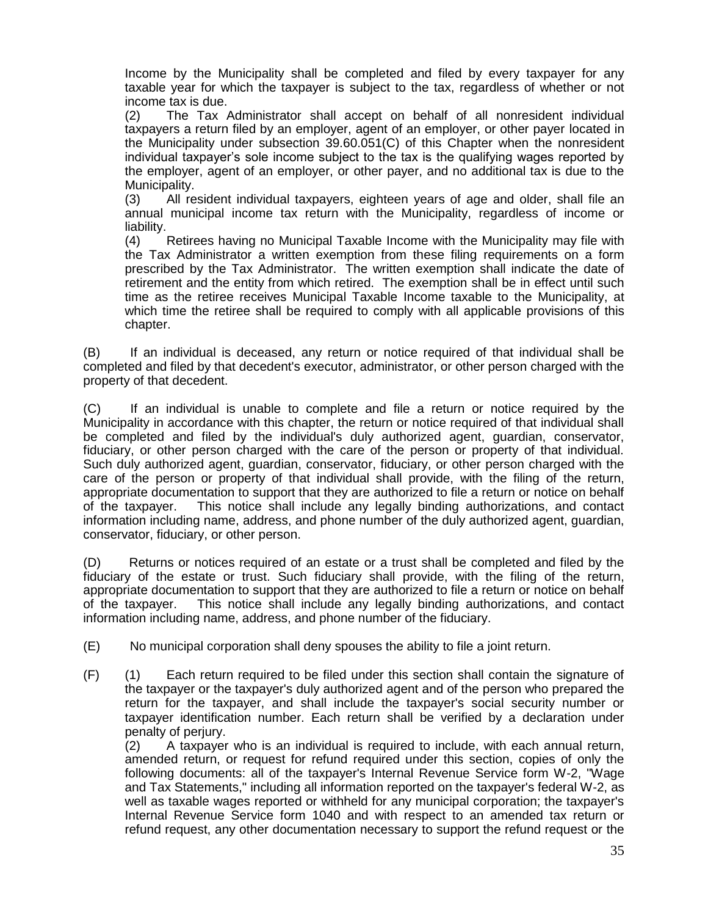Income by the Municipality shall be completed and filed by every taxpayer for any taxable year for which the taxpayer is subject to the tax, regardless of whether or not income tax is due.

(2) The Tax Administrator shall accept on behalf of all nonresident individual taxpayers a return filed by an employer, agent of an employer, or other payer located in the Municipality under subsection 39.60.051(C) of this Chapter when the nonresident individual taxpayer's sole income subject to the tax is the qualifying wages reported by the employer, agent of an employer, or other payer, and no additional tax is due to the Municipality.

(3) All resident individual taxpayers, eighteen years of age and older, shall file an annual municipal income tax return with the Municipality, regardless of income or liability.

(4) Retirees having no Municipal Taxable Income with the Municipality may file with the Tax Administrator a written exemption from these filing requirements on a form prescribed by the Tax Administrator. The written exemption shall indicate the date of retirement and the entity from which retired. The exemption shall be in effect until such time as the retiree receives Municipal Taxable Income taxable to the Municipality, at which time the retiree shall be required to comply with all applicable provisions of this chapter.

(B) If an individual is deceased, any return or notice required of that individual shall be completed and filed by that decedent's executor, administrator, or other person charged with the property of that decedent.

(C) If an individual is unable to complete and file a return or notice required by the Municipality in accordance with this chapter, the return or notice required of that individual shall be completed and filed by the individual's duly authorized agent, guardian, conservator, fiduciary, or other person charged with the care of the person or property of that individual. Such duly authorized agent, guardian, conservator, fiduciary, or other person charged with the care of the person or property of that individual shall provide, with the filing of the return, appropriate documentation to support that they are authorized to file a return or notice on behalf of the taxpayer. This notice shall include any legally binding authorizations, and contact information including name, address, and phone number of the duly authorized agent, guardian, conservator, fiduciary, or other person.

(D) Returns or notices required of an estate or a trust shall be completed and filed by the fiduciary of the estate or trust. Such fiduciary shall provide, with the filing of the return, appropriate documentation to support that they are authorized to file a return or notice on behalf of the taxpayer. This notice shall include any legally binding authorizations, and contact information including name, address, and phone number of the fiduciary.

(E) No municipal corporation shall deny spouses the ability to file a joint return.

(F) (1) Each return required to be filed under this section shall contain the signature of the taxpayer or the taxpayer's duly authorized agent and of the person who prepared the return for the taxpayer, and shall include the taxpayer's social security number or taxpayer identification number. Each return shall be verified by a declaration under penalty of perjury.

(2) A taxpayer who is an individual is required to include, with each annual return, amended return, or request for refund required under this section, copies of only the following documents: all of the taxpayer's Internal Revenue Service form W-2, "Wage and Tax Statements," including all information reported on the taxpayer's federal W-2, as well as taxable wages reported or withheld for any municipal corporation; the taxpayer's Internal Revenue Service form 1040 and with respect to an amended tax return or refund request, any other documentation necessary to support the refund request or the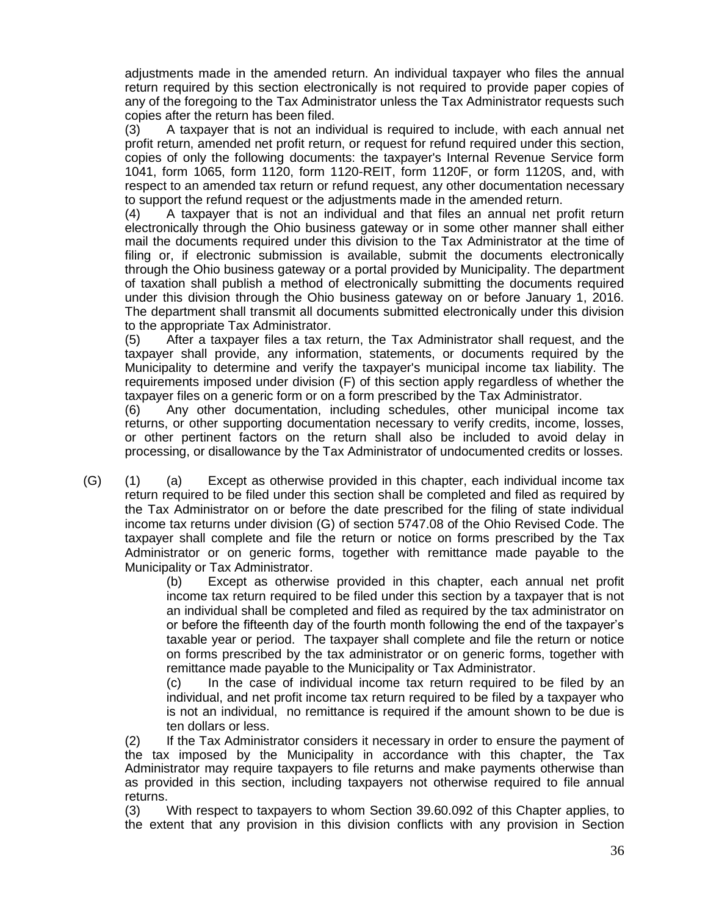adjustments made in the amended return. An individual taxpayer who files the annual return required by this section electronically is not required to provide paper copies of any of the foregoing to the Tax Administrator unless the Tax Administrator requests such copies after the return has been filed.

(3) A taxpayer that is not an individual is required to include, with each annual net profit return, amended net profit return, or request for refund required under this section, copies of only the following documents: the taxpayer's Internal Revenue Service form 1041, form 1065, form 1120, form 1120-REIT, form 1120F, or form 1120S, and, with respect to an amended tax return or refund request, any other documentation necessary to support the refund request or the adjustments made in the amended return.

(4) A taxpayer that is not an individual and that files an annual net profit return electronically through the Ohio business gateway or in some other manner shall either mail the documents required under this division to the Tax Administrator at the time of filing or, if electronic submission is available, submit the documents electronically through the Ohio business gateway or a portal provided by Municipality. The department of taxation shall publish a method of electronically submitting the documents required under this division through the Ohio business gateway on or before January 1, 2016. The department shall transmit all documents submitted electronically under this division to the appropriate Tax Administrator.

(5) After a taxpayer files a tax return, the Tax Administrator shall request, and the taxpayer shall provide, any information, statements, or documents required by the Municipality to determine and verify the taxpayer's municipal income tax liability. The requirements imposed under division (F) of this section apply regardless of whether the taxpayer files on a generic form or on a form prescribed by the Tax Administrator.

(6) Any other documentation, including schedules, other municipal income tax returns, or other supporting documentation necessary to verify credits, income, losses, or other pertinent factors on the return shall also be included to avoid delay in processing, or disallowance by the Tax Administrator of undocumented credits or losses.

(G) (1) (a) Except as otherwise provided in this chapter, each individual income tax return required to be filed under this section shall be completed and filed as required by the Tax Administrator on or before the date prescribed for the filing of state individual income tax returns under division (G) of section 5747.08 of the Ohio Revised Code. The taxpayer shall complete and file the return or notice on forms prescribed by the Tax Administrator or on generic forms, together with remittance made payable to the Municipality or Tax Administrator.

(b) Except as otherwise provided in this chapter, each annual net profit income tax return required to be filed under this section by a taxpayer that is not an individual shall be completed and filed as required by the tax administrator on or before the fifteenth day of the fourth month following the end of the taxpayer's taxable year or period. The taxpayer shall complete and file the return or notice on forms prescribed by the tax administrator or on generic forms, together with remittance made payable to the Municipality or Tax Administrator.

(c) In the case of individual income tax return required to be filed by an individual, and net profit income tax return required to be filed by a taxpayer who is not an individual, no remittance is required if the amount shown to be due is ten dollars or less.

(2) If the Tax Administrator considers it necessary in order to ensure the payment of the tax imposed by the Municipality in accordance with this chapter, the Tax Administrator may require taxpayers to file returns and make payments otherwise than as provided in this section, including taxpayers not otherwise required to file annual returns.

(3) With respect to taxpayers to whom Section 39.60.092 of this Chapter applies, to the extent that any provision in this division conflicts with any provision in Section

36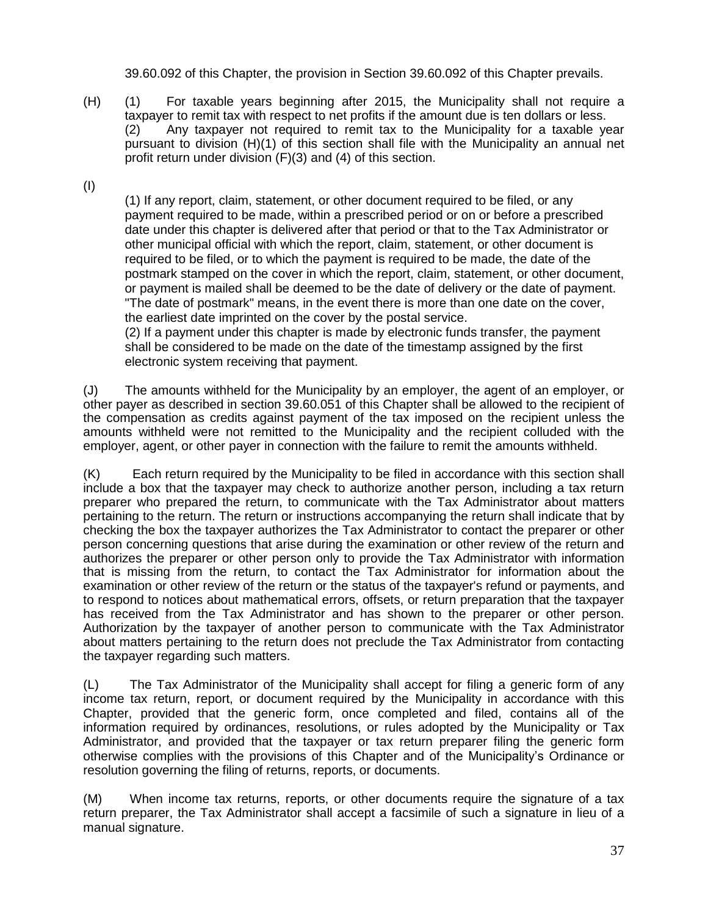39.60.092 of this Chapter, the provision in Section 39.60.092 of this Chapter prevails.

- (H) (1) For taxable years beginning after 2015, the Municipality shall not require a taxpayer to remit tax with respect to net profits if the amount due is ten dollars or less. (2) Any taxpayer not required to remit tax to the Municipality for a taxable year pursuant to division (H)(1) of this section shall file with the Municipality an annual net profit return under division (F)(3) and (4) of this section.
- (I)

(1) If any report, claim, statement, or other document required to be filed, or any payment required to be made, within a prescribed period or on or before a prescribed date under this chapter is delivered after that period or that to the Tax Administrator or other municipal official with which the report, claim, statement, or other document is required to be filed, or to which the payment is required to be made, the date of the postmark stamped on the cover in which the report, claim, statement, or other document, or payment is mailed shall be deemed to be the date of delivery or the date of payment. "The date of postmark" means, in the event there is more than one date on the cover, the earliest date imprinted on the cover by the postal service.

(2) If a payment under this chapter is made by electronic funds transfer, the payment shall be considered to be made on the date of the timestamp assigned by the first electronic system receiving that payment.

(J) The amounts withheld for the Municipality by an employer, the agent of an employer, or other payer as described in section 39.60.051 of this Chapter shall be allowed to the recipient of the compensation as credits against payment of the tax imposed on the recipient unless the amounts withheld were not remitted to the Municipality and the recipient colluded with the employer, agent, or other payer in connection with the failure to remit the amounts withheld.

(K) Each return required by the Municipality to be filed in accordance with this section shall include a box that the taxpayer may check to authorize another person, including a tax return preparer who prepared the return, to communicate with the Tax Administrator about matters pertaining to the return. The return or instructions accompanying the return shall indicate that by checking the box the taxpayer authorizes the Tax Administrator to contact the preparer or other person concerning questions that arise during the examination or other review of the return and authorizes the preparer or other person only to provide the Tax Administrator with information that is missing from the return, to contact the Tax Administrator for information about the examination or other review of the return or the status of the taxpayer's refund or payments, and to respond to notices about mathematical errors, offsets, or return preparation that the taxpayer has received from the Tax Administrator and has shown to the preparer or other person. Authorization by the taxpayer of another person to communicate with the Tax Administrator about matters pertaining to the return does not preclude the Tax Administrator from contacting the taxpayer regarding such matters.

(L) The Tax Administrator of the Municipality shall accept for filing a generic form of any income tax return, report, or document required by the Municipality in accordance with this Chapter, provided that the generic form, once completed and filed, contains all of the information required by ordinances, resolutions, or rules adopted by the Municipality or Tax Administrator, and provided that the taxpayer or tax return preparer filing the generic form otherwise complies with the provisions of this Chapter and of the Municipality's Ordinance or resolution governing the filing of returns, reports, or documents.

(M) When income tax returns, reports, or other documents require the signature of a tax return preparer, the Tax Administrator shall accept a facsimile of such a signature in lieu of a manual signature.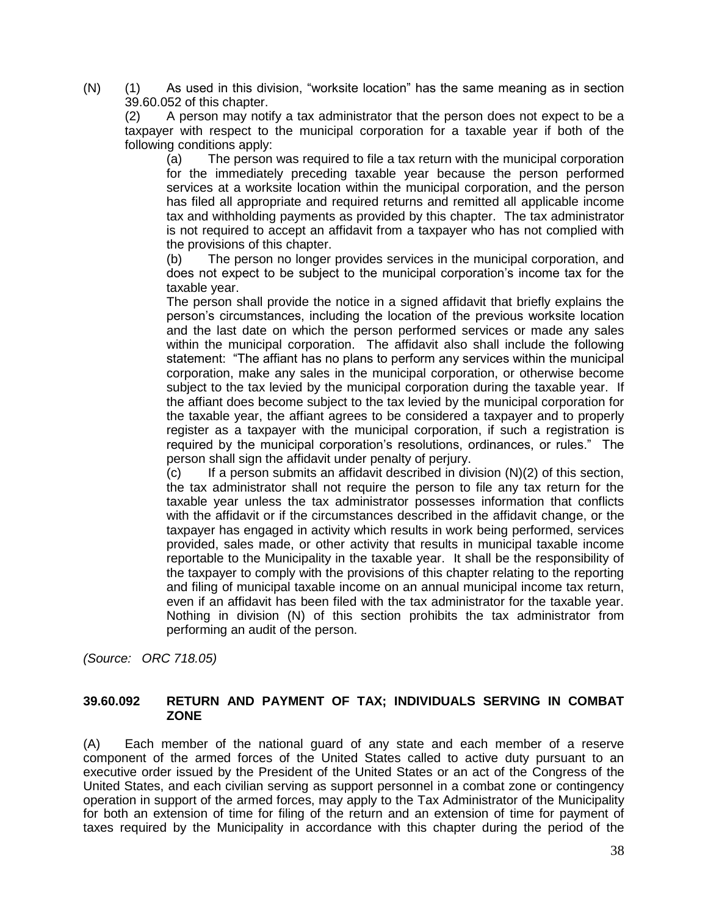(N) (1) As used in this division, "worksite location" has the same meaning as in section 39.60.052 of this chapter.

(2) A person may notify a tax administrator that the person does not expect to be a taxpayer with respect to the municipal corporation for a taxable year if both of the following conditions apply:

(a) The person was required to file a tax return with the municipal corporation for the immediately preceding taxable year because the person performed services at a worksite location within the municipal corporation, and the person has filed all appropriate and required returns and remitted all applicable income tax and withholding payments as provided by this chapter. The tax administrator is not required to accept an affidavit from a taxpayer who has not complied with the provisions of this chapter.

(b) The person no longer provides services in the municipal corporation, and does not expect to be subject to the municipal corporation's income tax for the taxable year.

The person shall provide the notice in a signed affidavit that briefly explains the person's circumstances, including the location of the previous worksite location and the last date on which the person performed services or made any sales within the municipal corporation. The affidavit also shall include the following statement: "The affiant has no plans to perform any services within the municipal corporation, make any sales in the municipal corporation, or otherwise become subject to the tax levied by the municipal corporation during the taxable year. If the affiant does become subject to the tax levied by the municipal corporation for the taxable year, the affiant agrees to be considered a taxpayer and to properly register as a taxpayer with the municipal corporation, if such a registration is required by the municipal corporation's resolutions, ordinances, or rules." The person shall sign the affidavit under penalty of perjury.

 $(c)$  If a person submits an affidavit described in division  $(N)(2)$  of this section, the tax administrator shall not require the person to file any tax return for the taxable year unless the tax administrator possesses information that conflicts with the affidavit or if the circumstances described in the affidavit change, or the taxpayer has engaged in activity which results in work being performed, services provided, sales made, or other activity that results in municipal taxable income reportable to the Municipality in the taxable year. It shall be the responsibility of the taxpayer to comply with the provisions of this chapter relating to the reporting and filing of municipal taxable income on an annual municipal income tax return, even if an affidavit has been filed with the tax administrator for the taxable year. Nothing in division (N) of this section prohibits the tax administrator from performing an audit of the person.

*(Source: ORC 718.05)*

#### **39.60.092 RETURN AND PAYMENT OF TAX; INDIVIDUALS SERVING IN COMBAT ZONE**

(A) Each member of the national guard of any state and each member of a reserve component of the armed forces of the United States called to active duty pursuant to an executive order issued by the President of the United States or an act of the Congress of the United States, and each civilian serving as support personnel in a combat zone or contingency operation in support of the armed forces, may apply to the Tax Administrator of the Municipality for both an extension of time for filing of the return and an extension of time for payment of taxes required by the Municipality in accordance with this chapter during the period of the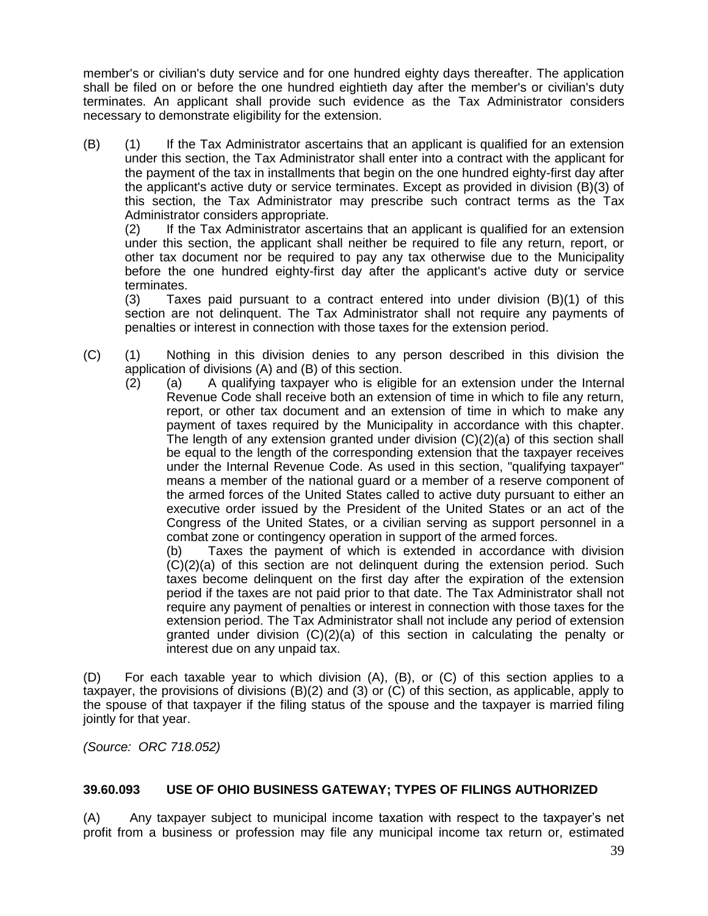member's or civilian's duty service and for one hundred eighty days thereafter. The application shall be filed on or before the one hundred eightieth day after the member's or civilian's duty terminates. An applicant shall provide such evidence as the Tax Administrator considers necessary to demonstrate eligibility for the extension.

(B) (1) If the Tax Administrator ascertains that an applicant is qualified for an extension under this section, the Tax Administrator shall enter into a contract with the applicant for the payment of the tax in installments that begin on the one hundred eighty-first day after the applicant's active duty or service terminates. Except as provided in division (B)(3) of this section, the Tax Administrator may prescribe such contract terms as the Tax Administrator considers appropriate.

(2) If the Tax Administrator ascertains that an applicant is qualified for an extension under this section, the applicant shall neither be required to file any return, report, or other tax document nor be required to pay any tax otherwise due to the Municipality before the one hundred eighty-first day after the applicant's active duty or service terminates.

(3) Taxes paid pursuant to a contract entered into under division (B)(1) of this section are not delinquent. The Tax Administrator shall not require any payments of penalties or interest in connection with those taxes for the extension period.

- (C) (1) Nothing in this division denies to any person described in this division the application of divisions (A) and (B) of this section.
	- (2) (a) A qualifying taxpayer who is eligible for an extension under the Internal Revenue Code shall receive both an extension of time in which to file any return, report, or other tax document and an extension of time in which to make any payment of taxes required by the Municipality in accordance with this chapter. The length of any extension granted under division (C)(2)(a) of this section shall be equal to the length of the corresponding extension that the taxpayer receives under the Internal Revenue Code. As used in this section, "qualifying taxpayer" means a member of the national guard or a member of a reserve component of the armed forces of the United States called to active duty pursuant to either an executive order issued by the President of the United States or an act of the Congress of the United States, or a civilian serving as support personnel in a combat zone or contingency operation in support of the armed forces.

(b) Taxes the payment of which is extended in accordance with division (C)(2)(a) of this section are not delinquent during the extension period. Such taxes become delinquent on the first day after the expiration of the extension period if the taxes are not paid prior to that date. The Tax Administrator shall not require any payment of penalties or interest in connection with those taxes for the extension period. The Tax Administrator shall not include any period of extension granted under division (C)(2)(a) of this section in calculating the penalty or interest due on any unpaid tax.

(D) For each taxable year to which division (A), (B), or (C) of this section applies to a taxpayer, the provisions of divisions (B)(2) and (3) or (C) of this section, as applicable, apply to the spouse of that taxpayer if the filing status of the spouse and the taxpayer is married filing jointly for that year.

*(Source: ORC 718.052)*

# **39.60.093 USE OF OHIO BUSINESS GATEWAY; TYPES OF FILINGS AUTHORIZED**

(A) Any taxpayer subject to municipal income taxation with respect to the taxpayer's net profit from a business or profession may file any municipal income tax return or, estimated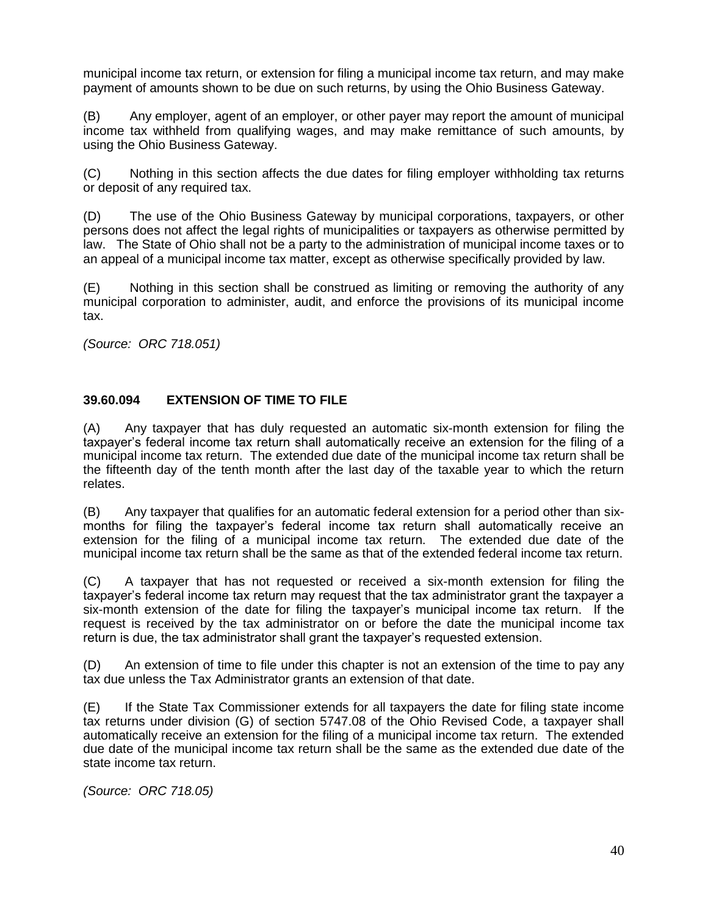municipal income tax return, or extension for filing a municipal income tax return, and may make payment of amounts shown to be due on such returns, by using the Ohio Business Gateway.

(B) Any employer, agent of an employer, or other payer may report the amount of municipal income tax withheld from qualifying wages, and may make remittance of such amounts, by using the Ohio Business Gateway.

(C) Nothing in this section affects the due dates for filing employer withholding tax returns or deposit of any required tax.

(D) The use of the Ohio Business Gateway by municipal corporations, taxpayers, or other persons does not affect the legal rights of municipalities or taxpayers as otherwise permitted by law. The State of Ohio shall not be a party to the administration of municipal income taxes or to an appeal of a municipal income tax matter, except as otherwise specifically provided by law.

(E) Nothing in this section shall be construed as limiting or removing the authority of any municipal corporation to administer, audit, and enforce the provisions of its municipal income tax.

*(Source: ORC 718.051)*

#### **39.60.094 EXTENSION OF TIME TO FILE**

(A) Any taxpayer that has duly requested an automatic six-month extension for filing the taxpayer's federal income tax return shall automatically receive an extension for the filing of a municipal income tax return. The extended due date of the municipal income tax return shall be the fifteenth day of the tenth month after the last day of the taxable year to which the return relates.

(B) Any taxpayer that qualifies for an automatic federal extension for a period other than sixmonths for filing the taxpayer's federal income tax return shall automatically receive an extension for the filing of a municipal income tax return. The extended due date of the municipal income tax return shall be the same as that of the extended federal income tax return.

(C) A taxpayer that has not requested or received a six-month extension for filing the taxpayer's federal income tax return may request that the tax administrator grant the taxpayer a six-month extension of the date for filing the taxpayer's municipal income tax return. If the request is received by the tax administrator on or before the date the municipal income tax return is due, the tax administrator shall grant the taxpayer's requested extension.

(D) An extension of time to file under this chapter is not an extension of the time to pay any tax due unless the Tax Administrator grants an extension of that date.

(E) If the State Tax Commissioner extends for all taxpayers the date for filing state income tax returns under division (G) of section 5747.08 of the Ohio Revised Code, a taxpayer shall automatically receive an extension for the filing of a municipal income tax return. The extended due date of the municipal income tax return shall be the same as the extended due date of the state income tax return.

*(Source: ORC 718.05)*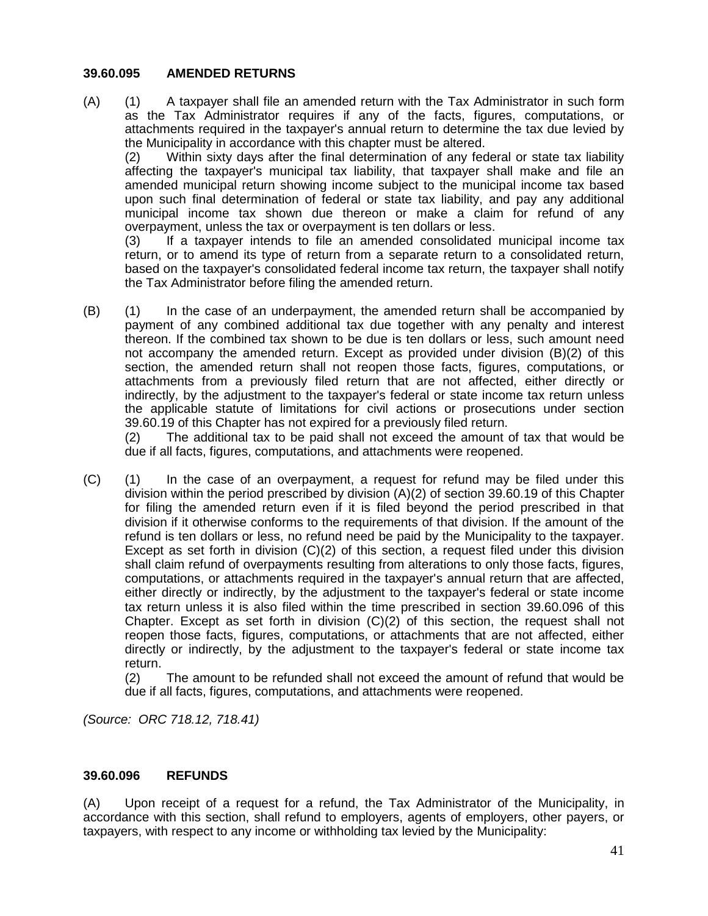#### **39.60.095 AMENDED RETURNS**

(A) (1) A taxpayer shall file an amended return with the Tax Administrator in such form as the Tax Administrator requires if any of the facts, figures, computations, or attachments required in the taxpayer's annual return to determine the tax due levied by the Municipality in accordance with this chapter must be altered.

(2) Within sixty days after the final determination of any federal or state tax liability affecting the taxpayer's municipal tax liability, that taxpayer shall make and file an amended municipal return showing income subject to the municipal income tax based upon such final determination of federal or state tax liability, and pay any additional municipal income tax shown due thereon or make a claim for refund of any overpayment, unless the tax or overpayment is ten dollars or less.

(3) If a taxpayer intends to file an amended consolidated municipal income tax return, or to amend its type of return from a separate return to a consolidated return, based on the taxpayer's consolidated federal income tax return, the taxpayer shall notify the Tax Administrator before filing the amended return.

(B) (1) In the case of an underpayment, the amended return shall be accompanied by payment of any combined additional tax due together with any penalty and interest thereon. If the combined tax shown to be due is ten dollars or less, such amount need not accompany the amended return. Except as provided under division (B)(2) of this section, the amended return shall not reopen those facts, figures, computations, or attachments from a previously filed return that are not affected, either directly or indirectly, by the adjustment to the taxpayer's federal or state income tax return unless the applicable statute of limitations for civil actions or prosecutions under section 39.60.19 of this Chapter has not expired for a previously filed return.

(2) The additional tax to be paid shall not exceed the amount of tax that would be due if all facts, figures, computations, and attachments were reopened.

(C) (1) In the case of an overpayment, a request for refund may be filed under this division within the period prescribed by division (A)(2) of section 39.60.19 of this Chapter for filing the amended return even if it is filed beyond the period prescribed in that division if it otherwise conforms to the requirements of that division. If the amount of the refund is ten dollars or less, no refund need be paid by the Municipality to the taxpayer. Except as set forth in division (C)(2) of this section, a request filed under this division shall claim refund of overpayments resulting from alterations to only those facts, figures, computations, or attachments required in the taxpayer's annual return that are affected, either directly or indirectly, by the adjustment to the taxpayer's federal or state income tax return unless it is also filed within the time prescribed in section 39.60.096 of this Chapter. Except as set forth in division  $(C)(2)$  of this section, the request shall not reopen those facts, figures, computations, or attachments that are not affected, either directly or indirectly, by the adjustment to the taxpayer's federal or state income tax return.

(2) The amount to be refunded shall not exceed the amount of refund that would be due if all facts, figures, computations, and attachments were reopened.

*(Source: ORC 718.12, 718.41)*

#### **39.60.096 REFUNDS**

(A) Upon receipt of a request for a refund, the Tax Administrator of the Municipality, in accordance with this section, shall refund to employers, agents of employers, other payers, or taxpayers, with respect to any income or withholding tax levied by the Municipality: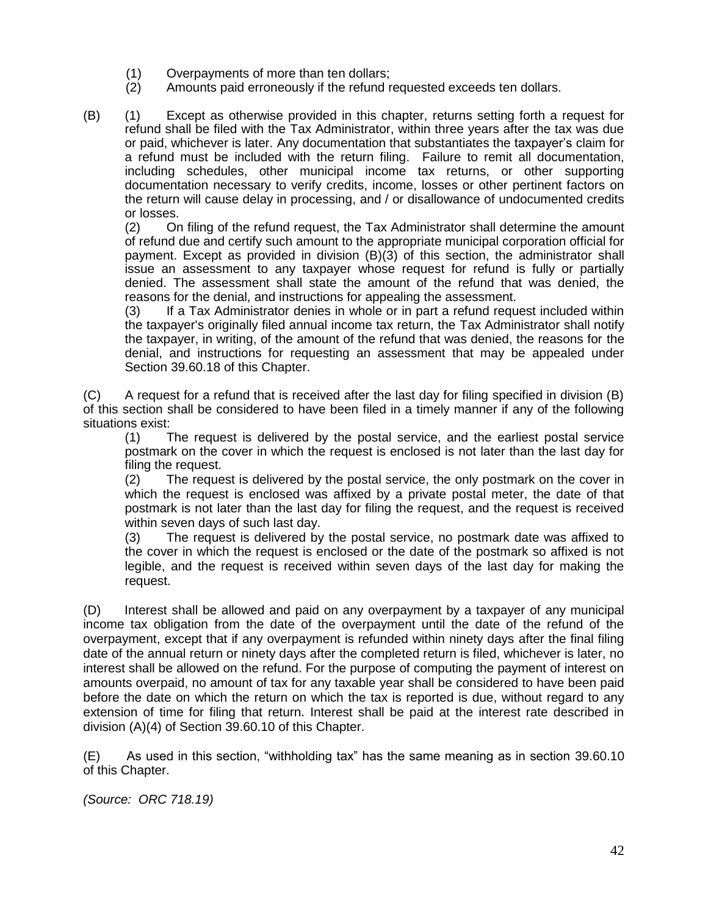- (1) Overpayments of more than ten dollars;
- (2) Amounts paid erroneously if the refund requested exceeds ten dollars.
- (B) (1) Except as otherwise provided in this chapter, returns setting forth a request for refund shall be filed with the Tax Administrator, within three years after the tax was due or paid, whichever is later. Any documentation that substantiates the taxpayer's claim for a refund must be included with the return filing. Failure to remit all documentation, including schedules, other municipal income tax returns, or other supporting documentation necessary to verify credits, income, losses or other pertinent factors on the return will cause delay in processing, and / or disallowance of undocumented credits or losses.

(2) On filing of the refund request, the Tax Administrator shall determine the amount of refund due and certify such amount to the appropriate municipal corporation official for payment. Except as provided in division (B)(3) of this section, the administrator shall issue an assessment to any taxpayer whose request for refund is fully or partially denied. The assessment shall state the amount of the refund that was denied, the reasons for the denial, and instructions for appealing the assessment.

(3) If a Tax Administrator denies in whole or in part a refund request included within the taxpayer's originally filed annual income tax return, the Tax Administrator shall notify the taxpayer, in writing, of the amount of the refund that was denied, the reasons for the denial, and instructions for requesting an assessment that may be appealed under Section 39.60.18 of this Chapter.

(C) A request for a refund that is received after the last day for filing specified in division (B) of this section shall be considered to have been filed in a timely manner if any of the following situations exist:

(1) The request is delivered by the postal service, and the earliest postal service postmark on the cover in which the request is enclosed is not later than the last day for filing the request.

(2) The request is delivered by the postal service, the only postmark on the cover in which the request is enclosed was affixed by a private postal meter, the date of that postmark is not later than the last day for filing the request, and the request is received within seven days of such last day.

(3) The request is delivered by the postal service, no postmark date was affixed to the cover in which the request is enclosed or the date of the postmark so affixed is not legible, and the request is received within seven days of the last day for making the request.

(D) Interest shall be allowed and paid on any overpayment by a taxpayer of any municipal income tax obligation from the date of the overpayment until the date of the refund of the overpayment, except that if any overpayment is refunded within ninety days after the final filing date of the annual return or ninety days after the completed return is filed, whichever is later, no interest shall be allowed on the refund. For the purpose of computing the payment of interest on amounts overpaid, no amount of tax for any taxable year shall be considered to have been paid before the date on which the return on which the tax is reported is due, without regard to any extension of time for filing that return. Interest shall be paid at the interest rate described in division (A)(4) of Section 39.60.10 of this Chapter.

(E) As used in this section, "withholding tax" has the same meaning as in section 39.60.10 of this Chapter.

*(Source: ORC 718.19)*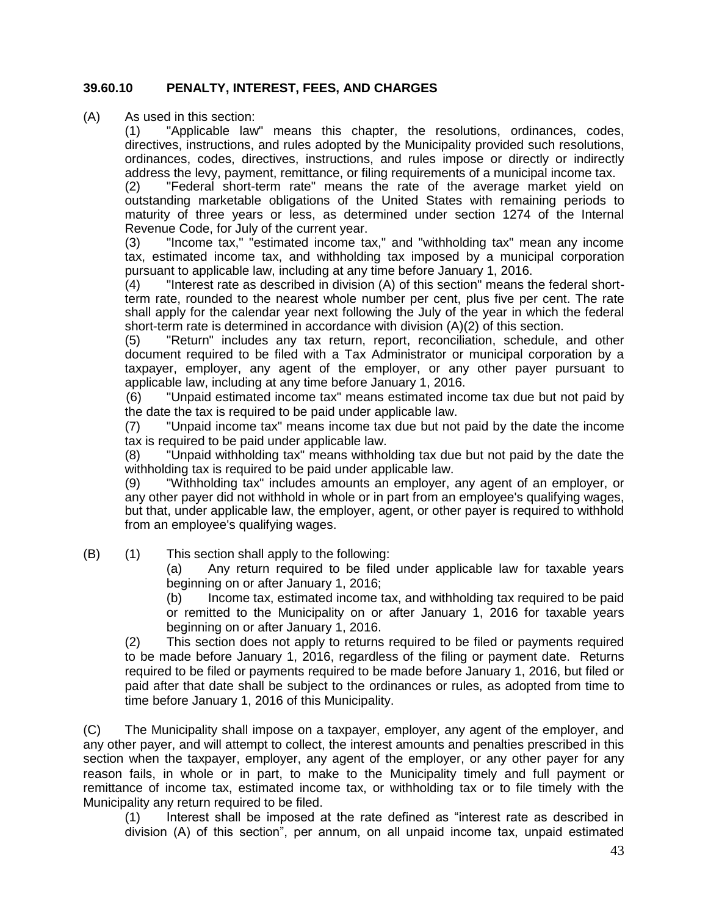# **39.60.10 PENALTY, INTEREST, FEES, AND CHARGES**

(A) As used in this section:

(1) "Applicable law" means this chapter, the resolutions, ordinances, codes, directives, instructions, and rules adopted by the Municipality provided such resolutions, ordinances, codes, directives, instructions, and rules impose or directly or indirectly address the levy, payment, remittance, or filing requirements of a municipal income tax.

(2) "Federal short-term rate" means the rate of the average market yield on outstanding marketable obligations of the United States with remaining periods to maturity of three years or less, as determined under section 1274 of the Internal Revenue Code, for July of the current year.

(3) "Income tax," "estimated income tax," and "withholding tax" mean any income tax, estimated income tax, and withholding tax imposed by a municipal corporation pursuant to applicable law, including at any time before January 1, 2016.

(4) "Interest rate as described in division (A) of this section" means the federal shortterm rate, rounded to the nearest whole number per cent, plus five per cent. The rate shall apply for the calendar year next following the July of the year in which the federal short-term rate is determined in accordance with division (A)(2) of this section.

(5) "Return" includes any tax return, report, reconciliation, schedule, and other document required to be filed with a Tax Administrator or municipal corporation by a taxpayer, employer, any agent of the employer, or any other payer pursuant to applicable law, including at any time before January 1, 2016.

(6) "Unpaid estimated income tax" means estimated income tax due but not paid by the date the tax is required to be paid under applicable law.

(7) "Unpaid income tax" means income tax due but not paid by the date the income tax is required to be paid under applicable law.

(8) "Unpaid withholding tax" means withholding tax due but not paid by the date the withholding tax is required to be paid under applicable law.

(9) "Withholding tax" includes amounts an employer, any agent of an employer, or any other payer did not withhold in whole or in part from an employee's qualifying wages, but that, under applicable law, the employer, agent, or other payer is required to withhold from an employee's qualifying wages.

(B) (1) This section shall apply to the following:

(a) Any return required to be filed under applicable law for taxable years beginning on or after January 1, 2016;

(b) Income tax, estimated income tax, and withholding tax required to be paid or remitted to the Municipality on or after January 1, 2016 for taxable years beginning on or after January 1, 2016.

(2) This section does not apply to returns required to be filed or payments required to be made before January 1, 2016, regardless of the filing or payment date. Returns required to be filed or payments required to be made before January 1, 2016, but filed or paid after that date shall be subject to the ordinances or rules, as adopted from time to time before January 1, 2016 of this Municipality.

(C) The Municipality shall impose on a taxpayer, employer, any agent of the employer, and any other payer, and will attempt to collect, the interest amounts and penalties prescribed in this section when the taxpayer, employer, any agent of the employer, or any other payer for any reason fails, in whole or in part, to make to the Municipality timely and full payment or remittance of income tax, estimated income tax, or withholding tax or to file timely with the Municipality any return required to be filed.

(1) Interest shall be imposed at the rate defined as "interest rate as described in division (A) of this section", per annum, on all unpaid income tax, unpaid estimated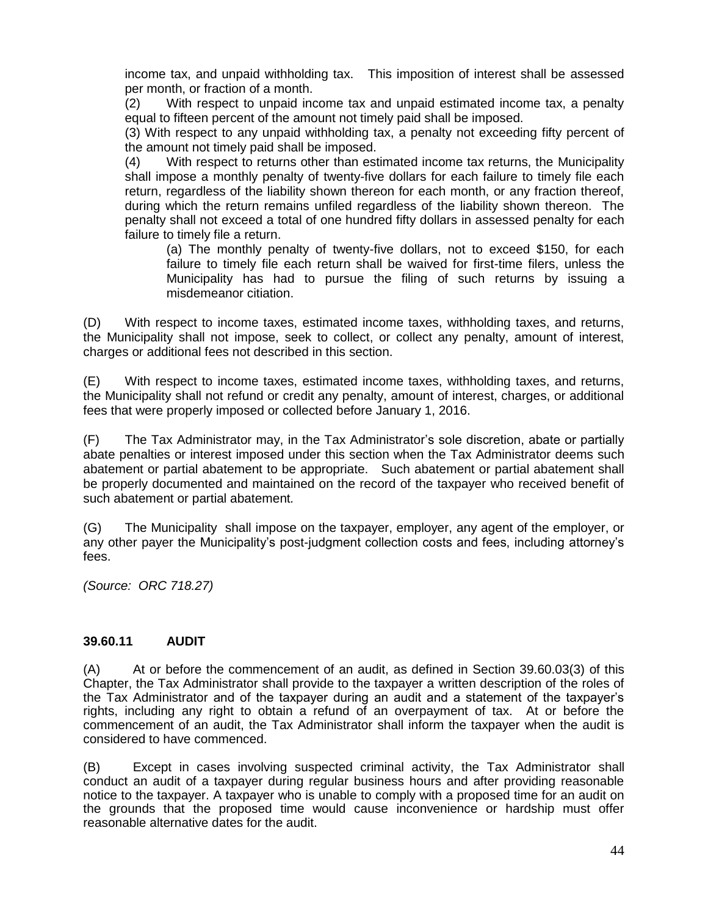income tax, and unpaid withholding tax. This imposition of interest shall be assessed per month, or fraction of a month.

(2) With respect to unpaid income tax and unpaid estimated income tax, a penalty equal to fifteen percent of the amount not timely paid shall be imposed.

(3) With respect to any unpaid withholding tax, a penalty not exceeding fifty percent of the amount not timely paid shall be imposed.

(4) With respect to returns other than estimated income tax returns, the Municipality shall impose a monthly penalty of twenty-five dollars for each failure to timely file each return, regardless of the liability shown thereon for each month, or any fraction thereof, during which the return remains unfiled regardless of the liability shown thereon. The penalty shall not exceed a total of one hundred fifty dollars in assessed penalty for each failure to timely file a return.

(a) The monthly penalty of twenty-five dollars, not to exceed \$150, for each failure to timely file each return shall be waived for first-time filers, unless the Municipality has had to pursue the filing of such returns by issuing a misdemeanor citiation.

(D) With respect to income taxes, estimated income taxes, withholding taxes, and returns, the Municipality shall not impose, seek to collect, or collect any penalty, amount of interest, charges or additional fees not described in this section.

(E) With respect to income taxes, estimated income taxes, withholding taxes, and returns, the Municipality shall not refund or credit any penalty, amount of interest, charges, or additional fees that were properly imposed or collected before January 1, 2016.

(F) The Tax Administrator may, in the Tax Administrator's sole discretion, abate or partially abate penalties or interest imposed under this section when the Tax Administrator deems such abatement or partial abatement to be appropriate. Such abatement or partial abatement shall be properly documented and maintained on the record of the taxpayer who received benefit of such abatement or partial abatement*.*

(G) The Municipality shall impose on the taxpayer, employer, any agent of the employer, or any other payer the Municipality's post-judgment collection costs and fees, including attorney's fees.

*(Source: ORC 718.27)*

# **39.60.11 AUDIT**

(A) At or before the commencement of an audit, as defined in Section 39.60.03(3) of this Chapter, the Tax Administrator shall provide to the taxpayer a written description of the roles of the Tax Administrator and of the taxpayer during an audit and a statement of the taxpayer's rights, including any right to obtain a refund of an overpayment of tax. At or before the commencement of an audit, the Tax Administrator shall inform the taxpayer when the audit is considered to have commenced.

(B) Except in cases involving suspected criminal activity, the Tax Administrator shall conduct an audit of a taxpayer during regular business hours and after providing reasonable notice to the taxpayer. A taxpayer who is unable to comply with a proposed time for an audit on the grounds that the proposed time would cause inconvenience or hardship must offer reasonable alternative dates for the audit.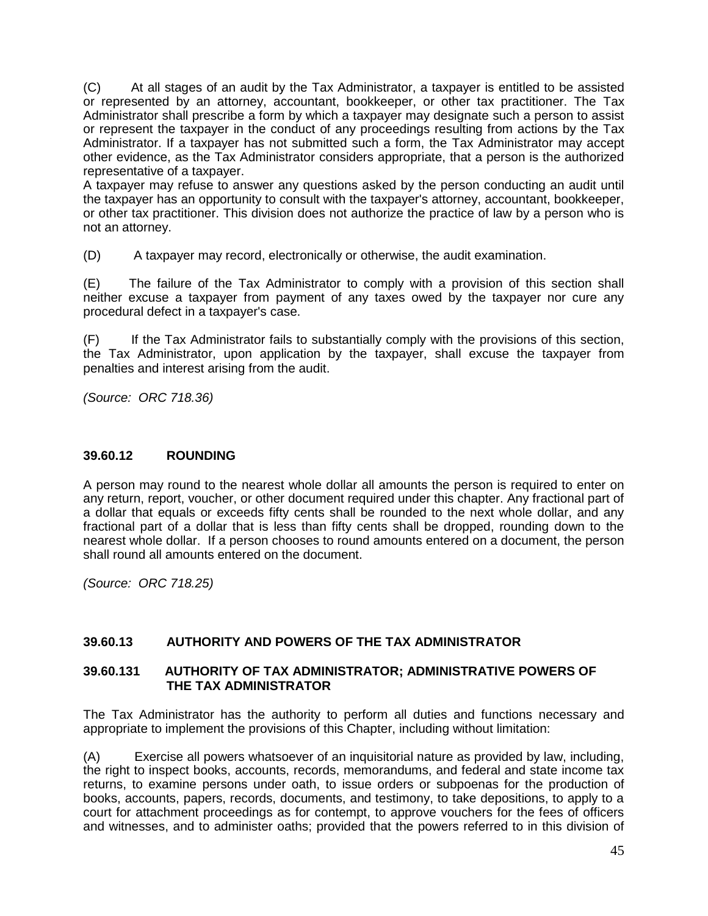(C) At all stages of an audit by the Tax Administrator, a taxpayer is entitled to be assisted or represented by an attorney, accountant, bookkeeper, or other tax practitioner. The Tax Administrator shall prescribe a form by which a taxpayer may designate such a person to assist or represent the taxpayer in the conduct of any proceedings resulting from actions by the Tax Administrator. If a taxpayer has not submitted such a form, the Tax Administrator may accept other evidence, as the Tax Administrator considers appropriate, that a person is the authorized representative of a taxpayer.

A taxpayer may refuse to answer any questions asked by the person conducting an audit until the taxpayer has an opportunity to consult with the taxpayer's attorney, accountant, bookkeeper, or other tax practitioner. This division does not authorize the practice of law by a person who is not an attorney.

(D) A taxpayer may record, electronically or otherwise, the audit examination.

(E) The failure of the Tax Administrator to comply with a provision of this section shall neither excuse a taxpayer from payment of any taxes owed by the taxpayer nor cure any procedural defect in a taxpayer's case.

(F) If the Tax Administrator fails to substantially comply with the provisions of this section, the Tax Administrator, upon application by the taxpayer, shall excuse the taxpayer from penalties and interest arising from the audit.

*(Source: ORC 718.36)*

#### **39.60.12 ROUNDING**

A person may round to the nearest whole dollar all amounts the person is required to enter on any return, report, voucher, or other document required under this chapter. Any fractional part of a dollar that equals or exceeds fifty cents shall be rounded to the next whole dollar, and any fractional part of a dollar that is less than fifty cents shall be dropped, rounding down to the nearest whole dollar. If a person chooses to round amounts entered on a document, the person shall round all amounts entered on the document.

*(Source: ORC 718.25)*

# **39.60.13 AUTHORITY AND POWERS OF THE TAX ADMINISTRATOR**

#### **39.60.131 AUTHORITY OF TAX ADMINISTRATOR; ADMINISTRATIVE POWERS OF THE TAX ADMINISTRATOR**

The Tax Administrator has the authority to perform all duties and functions necessary and appropriate to implement the provisions of this Chapter, including without limitation:

(A) Exercise all powers whatsoever of an inquisitorial nature as provided by law, including, the right to inspect books, accounts, records, memorandums, and federal and state income tax returns, to examine persons under oath, to issue orders or subpoenas for the production of books, accounts, papers, records, documents, and testimony, to take depositions, to apply to a court for attachment proceedings as for contempt, to approve vouchers for the fees of officers and witnesses, and to administer oaths; provided that the powers referred to in this division of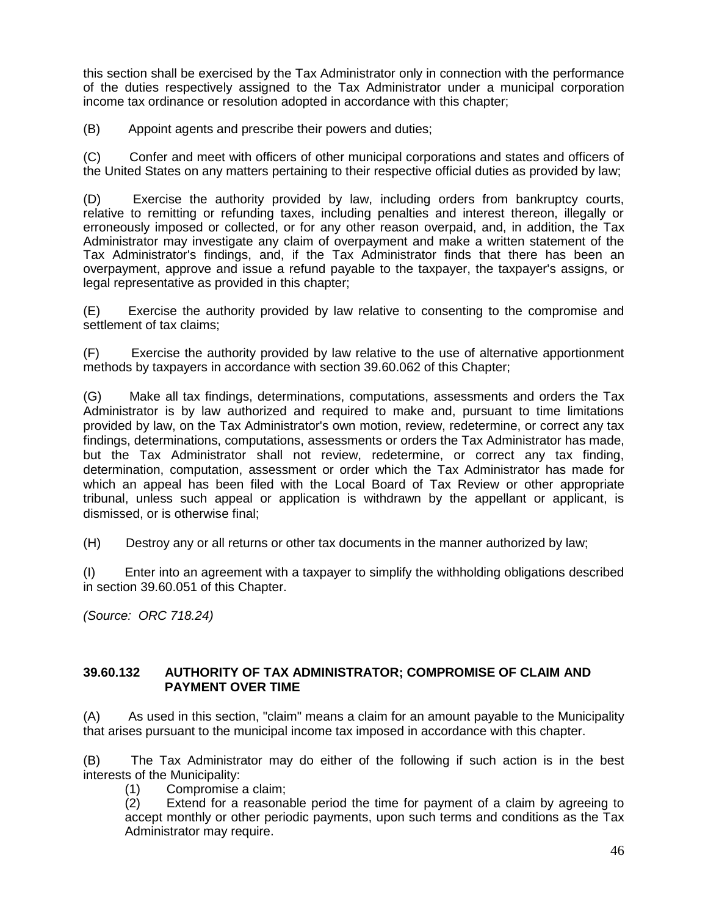this section shall be exercised by the Tax Administrator only in connection with the performance of the duties respectively assigned to the Tax Administrator under a municipal corporation income tax ordinance or resolution adopted in accordance with this chapter;

(B) Appoint agents and prescribe their powers and duties;

(C) Confer and meet with officers of other municipal corporations and states and officers of the United States on any matters pertaining to their respective official duties as provided by law;

(D) Exercise the authority provided by law, including orders from bankruptcy courts, relative to remitting or refunding taxes, including penalties and interest thereon, illegally or erroneously imposed or collected, or for any other reason overpaid, and, in addition, the Tax Administrator may investigate any claim of overpayment and make a written statement of the Tax Administrator's findings, and, if the Tax Administrator finds that there has been an overpayment, approve and issue a refund payable to the taxpayer, the taxpayer's assigns, or legal representative as provided in this chapter;

(E) Exercise the authority provided by law relative to consenting to the compromise and settlement of tax claims;

(F) Exercise the authority provided by law relative to the use of alternative apportionment methods by taxpayers in accordance with section 39.60.062 of this Chapter;

(G) Make all tax findings, determinations, computations, assessments and orders the Tax Administrator is by law authorized and required to make and, pursuant to time limitations provided by law, on the Tax Administrator's own motion, review, redetermine, or correct any tax findings, determinations, computations, assessments or orders the Tax Administrator has made, but the Tax Administrator shall not review, redetermine, or correct any tax finding, determination, computation, assessment or order which the Tax Administrator has made for which an appeal has been filed with the Local Board of Tax Review or other appropriate tribunal, unless such appeal or application is withdrawn by the appellant or applicant, is dismissed, or is otherwise final;

(H) Destroy any or all returns or other tax documents in the manner authorized by law;

(I) Enter into an agreement with a taxpayer to simplify the withholding obligations described in section 39.60.051 of this Chapter.

*(Source: ORC 718.24)*

#### **39.60.132 AUTHORITY OF TAX ADMINISTRATOR; COMPROMISE OF CLAIM AND PAYMENT OVER TIME**

(A) As used in this section, "claim" means a claim for an amount payable to the Municipality that arises pursuant to the municipal income tax imposed in accordance with this chapter.

(B) The Tax Administrator may do either of the following if such action is in the best interests of the Municipality:

(1) Compromise a claim;

(2) Extend for a reasonable period the time for payment of a claim by agreeing to accept monthly or other periodic payments, upon such terms and conditions as the Tax Administrator may require.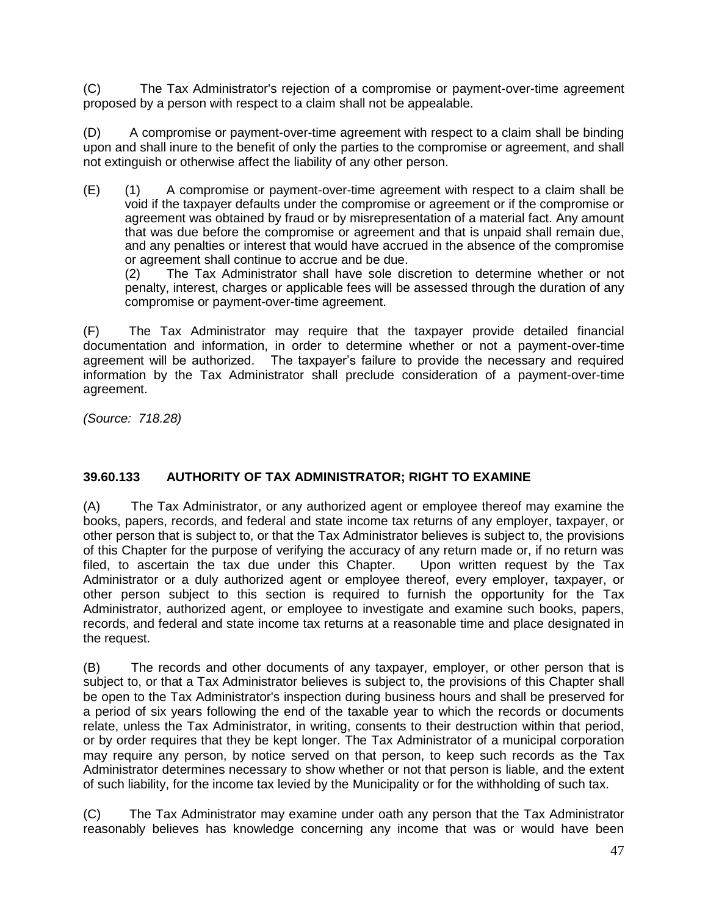(C) The Tax Administrator's rejection of a compromise or payment-over-time agreement proposed by a person with respect to a claim shall not be appealable.

(D) A compromise or payment-over-time agreement with respect to a claim shall be binding upon and shall inure to the benefit of only the parties to the compromise or agreement, and shall not extinguish or otherwise affect the liability of any other person.

(E) (1) A compromise or payment-over-time agreement with respect to a claim shall be void if the taxpayer defaults under the compromise or agreement or if the compromise or agreement was obtained by fraud or by misrepresentation of a material fact. Any amount that was due before the compromise or agreement and that is unpaid shall remain due, and any penalties or interest that would have accrued in the absence of the compromise or agreement shall continue to accrue and be due.

(2) The Tax Administrator shall have sole discretion to determine whether or not penalty, interest, charges or applicable fees will be assessed through the duration of any compromise or payment-over-time agreement.

(F) The Tax Administrator may require that the taxpayer provide detailed financial documentation and information, in order to determine whether or not a payment-over-time agreement will be authorized. The taxpayer's failure to provide the necessary and required information by the Tax Administrator shall preclude consideration of a payment-over-time agreement.

*(Source: 718.28)*

# **39.60.133 AUTHORITY OF TAX ADMINISTRATOR; RIGHT TO EXAMINE**

(A) The Tax Administrator, or any authorized agent or employee thereof may examine the books, papers, records, and federal and state income tax returns of any employer, taxpayer, or other person that is subject to, or that the Tax Administrator believes is subject to, the provisions of this Chapter for the purpose of verifying the accuracy of any return made or, if no return was filed, to ascertain the tax due under this Chapter. Upon written request by the Tax Administrator or a duly authorized agent or employee thereof, every employer, taxpayer, or other person subject to this section is required to furnish the opportunity for the Tax Administrator, authorized agent, or employee to investigate and examine such books, papers, records, and federal and state income tax returns at a reasonable time and place designated in the request.

(B) The records and other documents of any taxpayer, employer, or other person that is subject to, or that a Tax Administrator believes is subject to, the provisions of this Chapter shall be open to the Tax Administrator's inspection during business hours and shall be preserved for a period of six years following the end of the taxable year to which the records or documents relate, unless the Tax Administrator, in writing, consents to their destruction within that period, or by order requires that they be kept longer. The Tax Administrator of a municipal corporation may require any person, by notice served on that person, to keep such records as the Tax Administrator determines necessary to show whether or not that person is liable, and the extent of such liability, for the income tax levied by the Municipality or for the withholding of such tax.

(C) The Tax Administrator may examine under oath any person that the Tax Administrator reasonably believes has knowledge concerning any income that was or would have been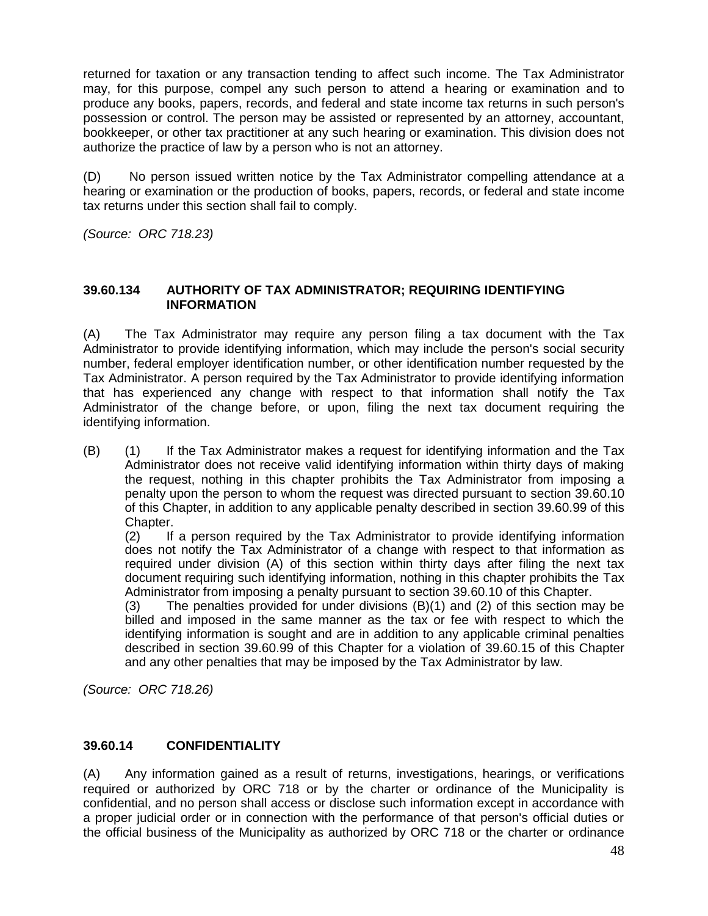returned for taxation or any transaction tending to affect such income. The Tax Administrator may, for this purpose, compel any such person to attend a hearing or examination and to produce any books, papers, records, and federal and state income tax returns in such person's possession or control. The person may be assisted or represented by an attorney, accountant, bookkeeper, or other tax practitioner at any such hearing or examination. This division does not authorize the practice of law by a person who is not an attorney.

(D) No person issued written notice by the Tax Administrator compelling attendance at a hearing or examination or the production of books, papers, records, or federal and state income tax returns under this section shall fail to comply.

*(Source: ORC 718.23)*

# **39.60.134 AUTHORITY OF TAX ADMINISTRATOR; REQUIRING IDENTIFYING INFORMATION**

(A) The Tax Administrator may require any person filing a tax document with the Tax Administrator to provide identifying information, which may include the person's social security number, federal employer identification number, or other identification number requested by the Tax Administrator. A person required by the Tax Administrator to provide identifying information that has experienced any change with respect to that information shall notify the Tax Administrator of the change before, or upon, filing the next tax document requiring the identifying information.

(B) (1) If the Tax Administrator makes a request for identifying information and the Tax Administrator does not receive valid identifying information within thirty days of making the request, nothing in this chapter prohibits the Tax Administrator from imposing a penalty upon the person to whom the request was directed pursuant to section 39.60.10 of this Chapter, in addition to any applicable penalty described in section 39.60.99 of this Chapter.

(2) If a person required by the Tax Administrator to provide identifying information does not notify the Tax Administrator of a change with respect to that information as required under division (A) of this section within thirty days after filing the next tax document requiring such identifying information, nothing in this chapter prohibits the Tax Administrator from imposing a penalty pursuant to section 39.60.10 of this Chapter.

(3) The penalties provided for under divisions (B)(1) and (2) of this section may be billed and imposed in the same manner as the tax or fee with respect to which the identifying information is sought and are in addition to any applicable criminal penalties described in section 39.60.99 of this Chapter for a violation of 39.60.15 of this Chapter and any other penalties that may be imposed by the Tax Administrator by law.

*(Source: ORC 718.26)*

# **39.60.14 CONFIDENTIALITY**

(A) Any information gained as a result of returns, investigations, hearings, or verifications required or authorized by ORC 718 or by the charter or ordinance of the Municipality is confidential, and no person shall access or disclose such information except in accordance with a proper judicial order or in connection with the performance of that person's official duties or the official business of the Municipality as authorized by ORC 718 or the charter or ordinance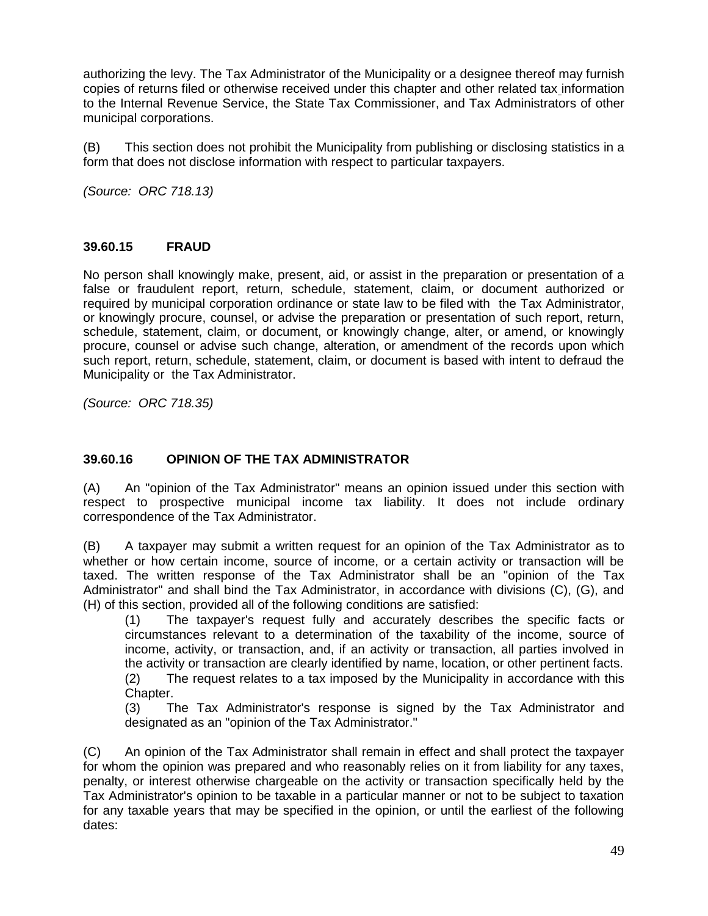authorizing the levy. The Tax Administrator of the Municipality or a designee thereof may furnish copies of returns filed or otherwise received under this chapter and other related tax information to the Internal Revenue Service, the State Tax Commissioner, and Tax Administrators of other municipal corporations.

(B) This section does not prohibit the Municipality from publishing or disclosing statistics in a form that does not disclose information with respect to particular taxpayers.

*(Source: ORC 718.13)*

#### **39.60.15 FRAUD**

No person shall knowingly make, present, aid, or assist in the preparation or presentation of a false or fraudulent report, return, schedule, statement, claim, or document authorized or required by municipal corporation ordinance or state law to be filed with the Tax Administrator, or knowingly procure, counsel, or advise the preparation or presentation of such report, return, schedule, statement, claim, or document, or knowingly change, alter, or amend, or knowingly procure, counsel or advise such change, alteration, or amendment of the records upon which such report, return, schedule, statement, claim, or document is based with intent to defraud the Municipality or the Tax Administrator.

*(Source: ORC 718.35)*

# **39.60.16 OPINION OF THE TAX ADMINISTRATOR**

(A) An "opinion of the Tax Administrator" means an opinion issued under this section with respect to prospective municipal income tax liability. It does not include ordinary correspondence of the Tax Administrator.

(B) A taxpayer may submit a written request for an opinion of the Tax Administrator as to whether or how certain income, source of income, or a certain activity or transaction will be taxed. The written response of the Tax Administrator shall be an "opinion of the Tax Administrator" and shall bind the Tax Administrator, in accordance with divisions (C), (G), and (H) of this section, provided all of the following conditions are satisfied:

(1) The taxpayer's request fully and accurately describes the specific facts or circumstances relevant to a determination of the taxability of the income, source of income, activity, or transaction, and, if an activity or transaction, all parties involved in the activity or transaction are clearly identified by name, location, or other pertinent facts.

(2) The request relates to a tax imposed by the Municipality in accordance with this Chapter.

(3) The Tax Administrator's response is signed by the Tax Administrator and designated as an "opinion of the Tax Administrator."

(C) An opinion of the Tax Administrator shall remain in effect and shall protect the taxpayer for whom the opinion was prepared and who reasonably relies on it from liability for any taxes, penalty, or interest otherwise chargeable on the activity or transaction specifically held by the Tax Administrator's opinion to be taxable in a particular manner or not to be subject to taxation for any taxable years that may be specified in the opinion, or until the earliest of the following dates: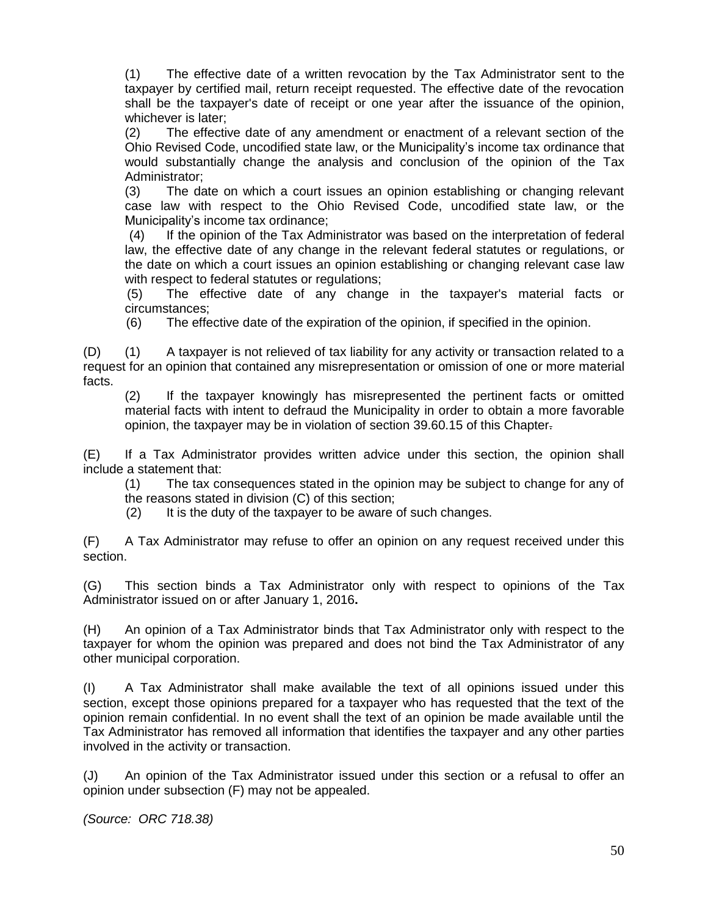(1) The effective date of a written revocation by the Tax Administrator sent to the taxpayer by certified mail, return receipt requested. The effective date of the revocation shall be the taxpayer's date of receipt or one year after the issuance of the opinion, whichever is later;

(2) The effective date of any amendment or enactment of a relevant section of the Ohio Revised Code, uncodified state law, or the Municipality's income tax ordinance that would substantially change the analysis and conclusion of the opinion of the Tax Administrator;

(3) The date on which a court issues an opinion establishing or changing relevant case law with respect to the Ohio Revised Code, uncodified state law, or the Municipality's income tax ordinance;

 (4) If the opinion of the Tax Administrator was based on the interpretation of federal law, the effective date of any change in the relevant federal statutes or regulations, or the date on which a court issues an opinion establishing or changing relevant case law with respect to federal statutes or regulations;

(5) The effective date of any change in the taxpayer's material facts or circumstances;

(6) The effective date of the expiration of the opinion, if specified in the opinion.

(D) (1) A taxpayer is not relieved of tax liability for any activity or transaction related to a request for an opinion that contained any misrepresentation or omission of one or more material facts.

(2) If the taxpayer knowingly has misrepresented the pertinent facts or omitted material facts with intent to defraud the Municipality in order to obtain a more favorable opinion, the taxpayer may be in violation of section 39.60.15 of this Chapter.

(E) If a Tax Administrator provides written advice under this section, the opinion shall include a statement that:

(1) The tax consequences stated in the opinion may be subject to change for any of the reasons stated in division (C) of this section;

(2) It is the duty of the taxpayer to be aware of such changes.

(F) A Tax Administrator may refuse to offer an opinion on any request received under this section.

(G) This section binds a Tax Administrator only with respect to opinions of the Tax Administrator issued on or after January 1, 2016**.**

(H) An opinion of a Tax Administrator binds that Tax Administrator only with respect to the taxpayer for whom the opinion was prepared and does not bind the Tax Administrator of any other municipal corporation.

(I) A Tax Administrator shall make available the text of all opinions issued under this section, except those opinions prepared for a taxpayer who has requested that the text of the opinion remain confidential. In no event shall the text of an opinion be made available until the Tax Administrator has removed all information that identifies the taxpayer and any other parties involved in the activity or transaction.

(J) An opinion of the Tax Administrator issued under this section or a refusal to offer an opinion under subsection (F) may not be appealed.

*(Source: ORC 718.38)*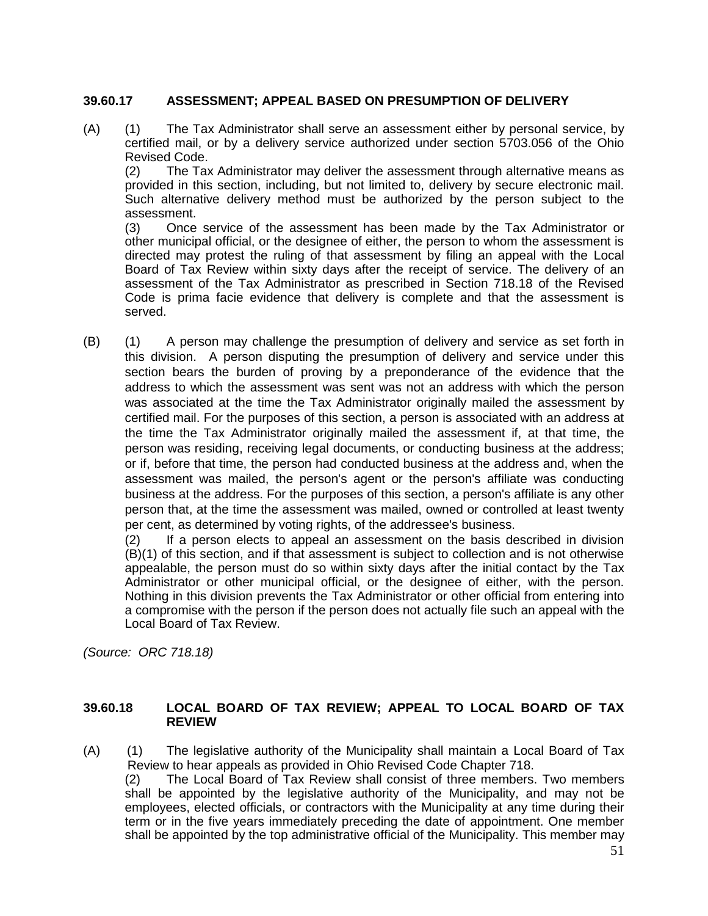#### **39.60.17 ASSESSMENT; APPEAL BASED ON PRESUMPTION OF DELIVERY**

(A) (1) The Tax Administrator shall serve an assessment either by personal service, by certified mail, or by a delivery service authorized under section 5703.056 of the Ohio Revised Code.

(2) The Tax Administrator may deliver the assessment through alternative means as provided in this section, including, but not limited to, delivery by secure electronic mail. Such alternative delivery method must be authorized by the person subject to the assessment.

(3) Once service of the assessment has been made by the Tax Administrator or other municipal official, or the designee of either, the person to whom the assessment is directed may protest the ruling of that assessment by filing an appeal with the Local Board of Tax Review within sixty days after the receipt of service. The delivery of an assessment of the Tax Administrator as prescribed in Section 718.18 of the Revised Code is prima facie evidence that delivery is complete and that the assessment is served.

(B) (1) A person may challenge the presumption of delivery and service as set forth in this division. A person disputing the presumption of delivery and service under this section bears the burden of proving by a preponderance of the evidence that the address to which the assessment was sent was not an address with which the person was associated at the time the Tax Administrator originally mailed the assessment by certified mail. For the purposes of this section, a person is associated with an address at the time the Tax Administrator originally mailed the assessment if, at that time, the person was residing, receiving legal documents, or conducting business at the address; or if, before that time, the person had conducted business at the address and, when the assessment was mailed, the person's agent or the person's affiliate was conducting business at the address. For the purposes of this section, a person's affiliate is any other person that, at the time the assessment was mailed, owned or controlled at least twenty per cent, as determined by voting rights, of the addressee's business.

(2) If a person elects to appeal an assessment on the basis described in division (B)(1) of this section, and if that assessment is subject to collection and is not otherwise appealable, the person must do so within sixty days after the initial contact by the Tax Administrator or other municipal official, or the designee of either, with the person. Nothing in this division prevents the Tax Administrator or other official from entering into a compromise with the person if the person does not actually file such an appeal with the Local Board of Tax Review.

*(Source: ORC 718.18)*

#### **39.60.18 LOCAL BOARD OF TAX REVIEW; APPEAL TO LOCAL BOARD OF TAX REVIEW**

(A) (1) The legislative authority of the Municipality shall maintain a Local Board of Tax Review to hear appeals as provided in Ohio Revised Code Chapter 718.

(2) The Local Board of Tax Review shall consist of three members. Two members shall be appointed by the legislative authority of the Municipality, and may not be employees, elected officials, or contractors with the Municipality at any time during their term or in the five years immediately preceding the date of appointment. One member shall be appointed by the top administrative official of the Municipality. This member may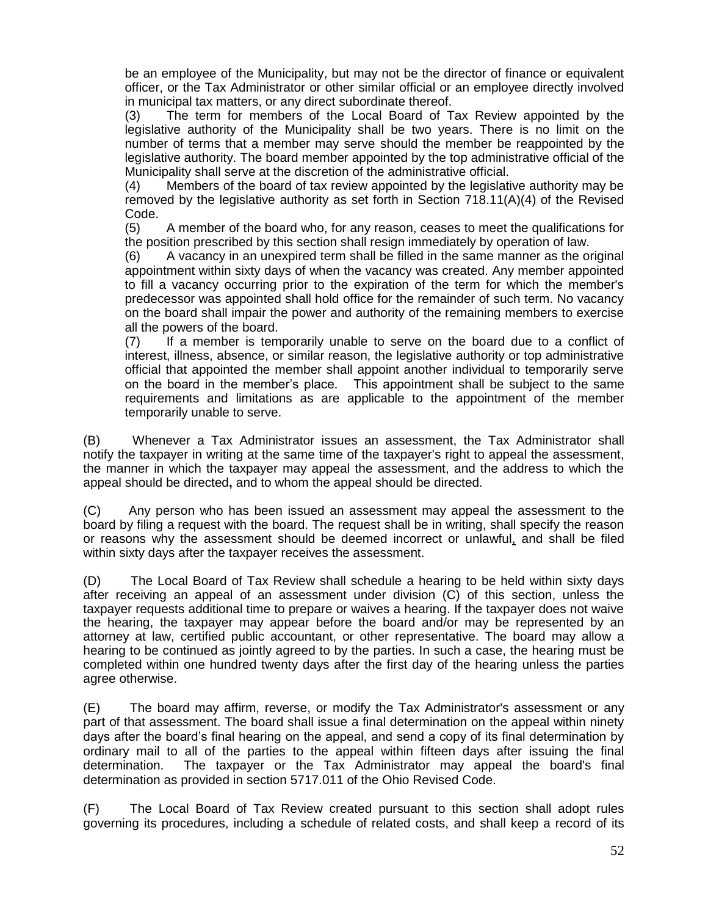be an employee of the Municipality, but may not be the director of finance or equivalent officer, or the Tax Administrator or other similar official or an employee directly involved in municipal tax matters, or any direct subordinate thereof.

(3) The term for members of the Local Board of Tax Review appointed by the legislative authority of the Municipality shall be two years. There is no limit on the number of terms that a member may serve should the member be reappointed by the legislative authority. The board member appointed by the top administrative official of the Municipality shall serve at the discretion of the administrative official.

(4) Members of the board of tax review appointed by the legislative authority may be removed by the legislative authority as set forth in Section 718.11(A)(4) of the Revised Code.

(5) A member of the board who, for any reason, ceases to meet the qualifications for the position prescribed by this section shall resign immediately by operation of law.

(6) A vacancy in an unexpired term shall be filled in the same manner as the original appointment within sixty days of when the vacancy was created. Any member appointed to fill a vacancy occurring prior to the expiration of the term for which the member's predecessor was appointed shall hold office for the remainder of such term. No vacancy on the board shall impair the power and authority of the remaining members to exercise all the powers of the board.

(7) If a member is temporarily unable to serve on the board due to a conflict of interest, illness, absence, or similar reason, the legislative authority or top administrative official that appointed the member shall appoint another individual to temporarily serve on the board in the member's place. This appointment shall be subject to the same requirements and limitations as are applicable to the appointment of the member temporarily unable to serve.

(B) Whenever a Tax Administrator issues an assessment, the Tax Administrator shall notify the taxpayer in writing at the same time of the taxpayer's right to appeal the assessment, the manner in which the taxpayer may appeal the assessment, and the address to which the appeal should be directed**,** and to whom the appeal should be directed.

(C) Any person who has been issued an assessment may appeal the assessment to the board by filing a request with the board. The request shall be in writing, shall specify the reason or reasons why the assessment should be deemed incorrect or unlawful, and shall be filed within sixty days after the taxpayer receives the assessment.

(D) The Local Board of Tax Review shall schedule a hearing to be held within sixty days after receiving an appeal of an assessment under division (C) of this section, unless the taxpayer requests additional time to prepare or waives a hearing. If the taxpayer does not waive the hearing, the taxpayer may appear before the board and/or may be represented by an attorney at law, certified public accountant, or other representative. The board may allow a hearing to be continued as jointly agreed to by the parties. In such a case, the hearing must be completed within one hundred twenty days after the first day of the hearing unless the parties agree otherwise.

(E) The board may affirm, reverse, or modify the Tax Administrator's assessment or any part of that assessment. The board shall issue a final determination on the appeal within ninety days after the board's final hearing on the appeal, and send a copy of its final determination by ordinary mail to all of the parties to the appeal within fifteen days after issuing the final determination. The taxpayer or the Tax Administrator may appeal the board's final determination as provided in section 5717.011 of the Ohio Revised Code.

(F) The Local Board of Tax Review created pursuant to this section shall adopt rules governing its procedures, including a schedule of related costs, and shall keep a record of its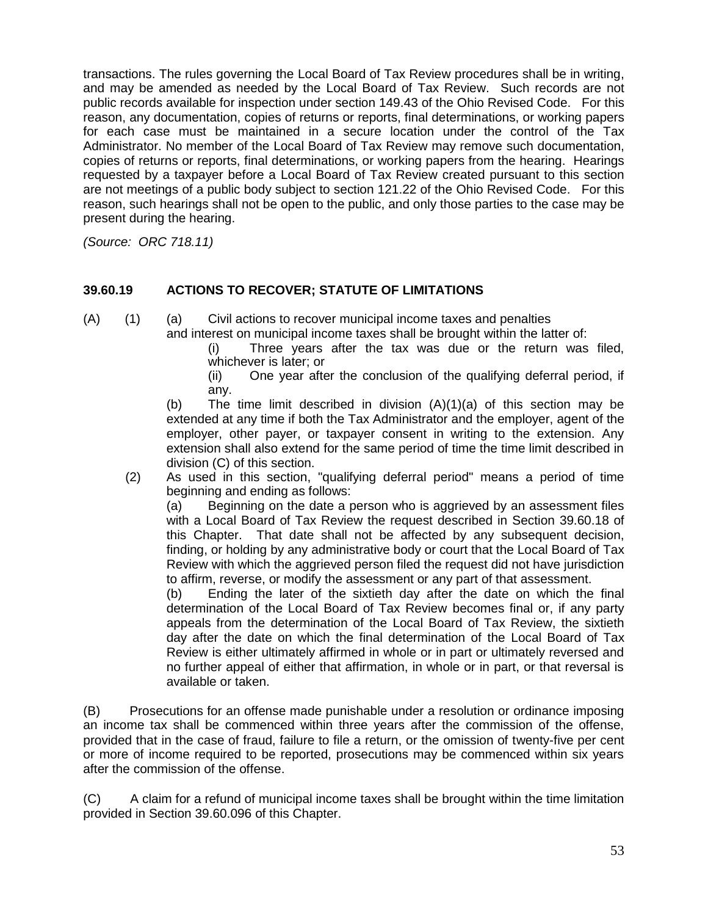transactions. The rules governing the Local Board of Tax Review procedures shall be in writing, and may be amended as needed by the Local Board of Tax Review. Such records are not public records available for inspection under section 149.43 of the Ohio Revised Code. For this reason, any documentation, copies of returns or reports, final determinations, or working papers for each case must be maintained in a secure location under the control of the Tax Administrator. No member of the Local Board of Tax Review may remove such documentation, copies of returns or reports, final determinations, or working papers from the hearing. Hearings requested by a taxpayer before a Local Board of Tax Review created pursuant to this section are not meetings of a public body subject to section 121.22 of the Ohio Revised Code. For this reason, such hearings shall not be open to the public, and only those parties to the case may be present during the hearing.

*(Source: ORC 718.11)*

# **39.60.19 ACTIONS TO RECOVER; STATUTE OF LIMITATIONS**

(A) (1) (a) Civil actions to recover municipal income taxes and penalties

and interest on municipal income taxes shall be brought within the latter of:

(i) Three years after the tax was due or the return was filed, whichever is later; or

(ii) One year after the conclusion of the qualifying deferral period, if any.

(b) The time limit described in division  $(A)(1)(a)$  of this section may be extended at any time if both the Tax Administrator and the employer, agent of the employer, other payer, or taxpayer consent in writing to the extension. Any extension shall also extend for the same period of time the time limit described in division (C) of this section.

(2) As used in this section, "qualifying deferral period" means a period of time beginning and ending as follows:

(a) Beginning on the date a person who is aggrieved by an assessment files with a Local Board of Tax Review the request described in Section 39.60.18 of this Chapter. That date shall not be affected by any subsequent decision, finding, or holding by any administrative body or court that the Local Board of Tax Review with which the aggrieved person filed the request did not have jurisdiction to affirm, reverse, or modify the assessment or any part of that assessment.

(b) Ending the later of the sixtieth day after the date on which the final determination of the Local Board of Tax Review becomes final or, if any party appeals from the determination of the Local Board of Tax Review, the sixtieth day after the date on which the final determination of the Local Board of Tax Review is either ultimately affirmed in whole or in part or ultimately reversed and no further appeal of either that affirmation, in whole or in part, or that reversal is available or taken.

(B) Prosecutions for an offense made punishable under a resolution or ordinance imposing an income tax shall be commenced within three years after the commission of the offense, provided that in the case of fraud, failure to file a return, or the omission of twenty-five per cent or more of income required to be reported, prosecutions may be commenced within six years after the commission of the offense.

(C) A claim for a refund of municipal income taxes shall be brought within the time limitation provided in Section 39.60.096 of this Chapter.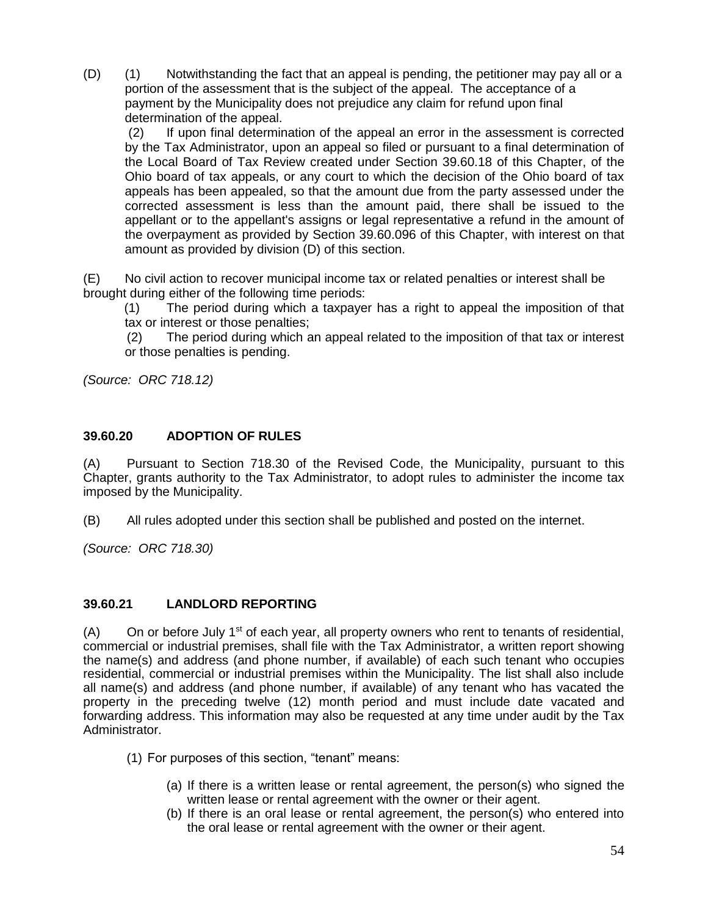(D) (1) Notwithstanding the fact that an appeal is pending, the petitioner may pay all or a portion of the assessment that is the subject of the appeal. The acceptance of a payment by the Municipality does not prejudice any claim for refund upon final determination of the appeal.

(2) If upon final determination of the appeal an error in the assessment is corrected by the Tax Administrator, upon an appeal so filed or pursuant to a final determination of the Local Board of Tax Review created under Section 39.60.18 of this Chapter, of the Ohio board of tax appeals, or any court to which the decision of the Ohio board of tax appeals has been appealed, so that the amount due from the party assessed under the corrected assessment is less than the amount paid, there shall be issued to the appellant or to the appellant's assigns or legal representative a refund in the amount of the overpayment as provided by Section 39.60.096 of this Chapter, with interest on that amount as provided by division (D) of this section.

(E) No civil action to recover municipal income tax or related penalties or interest shall be brought during either of the following time periods:

 (1) The period during which a taxpayer has a right to appeal the imposition of that tax or interest or those penalties;

 (2) The period during which an appeal related to the imposition of that tax or interest or those penalties is pending.

*(Source: ORC 718.12)*

# **39.60.20 ADOPTION OF RULES**

(A) Pursuant to Section 718.30 of the Revised Code, the Municipality, pursuant to this Chapter, grants authority to the Tax Administrator, to adopt rules to administer the income tax imposed by the Municipality.

(B) All rules adopted under this section shall be published and posted on the internet.

*(Source: ORC 718.30)*

# **39.60.21 LANDLORD REPORTING**

 $(A)$  On or before July 1<sup>st</sup> of each year, all property owners who rent to tenants of residential, commercial or industrial premises, shall file with the Tax Administrator, a written report showing the name(s) and address (and phone number, if available) of each such tenant who occupies residential, commercial or industrial premises within the Municipality. The list shall also include all name(s) and address (and phone number, if available) of any tenant who has vacated the property in the preceding twelve (12) month period and must include date vacated and forwarding address. This information may also be requested at any time under audit by the Tax Administrator.

- (1) For purposes of this section, "tenant" means:
	- (a) If there is a written lease or rental agreement, the person(s) who signed the written lease or rental agreement with the owner or their agent.
	- (b) If there is an oral lease or rental agreement, the person(s) who entered into the oral lease or rental agreement with the owner or their agent.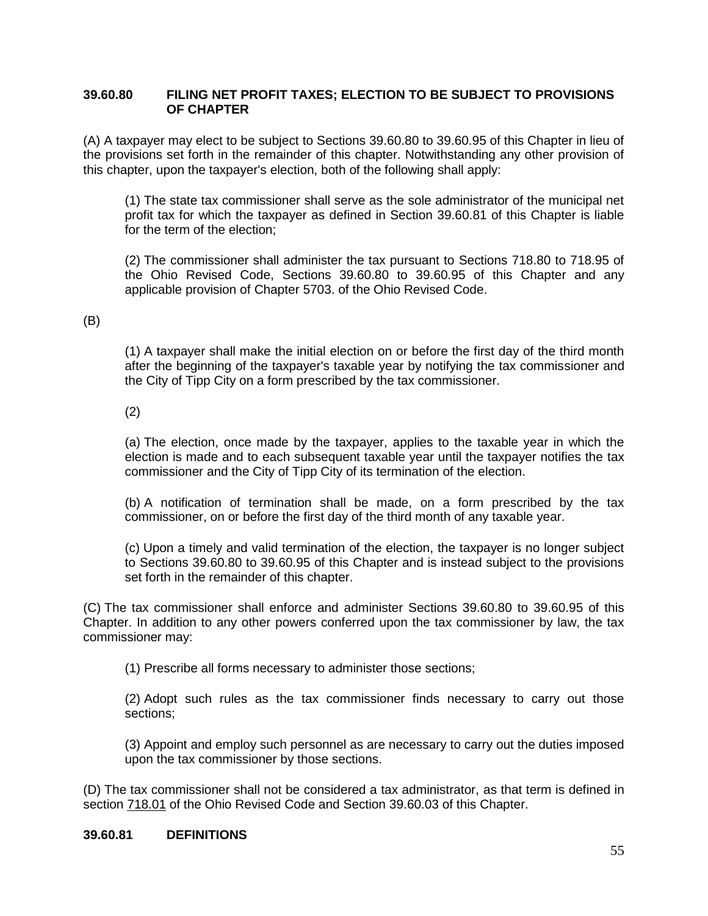#### **39.60.80 [FILING NET PROFIT TAXES; ELECTION TO BE SUBJECT TO PROVISIONS](http://codes.ohio.gov/orc/718.80v1)  [OF CHAPTER](http://codes.ohio.gov/orc/718.80v1)**

(A) A taxpayer may elect to be subject to Sections 39.60.80 to 39.60.95 of this Chapter in lieu of the provisions set forth in the remainder of this chapter. Notwithstanding any other provision of this chapter, upon the taxpayer's election, both of the following shall apply:

(1) The state tax commissioner shall serve as the sole administrator of the municipal net profit tax for which the taxpayer as defined in Section 39.60.81 of this Chapter is liable for the term of the election;

(2) The commissioner shall administer the tax pursuant to Sections 718.80 to 718.95 of the Ohio Revised Code, Sections 39.60.80 to 39.60.95 of this Chapter and any applicable provision of Chapter 5703. of the Ohio Revised Code.

(B)

(1) A taxpayer shall make the initial election on or before the first day of the third month after the beginning of the taxpayer's taxable year by notifying the tax commissioner and the City of Tipp City on a form prescribed by the tax commissioner.

(2)

(a) The election, once made by the taxpayer, applies to the taxable year in which the election is made and to each subsequent taxable year until the taxpayer notifies the tax commissioner and the City of Tipp City of its termination of the election.

(b) A notification of termination shall be made, on a form prescribed by the tax commissioner, on or before the first day of the third month of any taxable year.

(c) Upon a timely and valid termination of the election, the taxpayer is no longer subject to Sections 39.60.80 to 39.60.95 of this Chapter and is instead subject to the provisions set forth in the remainder of this chapter.

(C) The tax commissioner shall enforce and administer Sections 39.60.80 to 39.60.95 of this Chapter. In addition to any other powers conferred upon the tax commissioner by law, the tax commissioner may:

(1) Prescribe all forms necessary to administer those sections;

(2) Adopt such rules as the tax commissioner finds necessary to carry out those sections;

(3) Appoint and employ such personnel as are necessary to carry out the duties imposed upon the tax commissioner by those sections.

(D) The tax commissioner shall not be considered a tax administrator, as that term is defined in section [718.01](http://codes.ohio.gov/orc/718.01) of the Ohio Revised Code and Section 39.60.03 of this Chapter.

#### **39.60.81 [DEFINITIONS](http://codes.ohio.gov/orc/718.81v1)**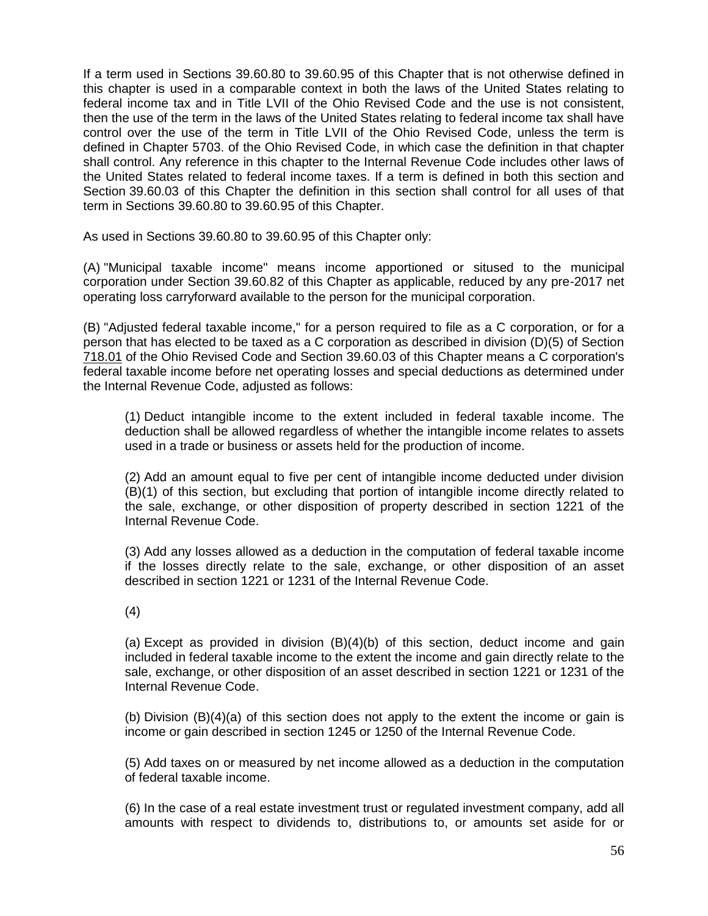If a term used in Sections 39.60.80 to 39.60.95 of this Chapter that is not otherwise defined in this chapter is used in a comparable context in both the laws of the United States relating to federal income tax and in Title LVII of the Ohio Revised Code and the use is not consistent, then the use of the term in the laws of the United States relating to federal income tax shall have control over the use of the term in Title LVII of the Ohio Revised Code, unless the term is defined in Chapter 5703. of the Ohio Revised Code, in which case the definition in that chapter shall control. Any reference in this chapter to the Internal Revenue Code includes other laws of the United States related to federal income taxes. If a term is defined in both this section and Section 39.60.03 of this Chapter the definition in this section shall control for all uses of that term in Sections 39.60.80 to 39.60.95 of this Chapter.

As used in Sections 39.60.80 to 39.60.95 of this Chapter only:

(A) "Municipal taxable income" means income apportioned or sitused to the municipal corporation under Section 39.60.82 of this Chapter as applicable, reduced by any pre-2017 net operating loss carryforward available to the person for the municipal corporation.

(B) "Adjusted federal taxable income," for a person required to file as a C corporation, or for a person that has elected to be taxed as a C corporation as described in division (D)(5) of Section [718.01](http://codes.ohio.gov/orc/718.01) of the Ohio Revised Code and Section 39.60.03 of this Chapter means a C corporation's federal taxable income before net operating losses and special deductions as determined under the Internal Revenue Code, adjusted as follows:

(1) Deduct intangible income to the extent included in federal taxable income. The deduction shall be allowed regardless of whether the intangible income relates to assets used in a trade or business or assets held for the production of income.

(2) Add an amount equal to five per cent of intangible income deducted under division (B)(1) of this section, but excluding that portion of intangible income directly related to the sale, exchange, or other disposition of property described in section 1221 of the Internal Revenue Code.

(3) Add any losses allowed as a deduction in the computation of federal taxable income if the losses directly relate to the sale, exchange, or other disposition of an asset described in section 1221 or 1231 of the Internal Revenue Code.

(4)

(a) Except as provided in division (B)(4)(b) of this section, deduct income and gain included in federal taxable income to the extent the income and gain directly relate to the sale, exchange, or other disposition of an asset described in section 1221 or 1231 of the Internal Revenue Code.

(b) Division (B)(4)(a) of this section does not apply to the extent the income or gain is income or gain described in section 1245 or 1250 of the Internal Revenue Code.

(5) Add taxes on or measured by net income allowed as a deduction in the computation of federal taxable income.

(6) In the case of a real estate investment trust or regulated investment company, add all amounts with respect to dividends to, distributions to, or amounts set aside for or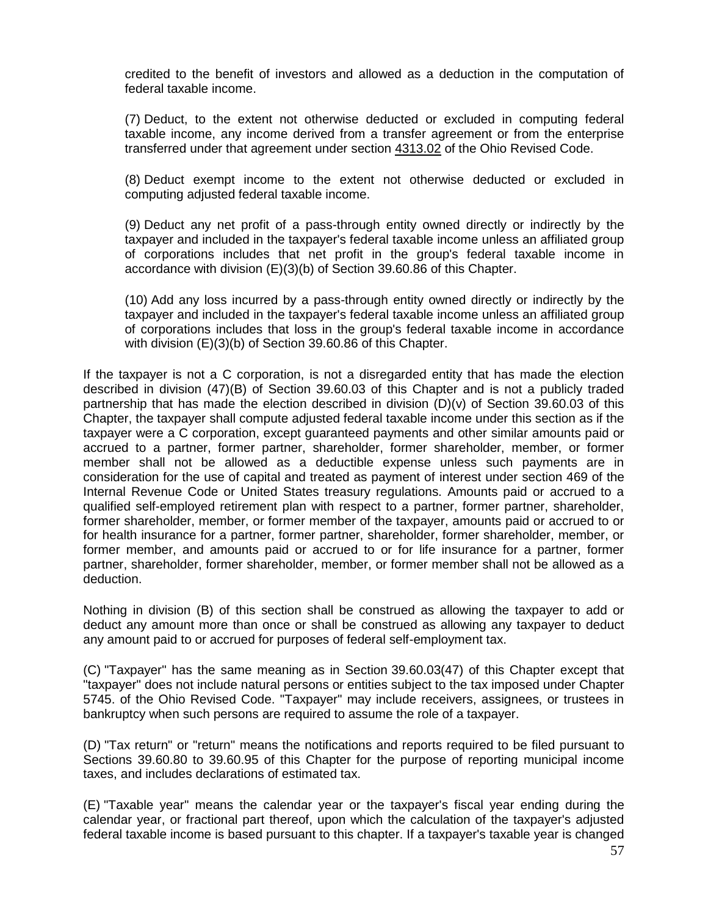credited to the benefit of investors and allowed as a deduction in the computation of federal taxable income.

(7) Deduct, to the extent not otherwise deducted or excluded in computing federal taxable income, any income derived from a transfer agreement or from the enterprise transferred under that agreement under section [4313.02](http://codes.ohio.gov/orc/4313.02) of the Ohio Revised Code.

(8) Deduct exempt income to the extent not otherwise deducted or excluded in computing adjusted federal taxable income.

(9) Deduct any net profit of a pass-through entity owned directly or indirectly by the taxpayer and included in the taxpayer's federal taxable income unless an affiliated group of corporations includes that net profit in the group's federal taxable income in accordance with division (E)(3)(b) of Section 39.60.86 of this Chapter.

(10) Add any loss incurred by a pass-through entity owned directly or indirectly by the taxpayer and included in the taxpayer's federal taxable income unless an affiliated group of corporations includes that loss in the group's federal taxable income in accordance with division (E)(3)(b) of Section 39.60.86 of this Chapter.

If the taxpayer is not a C corporation, is not a disregarded entity that has made the election described in division (47)(B) of Section 39.60.03 of this Chapter and is not a publicly traded partnership that has made the election described in division (D)(v) of Section 39.60.03 of this Chapter, the taxpayer shall compute adjusted federal taxable income under this section as if the taxpayer were a C corporation, except guaranteed payments and other similar amounts paid or accrued to a partner, former partner, shareholder, former shareholder, member, or former member shall not be allowed as a deductible expense unless such payments are in consideration for the use of capital and treated as payment of interest under section 469 of the Internal Revenue Code or United States treasury regulations. Amounts paid or accrued to a qualified self-employed retirement plan with respect to a partner, former partner, shareholder, former shareholder, member, or former member of the taxpayer, amounts paid or accrued to or for health insurance for a partner, former partner, shareholder, former shareholder, member, or former member, and amounts paid or accrued to or for life insurance for a partner, former partner, shareholder, former shareholder, member, or former member shall not be allowed as a deduction.

Nothing in division (B) of this section shall be construed as allowing the taxpayer to add or deduct any amount more than once or shall be construed as allowing any taxpayer to deduct any amount paid to or accrued for purposes of federal self-employment tax.

(C) "Taxpayer" has the same meaning as in Section 39.60.03(47) of this Chapter except that "taxpayer" does not include natural persons or entities subject to the tax imposed under Chapter 5745. of the Ohio Revised Code. "Taxpayer" may include receivers, assignees, or trustees in bankruptcy when such persons are required to assume the role of a taxpayer.

(D) "Tax return" or "return" means the notifications and reports required to be filed pursuant to Sections 39.60.80 to 39.60.95 of this Chapter for the purpose of reporting municipal income taxes, and includes declarations of estimated tax.

(E) "Taxable year" means the calendar year or the taxpayer's fiscal year ending during the calendar year, or fractional part thereof, upon which the calculation of the taxpayer's adjusted federal taxable income is based pursuant to this chapter. If a taxpayer's taxable year is changed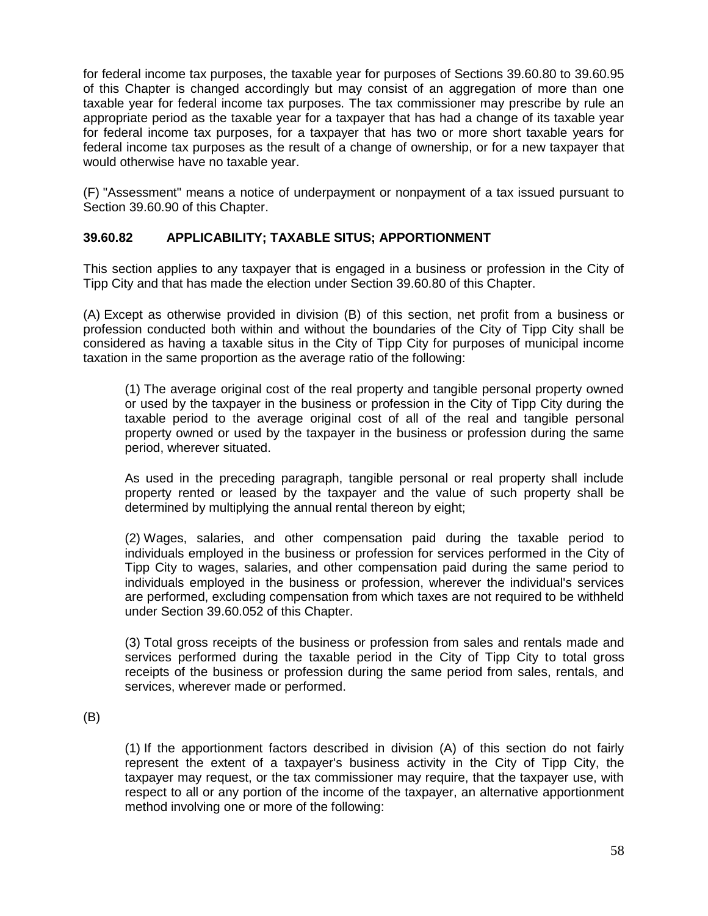for federal income tax purposes, the taxable year for purposes of Sections 39.60.80 to 39.60.95 of this Chapter is changed accordingly but may consist of an aggregation of more than one taxable year for federal income tax purposes. The tax commissioner may prescribe by rule an appropriate period as the taxable year for a taxpayer that has had a change of its taxable year for federal income tax purposes, for a taxpayer that has two or more short taxable years for federal income tax purposes as the result of a change of ownership, or for a new taxpayer that would otherwise have no taxable year.

(F) "Assessment" means a notice of underpayment or nonpayment of a tax issued pursuant to Section 39.60.90 of this Chapter.

# **39.60.82 [APPLICABILITY; TAXABLE SITUS; APPORTIONMENT](http://codes.ohio.gov/orc/718.82v1)**

This section applies to any taxpayer that is engaged in a business or profession in the City of Tipp City and that has made the election under Section 39.60.80 of this Chapter.

(A) Except as otherwise provided in division (B) of this section, net profit from a business or profession conducted both within and without the boundaries of the City of Tipp City shall be considered as having a taxable situs in the City of Tipp City for purposes of municipal income taxation in the same proportion as the average ratio of the following:

(1) The average original cost of the real property and tangible personal property owned or used by the taxpayer in the business or profession in the City of Tipp City during the taxable period to the average original cost of all of the real and tangible personal property owned or used by the taxpayer in the business or profession during the same period, wherever situated.

As used in the preceding paragraph, tangible personal or real property shall include property rented or leased by the taxpayer and the value of such property shall be determined by multiplying the annual rental thereon by eight;

(2) Wages, salaries, and other compensation paid during the taxable period to individuals employed in the business or profession for services performed in the City of Tipp City to wages, salaries, and other compensation paid during the same period to individuals employed in the business or profession, wherever the individual's services are performed, excluding compensation from which taxes are not required to be withheld under Section 39.60.052 of this Chapter.

(3) Total gross receipts of the business or profession from sales and rentals made and services performed during the taxable period in the City of Tipp City to total gross receipts of the business or profession during the same period from sales, rentals, and services, wherever made or performed.

(B)

(1) If the apportionment factors described in division (A) of this section do not fairly represent the extent of a taxpayer's business activity in the City of Tipp City, the taxpayer may request, or the tax commissioner may require, that the taxpayer use, with respect to all or any portion of the income of the taxpayer, an alternative apportionment method involving one or more of the following: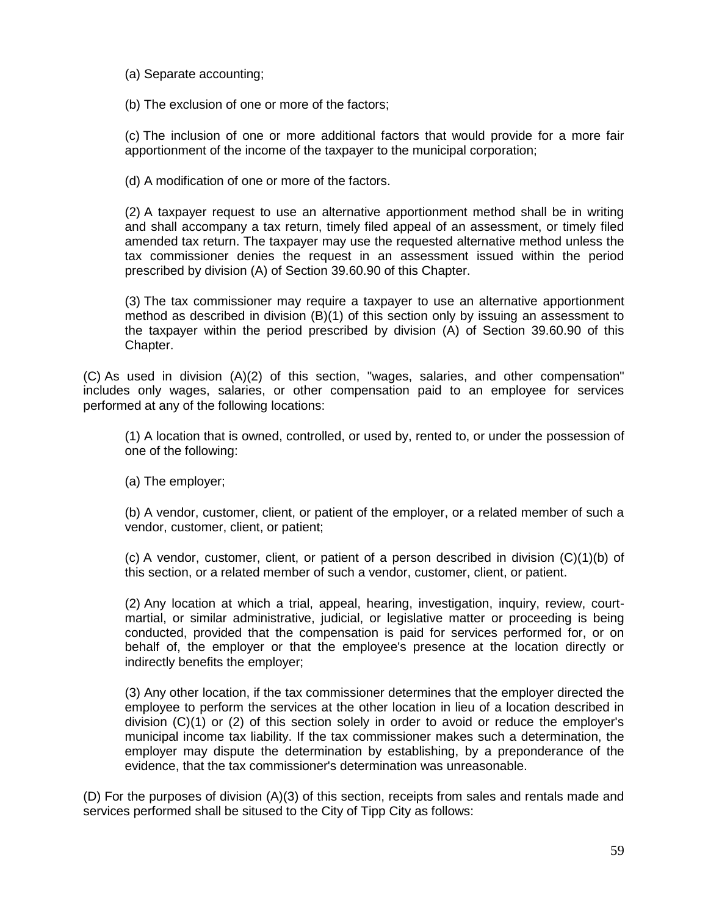(a) Separate accounting;

(b) The exclusion of one or more of the factors;

(c) The inclusion of one or more additional factors that would provide for a more fair apportionment of the income of the taxpayer to the municipal corporation;

(d) A modification of one or more of the factors.

(2) A taxpayer request to use an alternative apportionment method shall be in writing and shall accompany a tax return, timely filed appeal of an assessment, or timely filed amended tax return. The taxpayer may use the requested alternative method unless the tax commissioner denies the request in an assessment issued within the period prescribed by division (A) of Section 39.60.90 of this Chapter.

(3) The tax commissioner may require a taxpayer to use an alternative apportionment method as described in division (B)(1) of this section only by issuing an assessment to the taxpayer within the period prescribed by division (A) of Section 39.60.90 of this Chapter.

(C) As used in division (A)(2) of this section, "wages, salaries, and other compensation" includes only wages, salaries, or other compensation paid to an employee for services performed at any of the following locations:

(1) A location that is owned, controlled, or used by, rented to, or under the possession of one of the following:

(a) The employer;

(b) A vendor, customer, client, or patient of the employer, or a related member of such a vendor, customer, client, or patient;

(c) A vendor, customer, client, or patient of a person described in division (C)(1)(b) of this section, or a related member of such a vendor, customer, client, or patient.

(2) Any location at which a trial, appeal, hearing, investigation, inquiry, review, courtmartial, or similar administrative, judicial, or legislative matter or proceeding is being conducted, provided that the compensation is paid for services performed for, or on behalf of, the employer or that the employee's presence at the location directly or indirectly benefits the employer;

(3) Any other location, if the tax commissioner determines that the employer directed the employee to perform the services at the other location in lieu of a location described in division (C)(1) or (2) of this section solely in order to avoid or reduce the employer's municipal income tax liability. If the tax commissioner makes such a determination, the employer may dispute the determination by establishing, by a preponderance of the evidence, that the tax commissioner's determination was unreasonable.

(D) For the purposes of division (A)(3) of this section, receipts from sales and rentals made and services performed shall be sitused to the City of Tipp City as follows: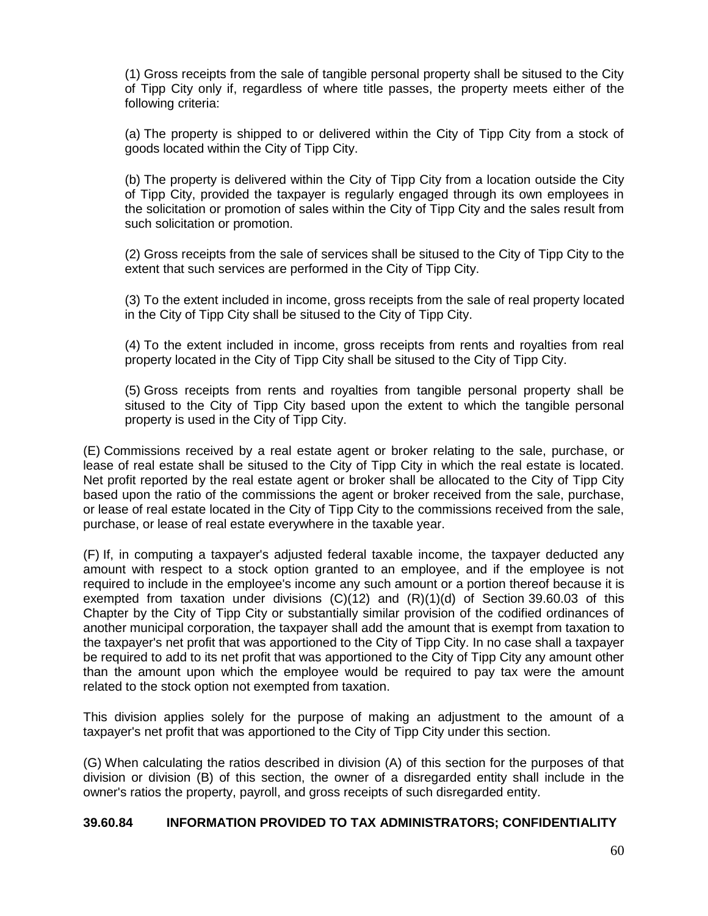(1) Gross receipts from the sale of tangible personal property shall be sitused to the City of Tipp City only if, regardless of where title passes, the property meets either of the following criteria:

(a) The property is shipped to or delivered within the City of Tipp City from a stock of goods located within the City of Tipp City.

(b) The property is delivered within the City of Tipp City from a location outside the City of Tipp City, provided the taxpayer is regularly engaged through its own employees in the solicitation or promotion of sales within the City of Tipp City and the sales result from such solicitation or promotion.

(2) Gross receipts from the sale of services shall be sitused to the City of Tipp City to the extent that such services are performed in the City of Tipp City.

(3) To the extent included in income, gross receipts from the sale of real property located in the City of Tipp City shall be sitused to the City of Tipp City.

(4) To the extent included in income, gross receipts from rents and royalties from real property located in the City of Tipp City shall be sitused to the City of Tipp City.

(5) Gross receipts from rents and royalties from tangible personal property shall be sitused to the City of Tipp City based upon the extent to which the tangible personal property is used in the City of Tipp City.

(E) Commissions received by a real estate agent or broker relating to the sale, purchase, or lease of real estate shall be sitused to the City of Tipp City in which the real estate is located. Net profit reported by the real estate agent or broker shall be allocated to the City of Tipp City based upon the ratio of the commissions the agent or broker received from the sale, purchase, or lease of real estate located in the City of Tipp City to the commissions received from the sale, purchase, or lease of real estate everywhere in the taxable year.

(F) If, in computing a taxpayer's adjusted federal taxable income, the taxpayer deducted any amount with respect to a stock option granted to an employee, and if the employee is not required to include in the employee's income any such amount or a portion thereof because it is exempted from taxation under divisions  $(C)(12)$  and  $(R)(1)(d)$  of Section 39.60.03 of this Chapter by the City of Tipp City or substantially similar provision of the codified ordinances of another municipal corporation, the taxpayer shall add the amount that is exempt from taxation to the taxpayer's net profit that was apportioned to the City of Tipp City. In no case shall a taxpayer be required to add to its net profit that was apportioned to the City of Tipp City any amount other than the amount upon which the employee would be required to pay tax were the amount related to the stock option not exempted from taxation.

This division applies solely for the purpose of making an adjustment to the amount of a taxpayer's net profit that was apportioned to the City of Tipp City under this section.

(G) When calculating the ratios described in division (A) of this section for the purposes of that division or division (B) of this section, the owner of a disregarded entity shall include in the owner's ratios the property, payroll, and gross receipts of such disregarded entity.

#### **39.60.84 [INFORMATION PROVIDED TO TAX ADMINISTRATORS; CONFIDENTIALITY](http://codes.ohio.gov/orc/718.84v1)**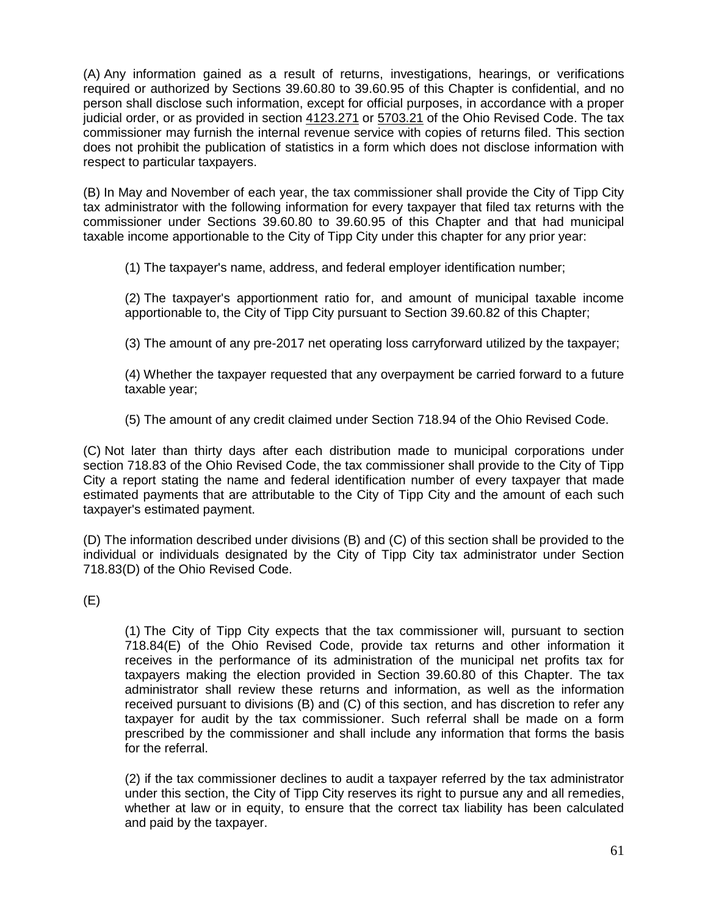(A) Any information gained as a result of returns, investigations, hearings, or verifications required or authorized by Sections 39.60.80 to 39.60.95 of this Chapter is confidential, and no person shall disclose such information, except for official purposes, in accordance with a proper judicial order, or as provided in section [4123.271](http://codes.ohio.gov/orc/4123.271) or [5703.21](http://codes.ohio.gov/orc/5703.21) of the Ohio Revised Code. The tax commissioner may furnish the internal revenue service with copies of returns filed. This section does not prohibit the publication of statistics in a form which does not disclose information with respect to particular taxpayers.

(B) In May and November of each year, the tax commissioner shall provide the City of Tipp City tax administrator with the following information for every taxpayer that filed tax returns with the commissioner under Sections 39.60.80 to 39.60.95 of this Chapter and that had municipal taxable income apportionable to the City of Tipp City under this chapter for any prior year:

(1) The taxpayer's name, address, and federal employer identification number;

(2) The taxpayer's apportionment ratio for, and amount of municipal taxable income apportionable to, the City of Tipp City pursuant to Section 39.60.82 of this Chapter;

(3) The amount of any pre-2017 net operating loss carryforward utilized by the taxpayer;

(4) Whether the taxpayer requested that any overpayment be carried forward to a future taxable year;

(5) The amount of any credit claimed under Section 718.94 of the Ohio Revised Code.

(C) Not later than thirty days after each distribution made to municipal corporations under section 718.83 of the Ohio Revised Code, the tax commissioner shall provide to the City of Tipp City a report stating the name and federal identification number of every taxpayer that made estimated payments that are attributable to the City of Tipp City and the amount of each such taxpayer's estimated payment.

(D) The information described under divisions (B) and (C) of this section shall be provided to the individual or individuals designated by the City of Tipp City tax administrator under Section 718.83(D) of the Ohio Revised Code.

(E)

(1) The City of Tipp City expects that the tax commissioner will, pursuant to section 718.84(E) of the Ohio Revised Code, provide tax returns and other information it receives in the performance of its administration of the municipal net profits tax for taxpayers making the election provided in Section 39.60.80 of this Chapter. The tax administrator shall review these returns and information, as well as the information received pursuant to divisions (B) and (C) of this section, and has discretion to refer any taxpayer for audit by the tax commissioner. Such referral shall be made on a form prescribed by the commissioner and shall include any information that forms the basis for the referral.

(2) if the tax commissioner declines to audit a taxpayer referred by the tax administrator under this section, the City of Tipp City reserves its right to pursue any and all remedies, whether at law or in equity, to ensure that the correct tax liability has been calculated and paid by the taxpayer.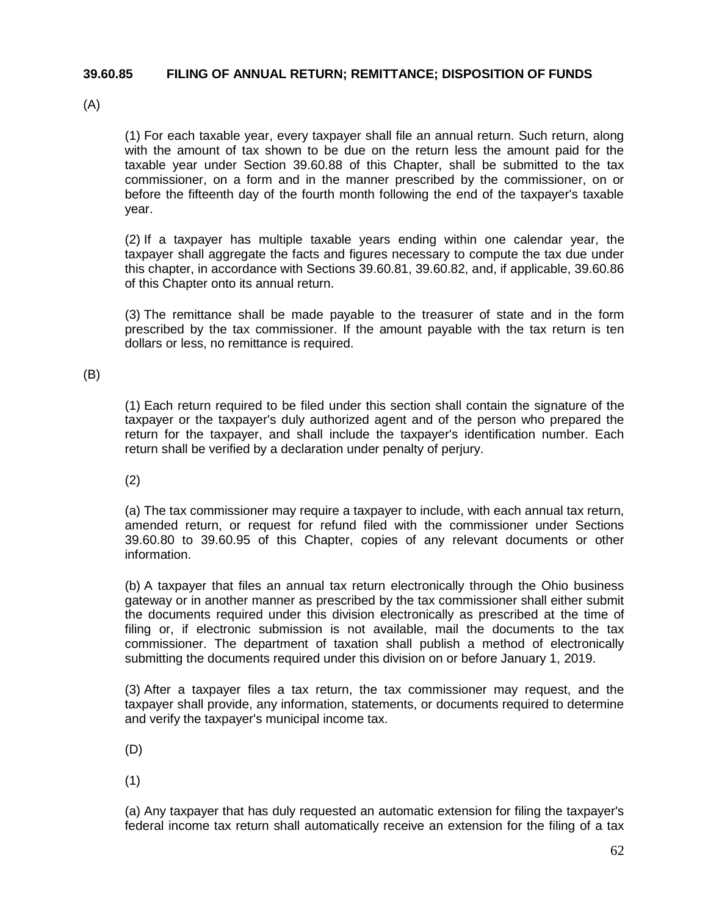#### **39.60.85 [FILING OF ANNUAL RETURN; REMITTANCE; DISPOSITION OF FUNDS](http://codes.ohio.gov/orc/718.85v1)**

(A)

(1) For each taxable year, every taxpayer shall file an annual return. Such return, along with the amount of tax shown to be due on the return less the amount paid for the taxable year under Section 39.60.88 of this Chapter, shall be submitted to the tax commissioner, on a form and in the manner prescribed by the commissioner, on or before the fifteenth day of the fourth month following the end of the taxpayer's taxable year.

(2) If a taxpayer has multiple taxable years ending within one calendar year, the taxpayer shall aggregate the facts and figures necessary to compute the tax due under this chapter, in accordance with Sections 39.60.81, 39.60.82, and, if applicable, 39.60.86 of this Chapter onto its annual return.

(3) The remittance shall be made payable to the treasurer of state and in the form prescribed by the tax commissioner. If the amount payable with the tax return is ten dollars or less, no remittance is required.

(B)

(1) Each return required to be filed under this section shall contain the signature of the taxpayer or the taxpayer's duly authorized agent and of the person who prepared the return for the taxpayer, and shall include the taxpayer's identification number. Each return shall be verified by a declaration under penalty of perjury.

(2)

(a) The tax commissioner may require a taxpayer to include, with each annual tax return, amended return, or request for refund filed with the commissioner under Sections 39.60.80 to 39.60.95 of this Chapter, copies of any relevant documents or other information.

(b) A taxpayer that files an annual tax return electronically through the Ohio business gateway or in another manner as prescribed by the tax commissioner shall either submit the documents required under this division electronically as prescribed at the time of filing or, if electronic submission is not available, mail the documents to the tax commissioner. The department of taxation shall publish a method of electronically submitting the documents required under this division on or before January 1, 2019.

(3) After a taxpayer files a tax return, the tax commissioner may request, and the taxpayer shall provide, any information, statements, or documents required to determine and verify the taxpayer's municipal income tax.

(D)

(1)

(a) Any taxpayer that has duly requested an automatic extension for filing the taxpayer's federal income tax return shall automatically receive an extension for the filing of a tax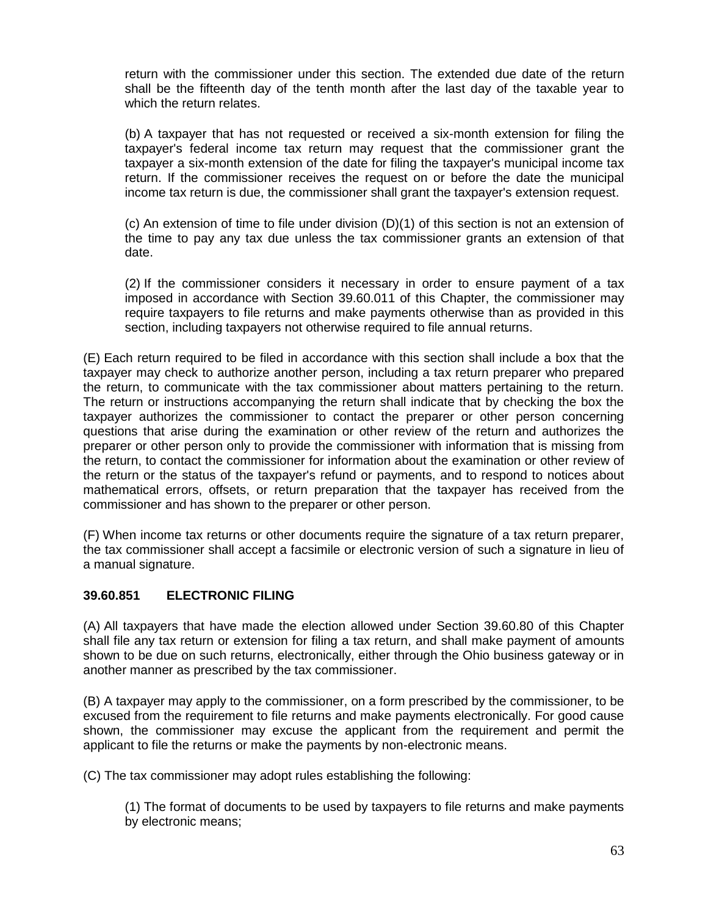return with the commissioner under this section. The extended due date of the return shall be the fifteenth day of the tenth month after the last day of the taxable year to which the return relates.

(b) A taxpayer that has not requested or received a six-month extension for filing the taxpayer's federal income tax return may request that the commissioner grant the taxpayer a six-month extension of the date for filing the taxpayer's municipal income tax return. If the commissioner receives the request on or before the date the municipal income tax return is due, the commissioner shall grant the taxpayer's extension request.

(c) An extension of time to file under division (D)(1) of this section is not an extension of the time to pay any tax due unless the tax commissioner grants an extension of that date.

(2) If the commissioner considers it necessary in order to ensure payment of a tax imposed in accordance with Section 39.60.011 of this Chapter, the commissioner may require taxpayers to file returns and make payments otherwise than as provided in this section, including taxpayers not otherwise required to file annual returns.

(E) Each return required to be filed in accordance with this section shall include a box that the taxpayer may check to authorize another person, including a tax return preparer who prepared the return, to communicate with the tax commissioner about matters pertaining to the return. The return or instructions accompanying the return shall indicate that by checking the box the taxpayer authorizes the commissioner to contact the preparer or other person concerning questions that arise during the examination or other review of the return and authorizes the preparer or other person only to provide the commissioner with information that is missing from the return, to contact the commissioner for information about the examination or other review of the return or the status of the taxpayer's refund or payments, and to respond to notices about mathematical errors, offsets, or return preparation that the taxpayer has received from the commissioner and has shown to the preparer or other person.

(F) When income tax returns or other documents require the signature of a tax return preparer, the tax commissioner shall accept a facsimile or electronic version of such a signature in lieu of a manual signature.

# **39.60.851 [ELECTRONIC FILING](http://codes.ohio.gov/orc/718.851v1)**

(A) All taxpayers that have made the election allowed under Section 39.60.80 of this Chapter shall file any tax return or extension for filing a tax return, and shall make payment of amounts shown to be due on such returns, electronically, either through the Ohio business gateway or in another manner as prescribed by the tax commissioner.

(B) A taxpayer may apply to the commissioner, on a form prescribed by the commissioner, to be excused from the requirement to file returns and make payments electronically. For good cause shown, the commissioner may excuse the applicant from the requirement and permit the applicant to file the returns or make the payments by non-electronic means.

(C) The tax commissioner may adopt rules establishing the following:

(1) The format of documents to be used by taxpayers to file returns and make payments by electronic means;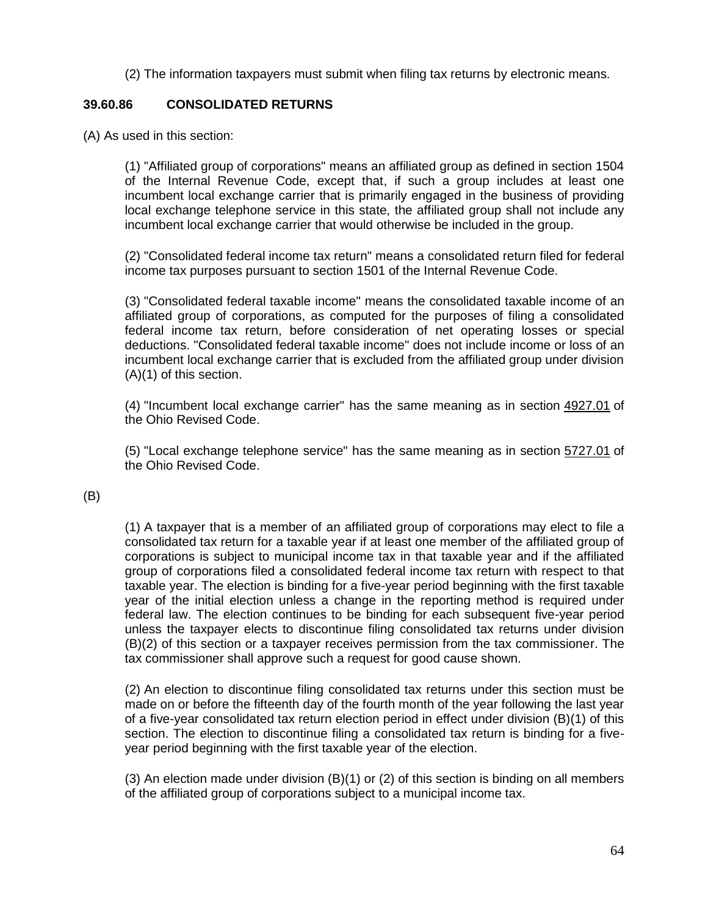(2) The information taxpayers must submit when filing tax returns by electronic means.

# **39.60.86 [CONSOLIDATED RETURNS](http://codes.ohio.gov/orc/718.86v1)**

(A) As used in this section:

(1) "Affiliated group of corporations" means an affiliated group as defined in section 1504 of the Internal Revenue Code, except that, if such a group includes at least one incumbent local exchange carrier that is primarily engaged in the business of providing local exchange telephone service in this state, the affiliated group shall not include any incumbent local exchange carrier that would otherwise be included in the group.

(2) "Consolidated federal income tax return" means a consolidated return filed for federal income tax purposes pursuant to section 1501 of the Internal Revenue Code.

(3) "Consolidated federal taxable income" means the consolidated taxable income of an affiliated group of corporations, as computed for the purposes of filing a consolidated federal income tax return, before consideration of net operating losses or special deductions. "Consolidated federal taxable income" does not include income or loss of an incumbent local exchange carrier that is excluded from the affiliated group under division (A)(1) of this section.

(4) "Incumbent local exchange carrier" has the same meaning as in section [4927.01](http://codes.ohio.gov/orc/4927.01) of the Ohio Revised Code.

(5) "Local exchange telephone service" has the same meaning as in section [5727.01](http://codes.ohio.gov/orc/5727.01) of the Ohio Revised Code.

(B)

(1) A taxpayer that is a member of an affiliated group of corporations may elect to file a consolidated tax return for a taxable year if at least one member of the affiliated group of corporations is subject to municipal income tax in that taxable year and if the affiliated group of corporations filed a consolidated federal income tax return with respect to that taxable year. The election is binding for a five-year period beginning with the first taxable year of the initial election unless a change in the reporting method is required under federal law. The election continues to be binding for each subsequent five-year period unless the taxpayer elects to discontinue filing consolidated tax returns under division (B)(2) of this section or a taxpayer receives permission from the tax commissioner. The tax commissioner shall approve such a request for good cause shown.

(2) An election to discontinue filing consolidated tax returns under this section must be made on or before the fifteenth day of the fourth month of the year following the last year of a five-year consolidated tax return election period in effect under division (B)(1) of this section. The election to discontinue filing a consolidated tax return is binding for a fiveyear period beginning with the first taxable year of the election.

(3) An election made under division (B)(1) or (2) of this section is binding on all members of the affiliated group of corporations subject to a municipal income tax.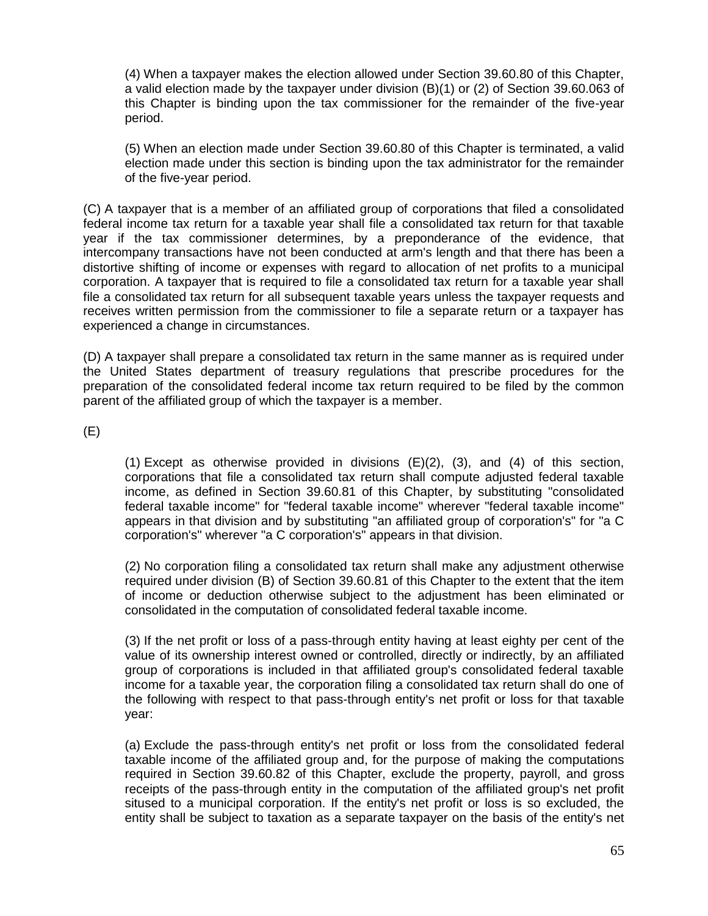(4) When a taxpayer makes the election allowed under Section 39.60.80 of this Chapter, a valid election made by the taxpayer under division (B)(1) or (2) of Section 39.60.063 of this Chapter is binding upon the tax commissioner for the remainder of the five-year period.

(5) When an election made under Section 39.60.80 of this Chapter is terminated, a valid election made under this section is binding upon the tax administrator for the remainder of the five-year period.

(C) A taxpayer that is a member of an affiliated group of corporations that filed a consolidated federal income tax return for a taxable year shall file a consolidated tax return for that taxable year if the tax commissioner determines, by a preponderance of the evidence, that intercompany transactions have not been conducted at arm's length and that there has been a distortive shifting of income or expenses with regard to allocation of net profits to a municipal corporation. A taxpayer that is required to file a consolidated tax return for a taxable year shall file a consolidated tax return for all subsequent taxable years unless the taxpayer requests and receives written permission from the commissioner to file a separate return or a taxpayer has experienced a change in circumstances.

(D) A taxpayer shall prepare a consolidated tax return in the same manner as is required under the United States department of treasury regulations that prescribe procedures for the preparation of the consolidated federal income tax return required to be filed by the common parent of the affiliated group of which the taxpayer is a member.

(E)

(1) Except as otherwise provided in divisions (E)(2), (3), and (4) of this section, corporations that file a consolidated tax return shall compute adjusted federal taxable income, as defined in Section 39.60.81 of this Chapter, by substituting "consolidated federal taxable income" for "federal taxable income" wherever "federal taxable income" appears in that division and by substituting "an affiliated group of corporation's" for "a C corporation's" wherever "a C corporation's" appears in that division.

(2) No corporation filing a consolidated tax return shall make any adjustment otherwise required under division (B) of Section 39.60.81 of this Chapter to the extent that the item of income or deduction otherwise subject to the adjustment has been eliminated or consolidated in the computation of consolidated federal taxable income.

(3) If the net profit or loss of a pass-through entity having at least eighty per cent of the value of its ownership interest owned or controlled, directly or indirectly, by an affiliated group of corporations is included in that affiliated group's consolidated federal taxable income for a taxable year, the corporation filing a consolidated tax return shall do one of the following with respect to that pass-through entity's net profit or loss for that taxable year:

(a) Exclude the pass-through entity's net profit or loss from the consolidated federal taxable income of the affiliated group and, for the purpose of making the computations required in Section 39.60.82 of this Chapter, exclude the property, payroll, and gross receipts of the pass-through entity in the computation of the affiliated group's net profit sitused to a municipal corporation. If the entity's net profit or loss is so excluded, the entity shall be subject to taxation as a separate taxpayer on the basis of the entity's net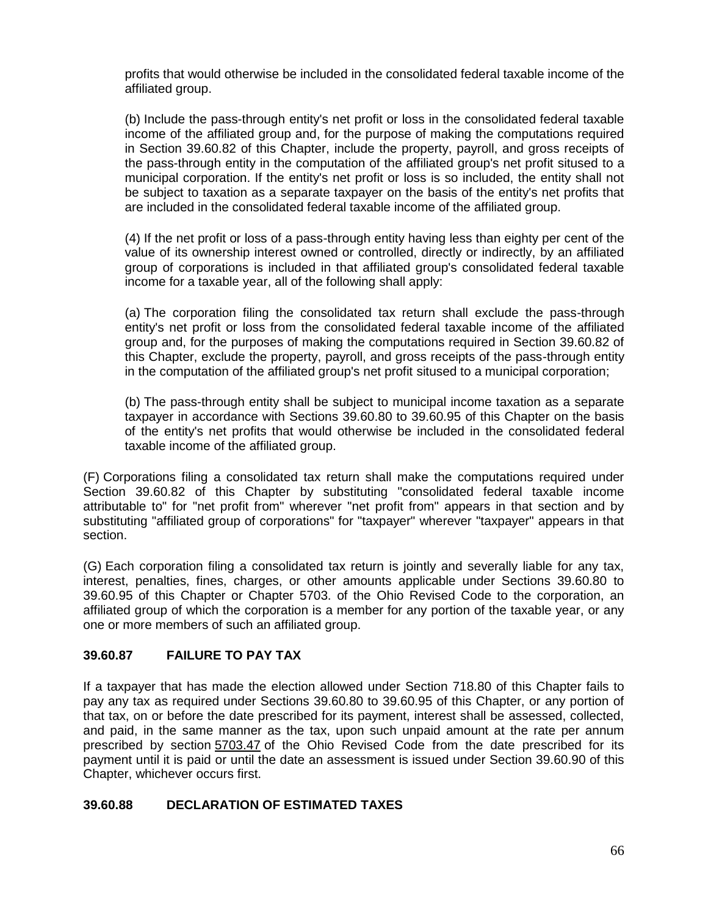profits that would otherwise be included in the consolidated federal taxable income of the affiliated group.

(b) Include the pass-through entity's net profit or loss in the consolidated federal taxable income of the affiliated group and, for the purpose of making the computations required in Section 39.60.82 of this Chapter, include the property, payroll, and gross receipts of the pass-through entity in the computation of the affiliated group's net profit sitused to a municipal corporation. If the entity's net profit or loss is so included, the entity shall not be subject to taxation as a separate taxpayer on the basis of the entity's net profits that are included in the consolidated federal taxable income of the affiliated group.

(4) If the net profit or loss of a pass-through entity having less than eighty per cent of the value of its ownership interest owned or controlled, directly or indirectly, by an affiliated group of corporations is included in that affiliated group's consolidated federal taxable income for a taxable year, all of the following shall apply:

(a) The corporation filing the consolidated tax return shall exclude the pass-through entity's net profit or loss from the consolidated federal taxable income of the affiliated group and, for the purposes of making the computations required in Section 39.60.82 of this Chapter, exclude the property, payroll, and gross receipts of the pass-through entity in the computation of the affiliated group's net profit sitused to a municipal corporation;

(b) The pass-through entity shall be subject to municipal income taxation as a separate taxpayer in accordance with Sections 39.60.80 to 39.60.95 of this Chapter on the basis of the entity's net profits that would otherwise be included in the consolidated federal taxable income of the affiliated group.

(F) Corporations filing a consolidated tax return shall make the computations required under Section 39.60.82 of this Chapter by substituting "consolidated federal taxable income attributable to" for "net profit from" wherever "net profit from" appears in that section and by substituting "affiliated group of corporations" for "taxpayer" wherever "taxpayer" appears in that section.

(G) Each corporation filing a consolidated tax return is jointly and severally liable for any tax, interest, penalties, fines, charges, or other amounts applicable under Sections 39.60.80 to 39.60.95 of this Chapter or Chapter 5703. of the Ohio Revised Code to the corporation, an affiliated group of which the corporation is a member for any portion of the taxable year, or any one or more members of such an affiliated group.

# **39.60.87 [FAILURE TO PAY TAX](http://codes.ohio.gov/orc/718.87v1)**

If a taxpayer that has made the election allowed under Section 718.80 of this Chapter fails to pay any tax as required under Sections 39.60.80 to 39.60.95 of this Chapter, or any portion of that tax, on or before the date prescribed for its payment, interest shall be assessed, collected, and paid, in the same manner as the tax, upon such unpaid amount at the rate per annum prescribed by section [5703.47](http://codes.ohio.gov/orc/5703.47) of the Ohio Revised Code from the date prescribed for its payment until it is paid or until the date an assessment is issued under Section 39.60.90 of this Chapter, whichever occurs first.

# **39.60.88 [DECLARATION OF ESTIMATED TAXES](http://codes.ohio.gov/orc/718.88v1)**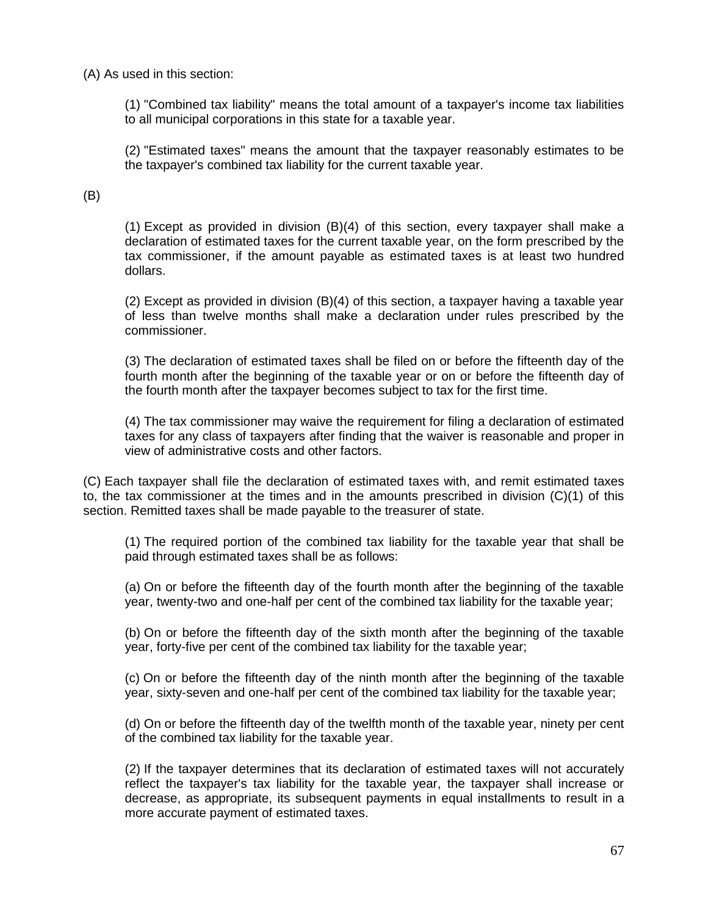#### (A) As used in this section:

(1) "Combined tax liability" means the total amount of a taxpayer's income tax liabilities to all municipal corporations in this state for a taxable year.

(2) "Estimated taxes" means the amount that the taxpayer reasonably estimates to be the taxpayer's combined tax liability for the current taxable year.

#### (B)

(1) Except as provided in division (B)(4) of this section, every taxpayer shall make a declaration of estimated taxes for the current taxable year, on the form prescribed by the tax commissioner, if the amount payable as estimated taxes is at least two hundred dollars.

(2) Except as provided in division (B)(4) of this section, a taxpayer having a taxable year of less than twelve months shall make a declaration under rules prescribed by the commissioner.

(3) The declaration of estimated taxes shall be filed on or before the fifteenth day of the fourth month after the beginning of the taxable year or on or before the fifteenth day of the fourth month after the taxpayer becomes subject to tax for the first time.

(4) The tax commissioner may waive the requirement for filing a declaration of estimated taxes for any class of taxpayers after finding that the waiver is reasonable and proper in view of administrative costs and other factors.

(C) Each taxpayer shall file the declaration of estimated taxes with, and remit estimated taxes to, the tax commissioner at the times and in the amounts prescribed in division (C)(1) of this section. Remitted taxes shall be made payable to the treasurer of state.

(1) The required portion of the combined tax liability for the taxable year that shall be paid through estimated taxes shall be as follows:

(a) On or before the fifteenth day of the fourth month after the beginning of the taxable year, twenty-two and one-half per cent of the combined tax liability for the taxable year;

(b) On or before the fifteenth day of the sixth month after the beginning of the taxable year, forty-five per cent of the combined tax liability for the taxable year;

(c) On or before the fifteenth day of the ninth month after the beginning of the taxable year, sixty-seven and one-half per cent of the combined tax liability for the taxable year;

(d) On or before the fifteenth day of the twelfth month of the taxable year, ninety per cent of the combined tax liability for the taxable year.

(2) If the taxpayer determines that its declaration of estimated taxes will not accurately reflect the taxpayer's tax liability for the taxable year, the taxpayer shall increase or decrease, as appropriate, its subsequent payments in equal installments to result in a more accurate payment of estimated taxes.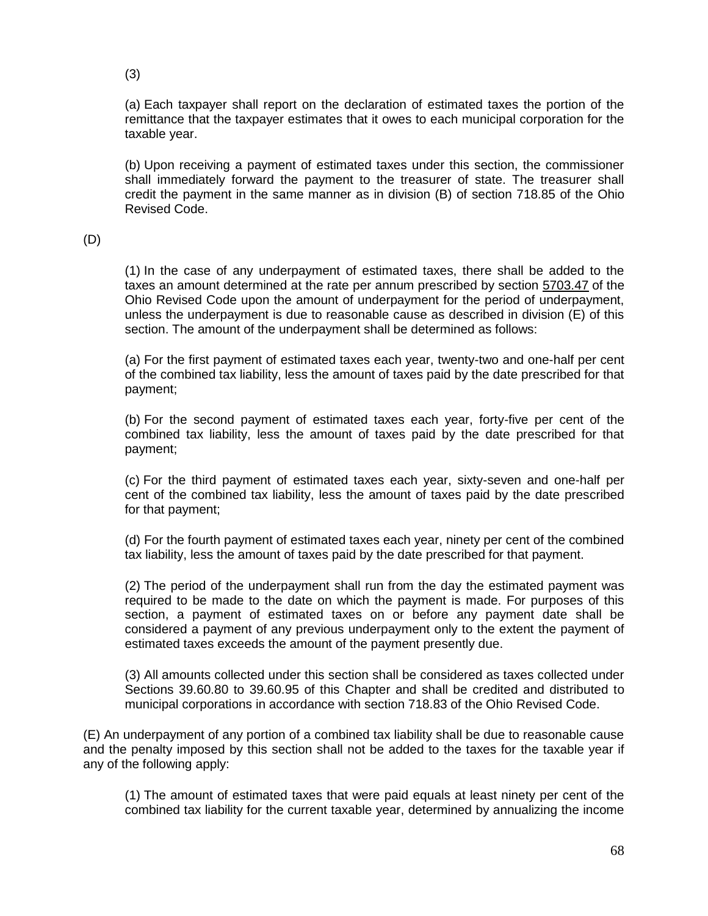(3)

(a) Each taxpayer shall report on the declaration of estimated taxes the portion of the remittance that the taxpayer estimates that it owes to each municipal corporation for the taxable year.

(b) Upon receiving a payment of estimated taxes under this section, the commissioner shall immediately forward the payment to the treasurer of state. The treasurer shall credit the payment in the same manner as in division (B) of section 718.85 of the Ohio Revised Code.

(D)

(1) In the case of any underpayment of estimated taxes, there shall be added to the taxes an amount determined at the rate per annum prescribed by section [5703.47](http://codes.ohio.gov/orc/5703.47) of the Ohio Revised Code upon the amount of underpayment for the period of underpayment, unless the underpayment is due to reasonable cause as described in division (E) of this section. The amount of the underpayment shall be determined as follows:

(a) For the first payment of estimated taxes each year, twenty-two and one-half per cent of the combined tax liability, less the amount of taxes paid by the date prescribed for that payment;

(b) For the second payment of estimated taxes each year, forty-five per cent of the combined tax liability, less the amount of taxes paid by the date prescribed for that payment;

(c) For the third payment of estimated taxes each year, sixty-seven and one-half per cent of the combined tax liability, less the amount of taxes paid by the date prescribed for that payment;

(d) For the fourth payment of estimated taxes each year, ninety per cent of the combined tax liability, less the amount of taxes paid by the date prescribed for that payment.

(2) The period of the underpayment shall run from the day the estimated payment was required to be made to the date on which the payment is made. For purposes of this section, a payment of estimated taxes on or before any payment date shall be considered a payment of any previous underpayment only to the extent the payment of estimated taxes exceeds the amount of the payment presently due.

(3) All amounts collected under this section shall be considered as taxes collected under Sections 39.60.80 to 39.60.95 of this Chapter and shall be credited and distributed to municipal corporations in accordance with section 718.83 of the Ohio Revised Code.

(E) An underpayment of any portion of a combined tax liability shall be due to reasonable cause and the penalty imposed by this section shall not be added to the taxes for the taxable year if any of the following apply:

(1) The amount of estimated taxes that were paid equals at least ninety per cent of the combined tax liability for the current taxable year, determined by annualizing the income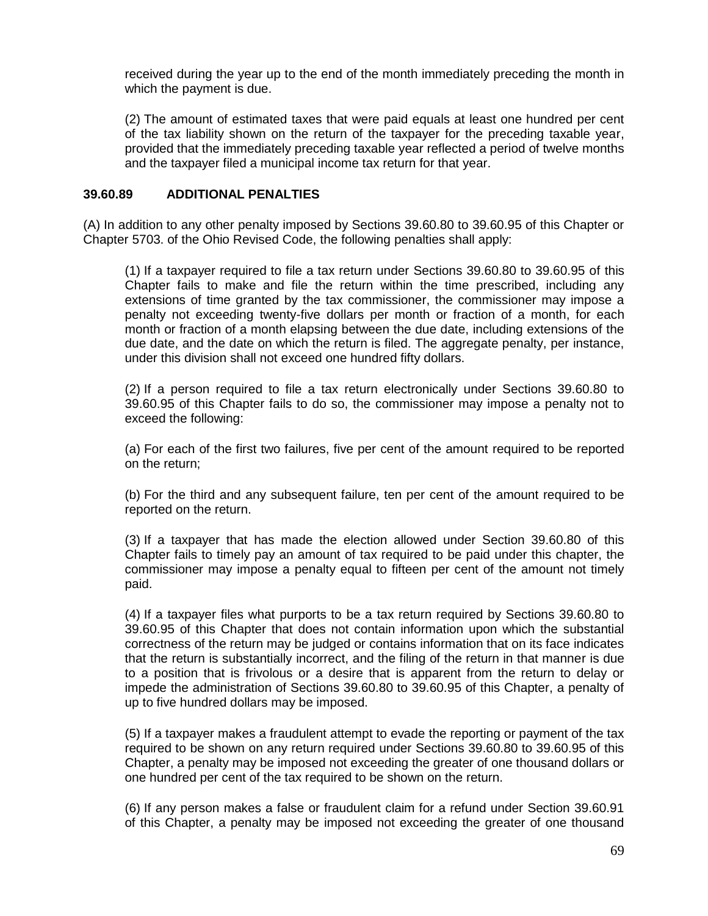received during the year up to the end of the month immediately preceding the month in which the payment is due.

(2) The amount of estimated taxes that were paid equals at least one hundred per cent of the tax liability shown on the return of the taxpayer for the preceding taxable year, provided that the immediately preceding taxable year reflected a period of twelve months and the taxpayer filed a municipal income tax return for that year.

#### **39.60.89 [ADDITIONAL PENALTIES](http://codes.ohio.gov/orc/718.89v1)**

(A) In addition to any other penalty imposed by Sections 39.60.80 to 39.60.95 of this Chapter or Chapter 5703. of the Ohio Revised Code, the following penalties shall apply:

(1) If a taxpayer required to file a tax return under Sections 39.60.80 to 39.60.95 of this Chapter fails to make and file the return within the time prescribed, including any extensions of time granted by the tax commissioner, the commissioner may impose a penalty not exceeding twenty-five dollars per month or fraction of a month, for each month or fraction of a month elapsing between the due date, including extensions of the due date, and the date on which the return is filed. The aggregate penalty, per instance, under this division shall not exceed one hundred fifty dollars.

(2) If a person required to file a tax return electronically under Sections 39.60.80 to 39.60.95 of this Chapter fails to do so, the commissioner may impose a penalty not to exceed the following:

(a) For each of the first two failures, five per cent of the amount required to be reported on the return;

(b) For the third and any subsequent failure, ten per cent of the amount required to be reported on the return.

(3) If a taxpayer that has made the election allowed under Section 39.60.80 of this Chapter fails to timely pay an amount of tax required to be paid under this chapter, the commissioner may impose a penalty equal to fifteen per cent of the amount not timely paid.

(4) If a taxpayer files what purports to be a tax return required by Sections 39.60.80 to 39.60.95 of this Chapter that does not contain information upon which the substantial correctness of the return may be judged or contains information that on its face indicates that the return is substantially incorrect, and the filing of the return in that manner is due to a position that is frivolous or a desire that is apparent from the return to delay or impede the administration of Sections 39.60.80 to 39.60.95 of this Chapter, a penalty of up to five hundred dollars may be imposed.

(5) If a taxpayer makes a fraudulent attempt to evade the reporting or payment of the tax required to be shown on any return required under Sections 39.60.80 to 39.60.95 of this Chapter, a penalty may be imposed not exceeding the greater of one thousand dollars or one hundred per cent of the tax required to be shown on the return.

(6) If any person makes a false or fraudulent claim for a refund under Section 39.60.91 of this Chapter, a penalty may be imposed not exceeding the greater of one thousand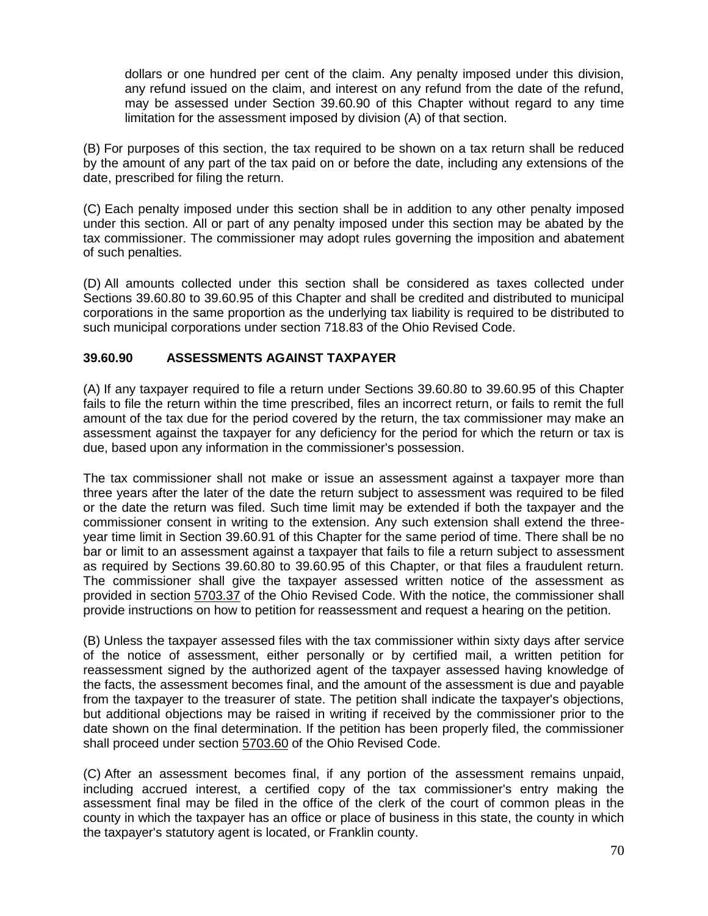dollars or one hundred per cent of the claim. Any penalty imposed under this division, any refund issued on the claim, and interest on any refund from the date of the refund, may be assessed under Section 39.60.90 of this Chapter without regard to any time limitation for the assessment imposed by division (A) of that section.

(B) For purposes of this section, the tax required to be shown on a tax return shall be reduced by the amount of any part of the tax paid on or before the date, including any extensions of the date, prescribed for filing the return.

(C) Each penalty imposed under this section shall be in addition to any other penalty imposed under this section. All or part of any penalty imposed under this section may be abated by the tax commissioner. The commissioner may adopt rules governing the imposition and abatement of such penalties.

(D) All amounts collected under this section shall be considered as taxes collected under Sections 39.60.80 to 39.60.95 of this Chapter and shall be credited and distributed to municipal corporations in the same proportion as the underlying tax liability is required to be distributed to such municipal corporations under section 718.83 of the Ohio Revised Code.

# **39.60.90 [ASSESSMENTS AGAINST](http://codes.ohio.gov/orc/718.90v1) TAXPAYER**

(A) If any taxpayer required to file a return under Sections 39.60.80 to 39.60.95 of this Chapter fails to file the return within the time prescribed, files an incorrect return, or fails to remit the full amount of the tax due for the period covered by the return, the tax commissioner may make an assessment against the taxpayer for any deficiency for the period for which the return or tax is due, based upon any information in the commissioner's possession.

The tax commissioner shall not make or issue an assessment against a taxpayer more than three years after the later of the date the return subject to assessment was required to be filed or the date the return was filed. Such time limit may be extended if both the taxpayer and the commissioner consent in writing to the extension. Any such extension shall extend the threeyear time limit in Section 39.60.91 of this Chapter for the same period of time. There shall be no bar or limit to an assessment against a taxpayer that fails to file a return subject to assessment as required by Sections 39.60.80 to 39.60.95 of this Chapter, or that files a fraudulent return. The commissioner shall give the taxpayer assessed written notice of the assessment as provided in section [5703.37](http://codes.ohio.gov/orc/5703.37) of the Ohio Revised Code. With the notice, the commissioner shall provide instructions on how to petition for reassessment and request a hearing on the petition.

(B) Unless the taxpayer assessed files with the tax commissioner within sixty days after service of the notice of assessment, either personally or by certified mail, a written petition for reassessment signed by the authorized agent of the taxpayer assessed having knowledge of the facts, the assessment becomes final, and the amount of the assessment is due and payable from the taxpayer to the treasurer of state. The petition shall indicate the taxpayer's objections, but additional objections may be raised in writing if received by the commissioner prior to the date shown on the final determination. If the petition has been properly filed, the commissioner shall proceed under section [5703.60](http://codes.ohio.gov/orc/5703.60) of the Ohio Revised Code.

(C) After an assessment becomes final, if any portion of the assessment remains unpaid, including accrued interest, a certified copy of the tax commissioner's entry making the assessment final may be filed in the office of the clerk of the court of common pleas in the county in which the taxpayer has an office or place of business in this state, the county in which the taxpayer's statutory agent is located, or Franklin county.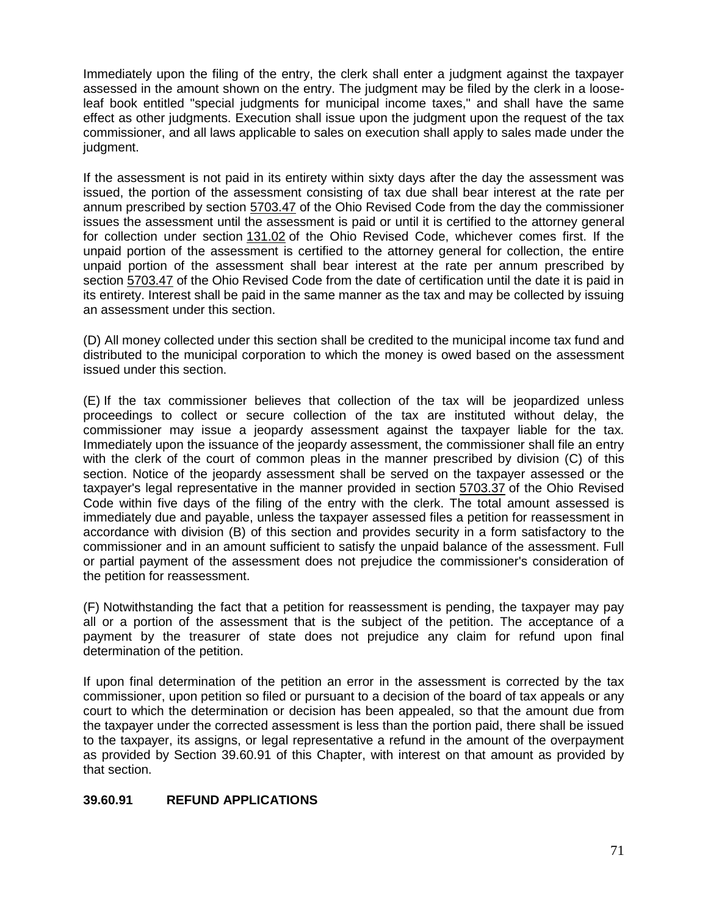Immediately upon the filing of the entry, the clerk shall enter a judgment against the taxpayer assessed in the amount shown on the entry. The judgment may be filed by the clerk in a looseleaf book entitled "special judgments for municipal income taxes," and shall have the same effect as other judgments. Execution shall issue upon the judgment upon the request of the tax commissioner, and all laws applicable to sales on execution shall apply to sales made under the judgment.

If the assessment is not paid in its entirety within sixty days after the day the assessment was issued, the portion of the assessment consisting of tax due shall bear interest at the rate per annum prescribed by section [5703.47](http://codes.ohio.gov/orc/5703.47) of the Ohio Revised Code from the day the commissioner issues the assessment until the assessment is paid or until it is certified to the attorney general for collection under section [131.02](http://codes.ohio.gov/orc/131.02) of the Ohio Revised Code, whichever comes first. If the unpaid portion of the assessment is certified to the attorney general for collection, the entire unpaid portion of the assessment shall bear interest at the rate per annum prescribed by section [5703.47](http://codes.ohio.gov/orc/5703.47) of the Ohio Revised Code from the date of certification until the date it is paid in its entirety. Interest shall be paid in the same manner as the tax and may be collected by issuing an assessment under this section.

(D) All money collected under this section shall be credited to the municipal income tax fund and distributed to the municipal corporation to which the money is owed based on the assessment issued under this section.

(E) If the tax commissioner believes that collection of the tax will be jeopardized unless proceedings to collect or secure collection of the tax are instituted without delay, the commissioner may issue a jeopardy assessment against the taxpayer liable for the tax. Immediately upon the issuance of the jeopardy assessment, the commissioner shall file an entry with the clerk of the court of common pleas in the manner prescribed by division (C) of this section. Notice of the jeopardy assessment shall be served on the taxpayer assessed or the taxpayer's legal representative in the manner provided in section [5703.37](http://codes.ohio.gov/orc/5703.37) of the Ohio Revised Code within five days of the filing of the entry with the clerk. The total amount assessed is immediately due and payable, unless the taxpayer assessed files a petition for reassessment in accordance with division (B) of this section and provides security in a form satisfactory to the commissioner and in an amount sufficient to satisfy the unpaid balance of the assessment. Full or partial payment of the assessment does not prejudice the commissioner's consideration of the petition for reassessment.

(F) Notwithstanding the fact that a petition for reassessment is pending, the taxpayer may pay all or a portion of the assessment that is the subject of the petition. The acceptance of a payment by the treasurer of state does not prejudice any claim for refund upon final determination of the petition.

If upon final determination of the petition an error in the assessment is corrected by the tax commissioner, upon petition so filed or pursuant to a decision of the board of tax appeals or any court to which the determination or decision has been appealed, so that the amount due from the taxpayer under the corrected assessment is less than the portion paid, there shall be issued to the taxpayer, its assigns, or legal representative a refund in the amount of the overpayment as provided by Section 39.60.91 of this Chapter, with interest on that amount as provided by that section.

# **39.60.91 [REFUND APPLICATIONS](http://codes.ohio.gov/orc/718.91v1)**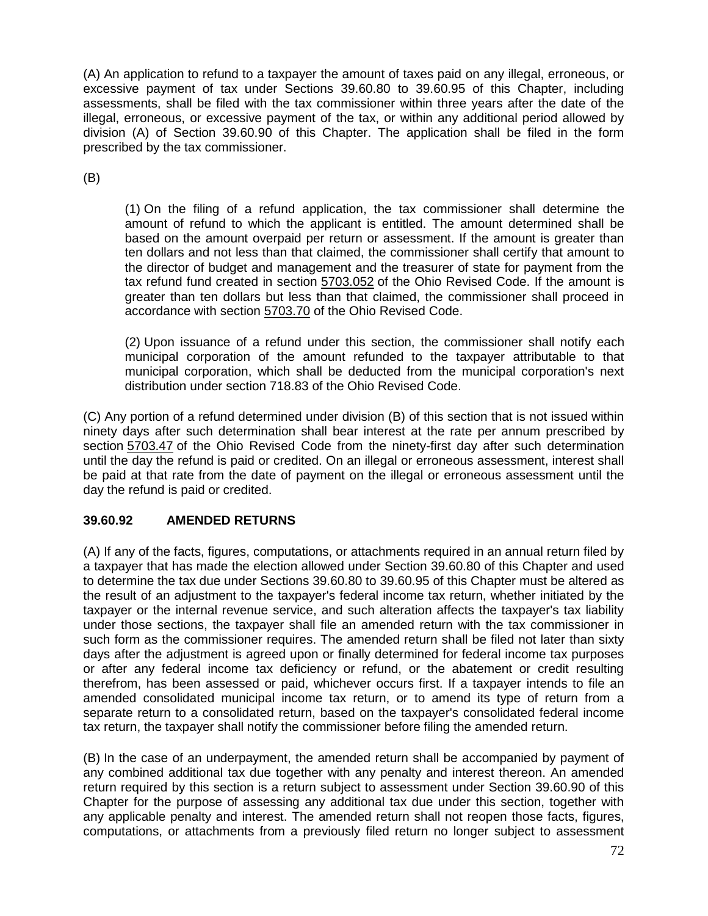(A) An application to refund to a taxpayer the amount of taxes paid on any illegal, erroneous, or excessive payment of tax under Sections 39.60.80 to 39.60.95 of this Chapter, including assessments, shall be filed with the tax commissioner within three years after the date of the illegal, erroneous, or excessive payment of the tax, or within any additional period allowed by division (A) of Section 39.60.90 of this Chapter. The application shall be filed in the form prescribed by the tax commissioner.

(B)

(1) On the filing of a refund application, the tax commissioner shall determine the amount of refund to which the applicant is entitled. The amount determined shall be based on the amount overpaid per return or assessment. If the amount is greater than ten dollars and not less than that claimed, the commissioner shall certify that amount to the director of budget and management and the treasurer of state for payment from the tax refund fund created in section [5703.052](http://codes.ohio.gov/orc/5703.052) of the Ohio Revised Code. If the amount is greater than ten dollars but less than that claimed, the commissioner shall proceed in accordance with section [5703.70](http://codes.ohio.gov/orc/5703.70) of the Ohio Revised Code.

(2) Upon issuance of a refund under this section, the commissioner shall notify each municipal corporation of the amount refunded to the taxpayer attributable to that municipal corporation, which shall be deducted from the municipal corporation's next distribution under section 718.83 of the Ohio Revised Code.

(C) Any portion of a refund determined under division (B) of this section that is not issued within ninety days after such determination shall bear interest at the rate per annum prescribed by section [5703.47](http://codes.ohio.gov/orc/5703.47) of the Ohio Revised Code from the ninety-first day after such determination until the day the refund is paid or credited. On an illegal or erroneous assessment, interest shall be paid at that rate from the date of payment on the illegal or erroneous assessment until the day the refund is paid or credited.

# **39.60.92 [AMENDED RETURNS](http://codes.ohio.gov/orc/718.92v1)**

(A) If any of the facts, figures, computations, or attachments required in an annual return filed by a taxpayer that has made the election allowed under Section 39.60.80 of this Chapter and used to determine the tax due under Sections 39.60.80 to 39.60.95 of this Chapter must be altered as the result of an adjustment to the taxpayer's federal income tax return, whether initiated by the taxpayer or the internal revenue service, and such alteration affects the taxpayer's tax liability under those sections, the taxpayer shall file an amended return with the tax commissioner in such form as the commissioner requires. The amended return shall be filed not later than sixty days after the adjustment is agreed upon or finally determined for federal income tax purposes or after any federal income tax deficiency or refund, or the abatement or credit resulting therefrom, has been assessed or paid, whichever occurs first. If a taxpayer intends to file an amended consolidated municipal income tax return, or to amend its type of return from a separate return to a consolidated return, based on the taxpayer's consolidated federal income tax return, the taxpayer shall notify the commissioner before filing the amended return.

(B) In the case of an underpayment, the amended return shall be accompanied by payment of any combined additional tax due together with any penalty and interest thereon. An amended return required by this section is a return subject to assessment under Section 39.60.90 of this Chapter for the purpose of assessing any additional tax due under this section, together with any applicable penalty and interest. The amended return shall not reopen those facts, figures, computations, or attachments from a previously filed return no longer subject to assessment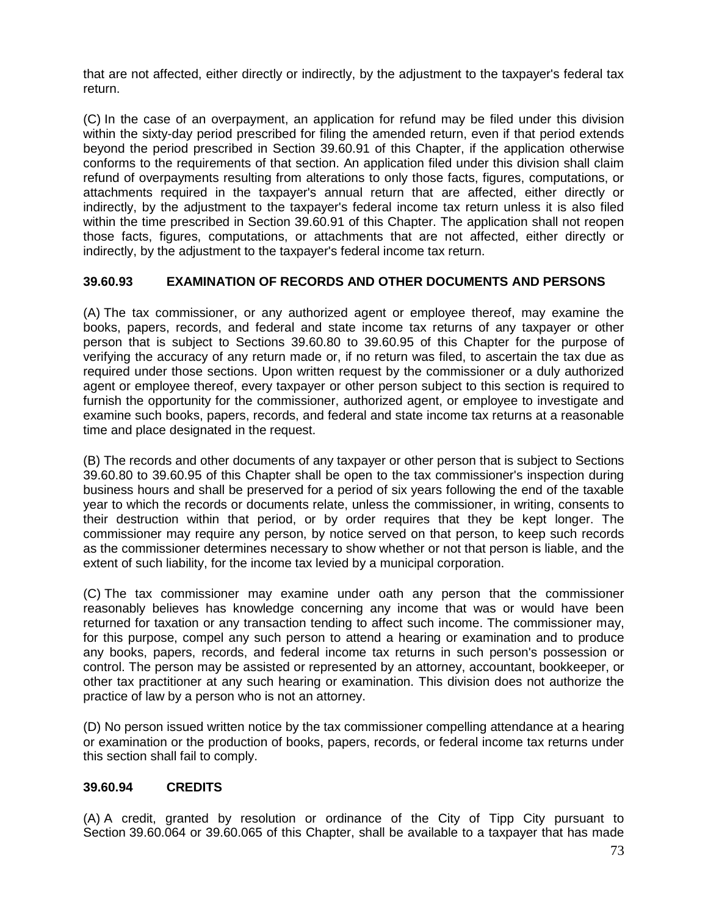that are not affected, either directly or indirectly, by the adjustment to the taxpayer's federal tax return.

(C) In the case of an overpayment, an application for refund may be filed under this division within the sixty-day period prescribed for filing the amended return, even if that period extends beyond the period prescribed in Section 39.60.91 of this Chapter, if the application otherwise conforms to the requirements of that section. An application filed under this division shall claim refund of overpayments resulting from alterations to only those facts, figures, computations, or attachments required in the taxpayer's annual return that are affected, either directly or indirectly, by the adjustment to the taxpayer's federal income tax return unless it is also filed within the time prescribed in Section 39.60.91 of this Chapter. The application shall not reopen those facts, figures, computations, or attachments that are not affected, either directly or indirectly, by the adjustment to the taxpayer's federal income tax return.

## **39.60.93 [EXAMINATION OF RECORDS AND OTHER DOCUMENTS AND PERSONS](http://codes.ohio.gov/orc/718.93v1)**

(A) The tax commissioner, or any authorized agent or employee thereof, may examine the books, papers, records, and federal and state income tax returns of any taxpayer or other person that is subject to Sections 39.60.80 to 39.60.95 of this Chapter for the purpose of verifying the accuracy of any return made or, if no return was filed, to ascertain the tax due as required under those sections. Upon written request by the commissioner or a duly authorized agent or employee thereof, every taxpayer or other person subject to this section is required to furnish the opportunity for the commissioner, authorized agent, or employee to investigate and examine such books, papers, records, and federal and state income tax returns at a reasonable time and place designated in the request.

(B) The records and other documents of any taxpayer or other person that is subject to Sections 39.60.80 to 39.60.95 of this Chapter shall be open to the tax commissioner's inspection during business hours and shall be preserved for a period of six years following the end of the taxable year to which the records or documents relate, unless the commissioner, in writing, consents to their destruction within that period, or by order requires that they be kept longer. The commissioner may require any person, by notice served on that person, to keep such records as the commissioner determines necessary to show whether or not that person is liable, and the extent of such liability, for the income tax levied by a municipal corporation.

(C) The tax commissioner may examine under oath any person that the commissioner reasonably believes has knowledge concerning any income that was or would have been returned for taxation or any transaction tending to affect such income. The commissioner may, for this purpose, compel any such person to attend a hearing or examination and to produce any books, papers, records, and federal income tax returns in such person's possession or control. The person may be assisted or represented by an attorney, accountant, bookkeeper, or other tax practitioner at any such hearing or examination. This division does not authorize the practice of law by a person who is not an attorney.

(D) No person issued written notice by the tax commissioner compelling attendance at a hearing or examination or the production of books, papers, records, or federal income tax returns under this section shall fail to comply.

#### **39.60.94 CREDITS**

(A) A credit, granted by resolution or ordinance of the City of Tipp City pursuant to Section 39.60.064 or 39.60.065 of this Chapter, shall be available to a taxpayer that has made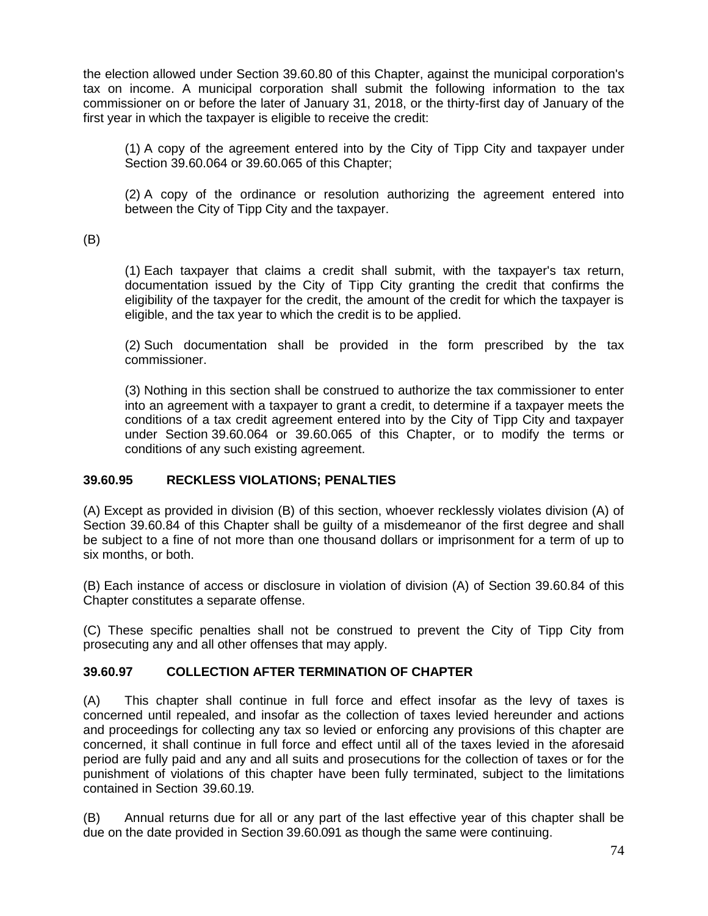the election allowed under Section 39.60.80 of this Chapter, against the municipal corporation's tax on income. A municipal corporation shall submit the following information to the tax commissioner on or before the later of January 31, 2018, or the thirty-first day of January of the first year in which the taxpayer is eligible to receive the credit:

(1) A copy of the agreement entered into by the City of Tipp City and taxpayer under Section 39.60.064 or 39.60.065 of this Chapter;

(2) A copy of the ordinance or resolution authorizing the agreement entered into between the City of Tipp City and the taxpayer.

(B)

(1) Each taxpayer that claims a credit shall submit, with the taxpayer's tax return, documentation issued by the City of Tipp City granting the credit that confirms the eligibility of the taxpayer for the credit, the amount of the credit for which the taxpayer is eligible, and the tax year to which the credit is to be applied.

(2) Such documentation shall be provided in the form prescribed by the tax commissioner.

(3) Nothing in this section shall be construed to authorize the tax commissioner to enter into an agreement with a taxpayer to grant a credit, to determine if a taxpayer meets the conditions of a tax credit agreement entered into by the City of Tipp City and taxpayer under Section 39.60.064 or 39.60.065 of this Chapter, or to modify the terms or conditions of any such existing agreement.

#### **39.60.95 [RECKLESS VIOLATIONS; PENALTIES](http://codes.ohio.gov/orc/718.95v1)**

(A) Except as provided in division (B) of this section, whoever recklessly violates division (A) of Section 39.60.84 of this Chapter shall be guilty of a misdemeanor of the first degree and shall be subject to a fine of not more than one thousand dollars or imprisonment for a term of up to six months, or both.

(B) Each instance of access or disclosure in violation of division (A) of Section 39.60.84 of this Chapter constitutes a separate offense.

(C) These specific penalties shall not be construed to prevent the City of Tipp City from prosecuting any and all other offenses that may apply.

#### **39.60.97 COLLECTION AFTER TERMINATION OF CHAPTER**

(A) This chapter shall continue in full force and effect insofar as the levy of taxes is concerned until repealed, and insofar as the collection of taxes levied hereunder and actions and proceedings for collecting any tax so levied or enforcing any provisions of this chapter are concerned, it shall continue in full force and effect until all of the taxes levied in the aforesaid period are fully paid and any and all suits and prosecutions for the collection of taxes or for the punishment of violations of this chapter have been fully terminated, subject to the limitations contained in Section 39.60.19.

(B) Annual returns due for all or any part of the last effective year of this chapter shall be due on the date provided in Section 39.60.091 as though the same were continuing.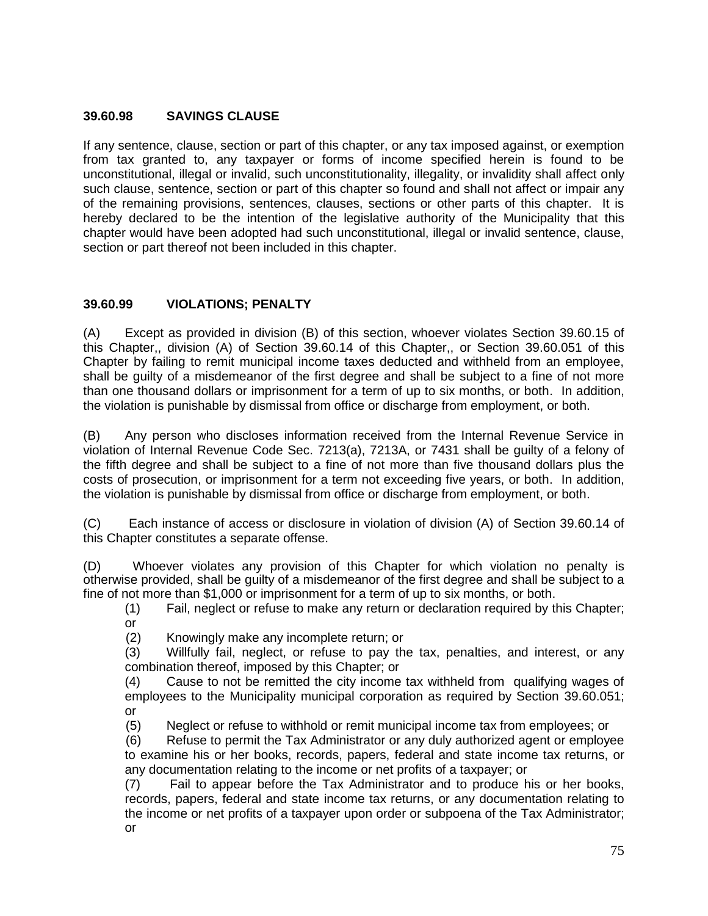### **39.60.98 SAVINGS CLAUSE**

If any sentence, clause, section or part of this chapter, or any tax imposed against, or exemption from tax granted to, any taxpayer or forms of income specified herein is found to be unconstitutional, illegal or invalid, such unconstitutionality, illegality, or invalidity shall affect only such clause, sentence, section or part of this chapter so found and shall not affect or impair any of the remaining provisions, sentences, clauses, sections or other parts of this chapter. It is hereby declared to be the intention of the legislative authority of the Municipality that this chapter would have been adopted had such unconstitutional, illegal or invalid sentence, clause, section or part thereof not been included in this chapter.

# **39.60.99 VIOLATIONS; PENALTY**

(A) Except as provided in division (B) of this section, whoever violates Section 39.60.15 of this Chapter,, division (A) of Section 39.60.14 of this Chapter,, or Section 39.60.051 of this Chapter by failing to remit municipal income taxes deducted and withheld from an employee, shall be guilty of a misdemeanor of the first degree and shall be subject to a fine of not more than one thousand dollars or imprisonment for a term of up to six months, or both. In addition, the violation is punishable by dismissal from office or discharge from employment, or both.

(B) Any person who discloses information received from the Internal Revenue Service in violation of Internal Revenue Code Sec. 7213(a), 7213A, or 7431 shall be guilty of a felony of the fifth degree and shall be subject to a fine of not more than five thousand dollars plus the costs of prosecution, or imprisonment for a term not exceeding five years, or both. In addition, the violation is punishable by dismissal from office or discharge from employment, or both.

(C) Each instance of access or disclosure in violation of division (A) of Section 39.60.14 of this Chapter constitutes a separate offense.

(D) Whoever violates any provision of this Chapter for which violation no penalty is otherwise provided, shall be guilty of a misdemeanor of the first degree and shall be subject to a fine of not more than \$1,000 or imprisonment for a term of up to six months, or both.

(1) Fail, neglect or refuse to make any return or declaration required by this Chapter; or

(2) Knowingly make any incomplete return; or

(3) Willfully fail, neglect, or refuse to pay the tax, penalties, and interest, or any combination thereof, imposed by this Chapter; or

(4) Cause to not be remitted the city income tax withheld from qualifying wages of employees to the Municipality municipal corporation as required by Section 39.60.051; or

(5) Neglect or refuse to withhold or remit municipal income tax from employees; or

 (6) Refuse to permit the Tax Administrator or any duly authorized agent or employee to examine his or her books, records, papers, federal and state income tax returns, or any documentation relating to the income or net profits of a taxpayer; or

(7) Fail to appear before the Tax Administrator and to produce his or her books, records, papers, federal and state income tax returns, or any documentation relating to the income or net profits of a taxpayer upon order or subpoena of the Tax Administrator; or